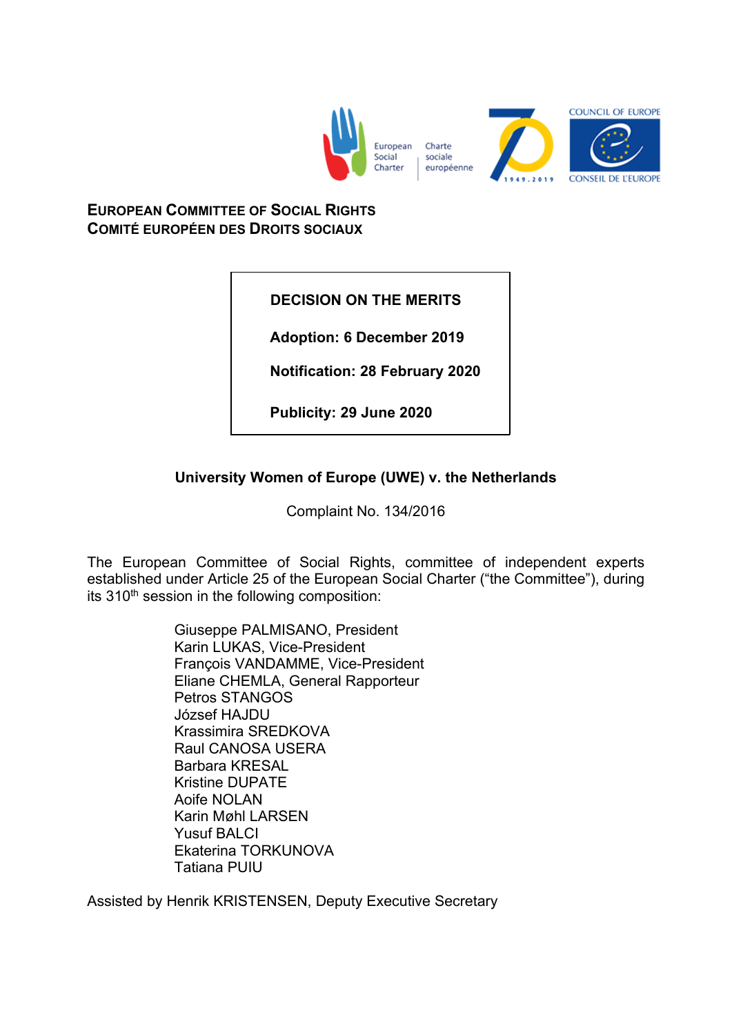

**EUROPEAN COMMITTEE OF SOCIAL RIGHTS COMITÉ EUROPÉEN DES DROITS SOCIAUX**

**DECISION ON THE MERITS**

**Adoption: 6 December 2019**

**Notification: 28 February 2020**

**Publicity: 29 June 2020**

# **University Women of Europe (UWE) v. the Netherlands**

Complaint No. 134/2016

The European Committee of Social Rights, committee of independent experts established under Article 25 of the European Social Charter ("the Committee"), during its 310<sup>th</sup> session in the following composition:

> Giuseppe PALMISANO, President Karin LUKAS, Vice-President François VANDAMME, Vice-President Eliane CHEMLA, General Rapporteur Petros STANGOS József HAJDU Krassimira SREDKOVA Raul CANOSA USERA Barbara KRESAL Kristine DUPATE Aoife NOLAN Karin Møhl LARSEN Yusuf BALCI Ekaterina TORKUNOVA Tatiana PUIU

Assisted by Henrik KRISTENSEN, Deputy Executive Secretary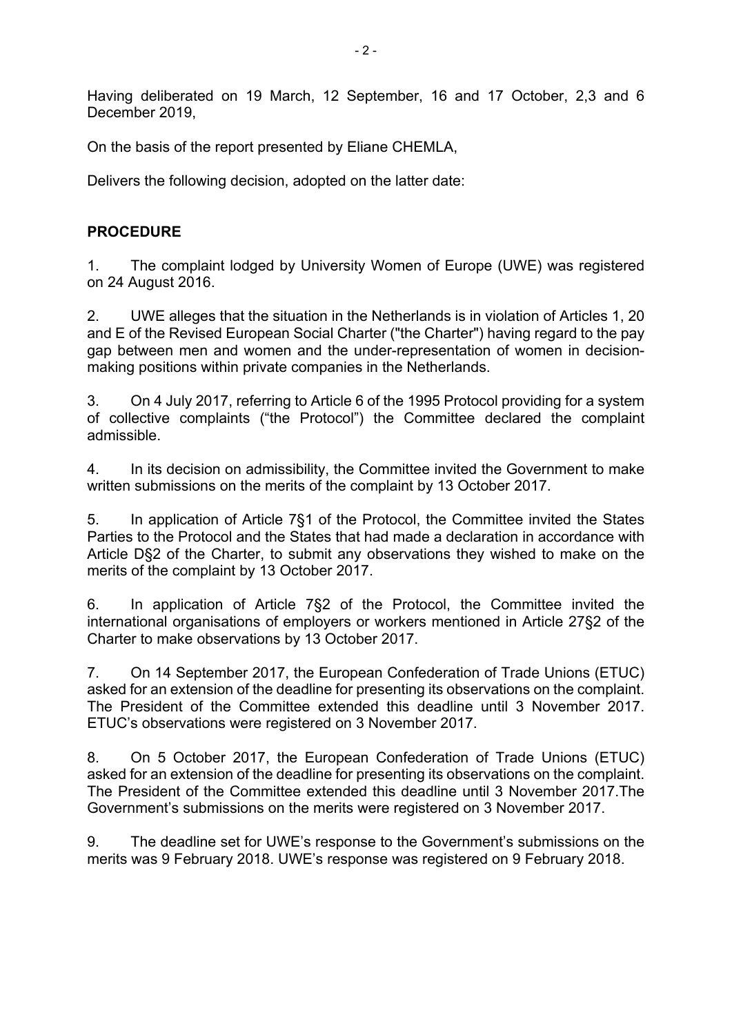Having deliberated on 19 March, 12 September, 16 and 17 October, 2,3 and 6 December 2019,

On the basis of the report presented by Eliane CHEMLA,

Delivers the following decision, adopted on the latter date:

## **PROCEDURE**

1. The complaint lodged by University Women of Europe (UWE) was registered on 24 August 2016.

2. UWE alleges that the situation in the Netherlands is in violation of Articles 1, 20 and E of the Revised European Social Charter ("the Charter") having regard to the pay gap between men and women and the under-representation of women in decisionmaking positions within private companies in the Netherlands.

3. On 4 July 2017, referring to Article 6 of the 1995 Protocol providing for a system of collective complaints ("the Protocol") the Committee declared the complaint admissible.

4. In its decision on admissibility, the Committee invited the Government to make written submissions on the merits of the complaint by 13 October 2017.

5. In application of Article 7§1 of the Protocol, the Committee invited the States Parties to the Protocol and the States that had made a declaration in accordance with Article D§2 of the Charter, to submit any observations they wished to make on the merits of the complaint by 13 October 2017.

6. In application of Article 7§2 of the Protocol, the Committee invited the international organisations of employers or workers mentioned in Article 27§2 of the Charter to make observations by 13 October 2017.

7. On 14 September 2017, the European Confederation of Trade Unions (ETUC) asked for an extension of the deadline for presenting its observations on the complaint. The President of the Committee extended this deadline until 3 November 2017. ETUC's observations were registered on 3 November 2017.

8. On 5 October 2017, the European Confederation of Trade Unions (ETUC) asked for an extension of the deadline for presenting its observations on the complaint. The President of the Committee extended this deadline until 3 November 2017.The Government's submissions on the merits were registered on 3 November 2017.

9. The deadline set for UWE's response to the Government's submissions on the merits was 9 February 2018. UWE's response was registered on 9 February 2018.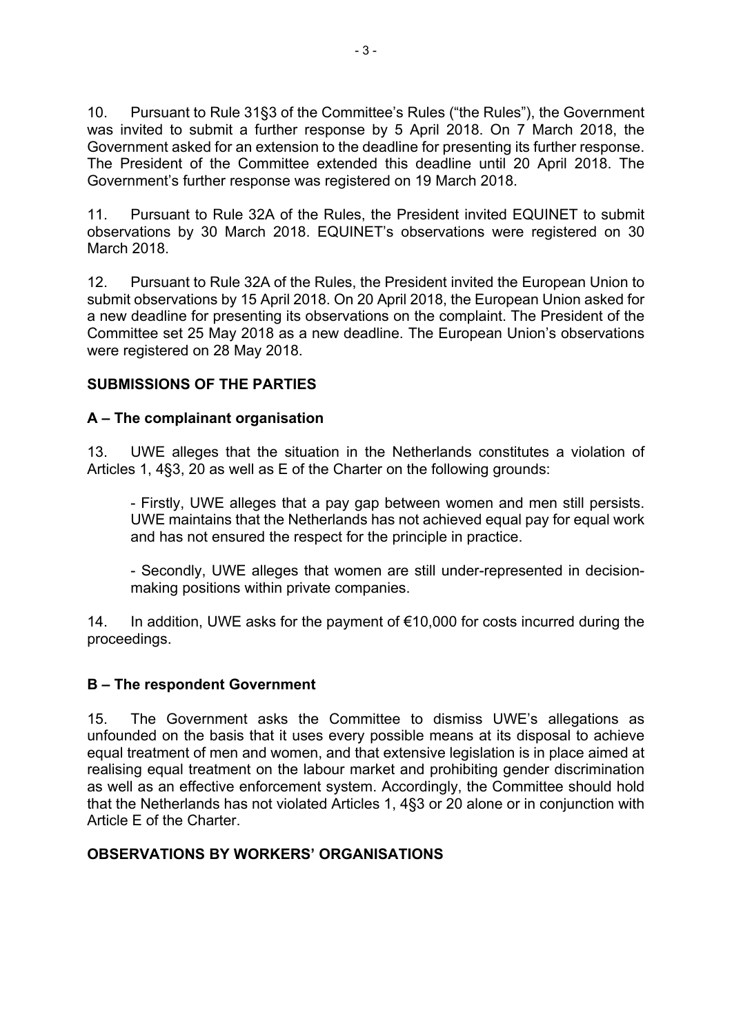10. Pursuant to Rule 31§3 of the Committee's Rules ("the Rules"), the Government was invited to submit a further response by 5 April 2018. On 7 March 2018, the Government asked for an extension to the deadline for presenting its further response. The President of the Committee extended this deadline until 20 April 2018. The Government's further response was registered on 19 March 2018.

11. Pursuant to Rule 32A of the Rules, the President invited EQUINET to submit observations by 30 March 2018. EQUINET's observations were registered on 30 March 2018.

12. Pursuant to Rule 32A of the Rules, the President invited the European Union to submit observations by 15 April 2018. On 20 April 2018, the European Union asked for a new deadline for presenting its observations on the complaint. The President of the Committee set 25 May 2018 as a new deadline. The European Union's observations were registered on 28 May 2018.

## **SUBMISSIONS OF THE PARTIES**

## **A – The complainant organisation**

13. UWE alleges that the situation in the Netherlands constitutes a violation of Articles 1, 4§3, 20 as well as E of the Charter on the following grounds:

- Firstly, UWE alleges that a pay gap between women and men still persists. UWE maintains that the Netherlands has not achieved equal pay for equal work and has not ensured the respect for the principle in practice.

- Secondly, UWE alleges that women are still under-represented in decisionmaking positions within private companies.

14. In addition, UWE asks for the payment of €10,000 for costs incurred during the proceedings.

### **B – The respondent Government**

15. The Government asks the Committee to dismiss UWE's allegations as unfounded on the basis that it uses every possible means at its disposal to achieve equal treatment of men and women, and that extensive legislation is in place aimed at realising equal treatment on the labour market and prohibiting gender discrimination as well as an effective enforcement system. Accordingly, the Committee should hold that the Netherlands has not violated Articles 1, 4§3 or 20 alone or in conjunction with Article E of the Charter.

## **OBSERVATIONS BY WORKERS' ORGANISATIONS**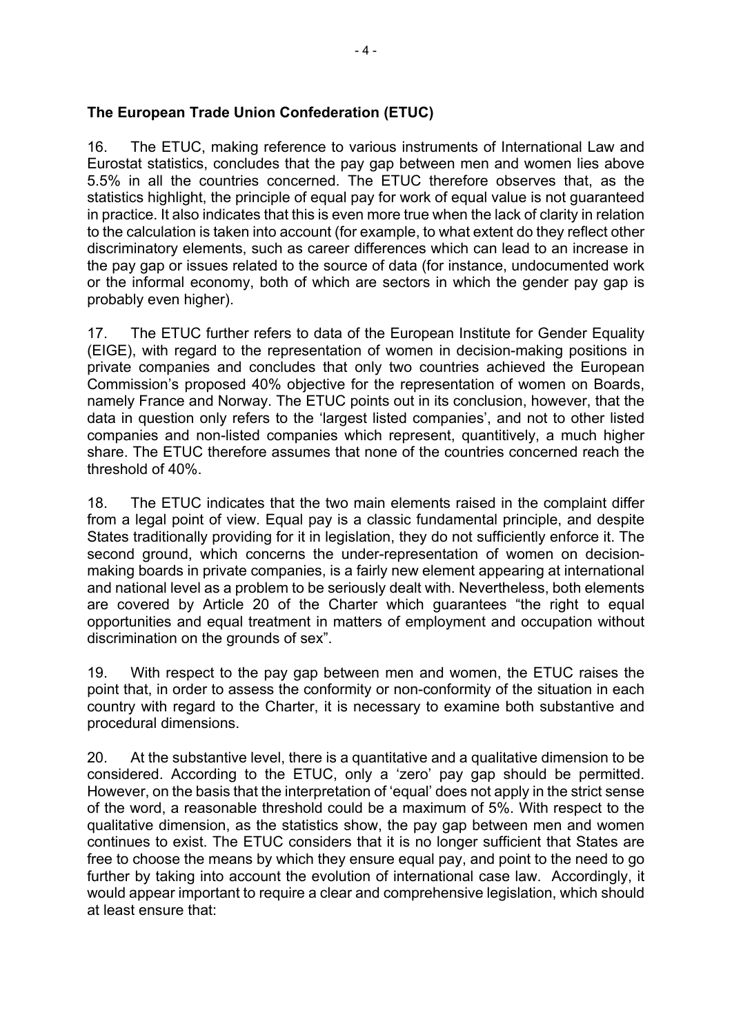### **The European Trade Union Confederation (ETUC)**

16. The ETUC, making reference to various instruments of International Law and Eurostat statistics, concludes that the pay gap between men and women lies above 5.5% in all the countries concerned. The ETUC therefore observes that, as the statistics highlight, the principle of equal pay for work of equal value is not guaranteed in practice. It also indicates that this is even more true when the lack of clarity in relation to the calculation is taken into account (for example, to what extent do they reflect other discriminatory elements, such as career differences which can lead to an increase in the pay gap or issues related to the source of data (for instance, undocumented work or the informal economy, both of which are sectors in which the gender pay gap is probably even higher).

17. The ETUC further refers to data of the European Institute for Gender Equality (EIGE), with regard to the representation of women in decision-making positions in private companies and concludes that only two countries achieved the European Commission's proposed 40% objective for the representation of women on Boards, namely France and Norway. The ETUC points out in its conclusion, however, that the data in question only refers to the 'largest listed companies', and not to other listed companies and non-listed companies which represent, quantitively, a much higher share. The ETUC therefore assumes that none of the countries concerned reach the threshold of 40%.

18. The ETUC indicates that the two main elements raised in the complaint differ from a legal point of view. Equal pay is a classic fundamental principle, and despite States traditionally providing for it in legislation, they do not sufficiently enforce it. The second ground, which concerns the under-representation of women on decisionmaking boards in private companies, is a fairly new element appearing at international and national level as a problem to be seriously dealt with. Nevertheless, both elements are covered by Article 20 of the Charter which guarantees "the right to equal opportunities and equal treatment in matters of employment and occupation without discrimination on the grounds of sex".

19. With respect to the pay gap between men and women, the ETUC raises the point that, in order to assess the conformity or non-conformity of the situation in each country with regard to the Charter, it is necessary to examine both substantive and procedural dimensions.

20. At the substantive level, there is a quantitative and a qualitative dimension to be considered. According to the ETUC, only a 'zero' pay gap should be permitted. However, on the basis that the interpretation of 'equal' does not apply in the strict sense of the word, a reasonable threshold could be a maximum of 5%. With respect to the qualitative dimension, as the statistics show, the pay gap between men and women continues to exist. The ETUC considers that it is no longer sufficient that States are free to choose the means by which they ensure equal pay, and point to the need to go further by taking into account the evolution of international case law. Accordingly, it would appear important to require a clear and comprehensive legislation, which should at least ensure that: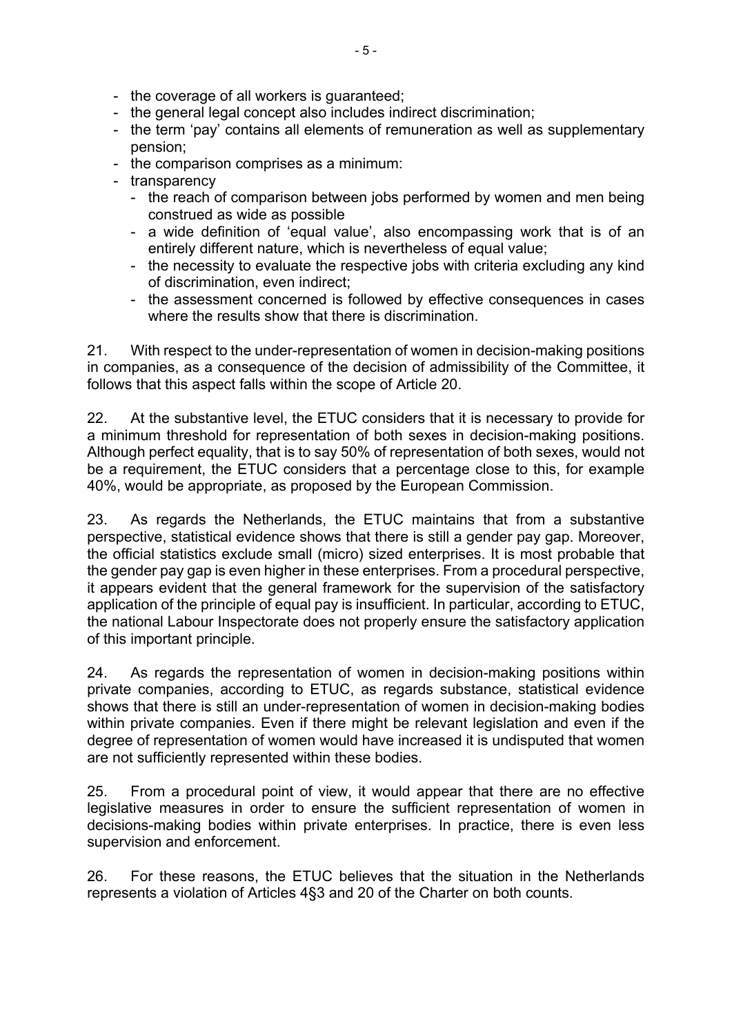- the coverage of all workers is guaranteed;
- the general legal concept also includes indirect discrimination;
- the term 'pay' contains all elements of remuneration as well as supplementary pension;
- the comparison comprises as a minimum:
- transparency
	- the reach of comparison between jobs performed by women and men being construed as wide as possible
	- a wide definition of 'equal value', also encompassing work that is of an entirely different nature, which is nevertheless of equal value;
	- the necessity to evaluate the respective jobs with criteria excluding any kind of discrimination, even indirect;
	- the assessment concerned is followed by effective consequences in cases where the results show that there is discrimination.

21. With respect to the under-representation of women in decision-making positions in companies, as a consequence of the decision of admissibility of the Committee, it follows that this aspect falls within the scope of Article 20.

22. At the substantive level, the ETUC considers that it is necessary to provide for a minimum threshold for representation of both sexes in decision-making positions. Although perfect equality, that is to say 50% of representation of both sexes, would not be a requirement, the ETUC considers that a percentage close to this, for example 40%, would be appropriate, as proposed by the European Commission.

23. As regards the Netherlands, the ETUC maintains that from a substantive perspective, statistical evidence shows that there is still a gender pay gap. Moreover, the official statistics exclude small (micro) sized enterprises. It is most probable that the gender pay gap is even higher in these enterprises. From a procedural perspective, it appears evident that the general framework for the supervision of the satisfactory application of the principle of equal pay is insufficient. In particular, according to ETUC, the national Labour Inspectorate does not properly ensure the satisfactory application of this important principle.

24. As regards the representation of women in decision-making positions within private companies, according to ETUC, as regards substance, statistical evidence shows that there is still an under-representation of women in decision-making bodies within private companies. Even if there might be relevant legislation and even if the degree of representation of women would have increased it is undisputed that women are not sufficiently represented within these bodies.

25. From a procedural point of view, it would appear that there are no effective legislative measures in order to ensure the sufficient representation of women in decisions-making bodies within private enterprises. In practice, there is even less supervision and enforcement.

26. For these reasons, the ETUC believes that the situation in the Netherlands represents a violation of Articles 4§3 and 20 of the Charter on both counts.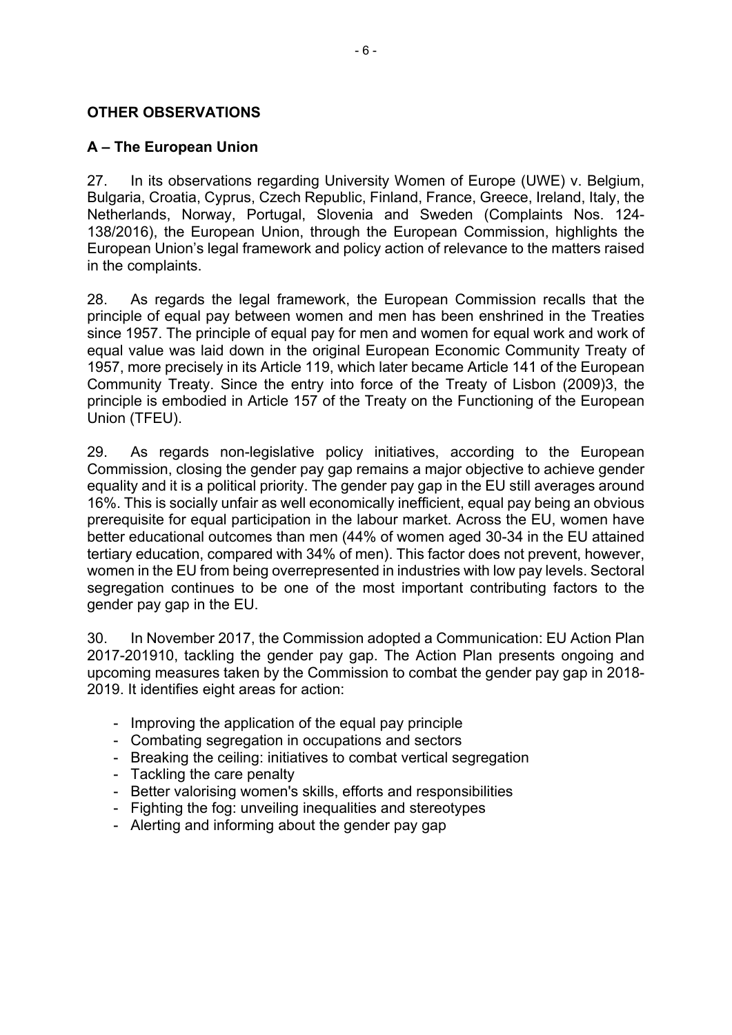### **OTHER OBSERVATIONS**

### **A – The European Union**

27. In its observations regarding University Women of Europe (UWE) v. Belgium, Bulgaria, Croatia, Cyprus, Czech Republic, Finland, France, Greece, Ireland, Italy, the Netherlands, Norway, Portugal, Slovenia and Sweden (Complaints Nos. 124- 138/2016), the European Union, through the European Commission, highlights the European Union's legal framework and policy action of relevance to the matters raised in the complaints.

28. As regards the legal framework, the European Commission recalls that the principle of equal pay between women and men has been enshrined in the Treaties since 1957. The principle of equal pay for men and women for equal work and work of equal value was laid down in the original European Economic Community Treaty of 1957, more precisely in its Article 119, which later became Article 141 of the European Community Treaty. Since the entry into force of the Treaty of Lisbon (2009)3, the principle is embodied in Article 157 of the Treaty on the Functioning of the European Union (TFEU).

29. As regards non-legislative policy initiatives, according to the European Commission, closing the gender pay gap remains a major objective to achieve gender equality and it is a political priority. The gender pay gap in the EU still averages around 16%. This is socially unfair as well economically inefficient, equal pay being an obvious prerequisite for equal participation in the labour market. Across the EU, women have better educational outcomes than men (44% of women aged 30-34 in the EU attained tertiary education, compared with 34% of men). This factor does not prevent, however, women in the EU from being overrepresented in industries with low pay levels. Sectoral segregation continues to be one of the most important contributing factors to the gender pay gap in the EU.

30. In November 2017, the Commission adopted a Communication: EU Action Plan 2017-201910, tackling the gender pay gap. The Action Plan presents ongoing and upcoming measures taken by the Commission to combat the gender pay gap in 2018- 2019. It identifies eight areas for action:

- Improving the application of the equal pay principle
- Combating segregation in occupations and sectors
- Breaking the ceiling: initiatives to combat vertical segregation
- Tackling the care penalty
- Better valorising women's skills, efforts and responsibilities
- Fighting the fog: unveiling inequalities and stereotypes
- Alerting and informing about the gender pay gap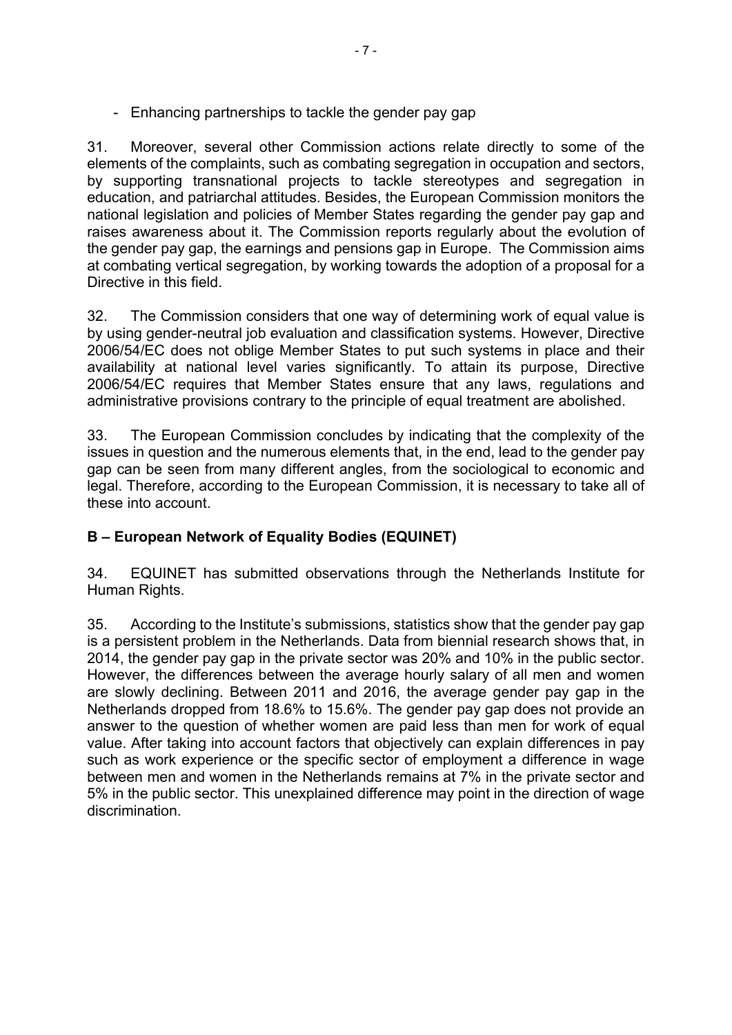- Enhancing partnerships to tackle the gender pay gap

31. Moreover, several other Commission actions relate directly to some of the elements of the complaints, such as combating segregation in occupation and sectors, by supporting transnational projects to tackle stereotypes and segregation in education, and patriarchal attitudes. Besides, the European Commission monitors the national legislation and policies of Member States regarding the gender pay gap and raises awareness about it. The Commission reports regularly about the evolution of the gender pay gap, the earnings and pensions gap in Europe. The Commission aims at combating vertical segregation, by working towards the adoption of a proposal for a Directive in this field.

32. The Commission considers that one way of determining work of equal value is by using gender-neutral job evaluation and classification systems. However, Directive 2006/54/EC does not oblige Member States to put such systems in place and their availability at national level varies significantly. To attain its purpose, Directive 2006/54/EC requires that Member States ensure that any laws, regulations and administrative provisions contrary to the principle of equal treatment are abolished.

33. The European Commission concludes by indicating that the complexity of the issues in question and the numerous elements that, in the end, lead to the gender pay gap can be seen from many different angles, from the sociological to economic and legal. Therefore, according to the European Commission, it is necessary to take all of these into account.

# **B – European Network of Equality Bodies (EQUINET)**

34. EQUINET has submitted observations through the Netherlands Institute for Human Rights.

35. According to the Institute's submissions, statistics show that the gender pay gap is a persistent problem in the Netherlands. Data from biennial research shows that, in 2014, the gender pay gap in the private sector was 20% and 10% in the public sector. However, the differences between the average hourly salary of all men and women are slowly declining. Between 2011 and 2016, the average gender pay gap in the Netherlands dropped from 18.6% to 15.6%. The gender pay gap does not provide an answer to the question of whether women are paid less than men for work of equal value. After taking into account factors that objectively can explain differences in pay such as work experience or the specific sector of employment a difference in wage between men and women in the Netherlands remains at 7% in the private sector and 5% in the public sector. This unexplained difference may point in the direction of wage discrimination.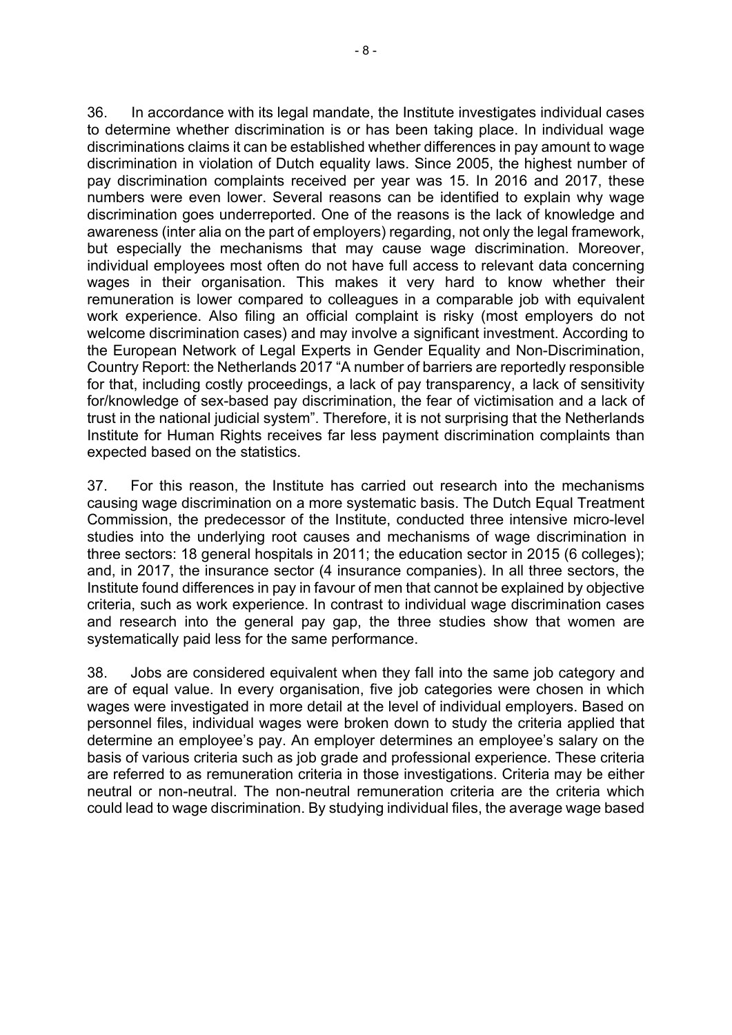36. In accordance with its legal mandate, the Institute investigates individual cases to determine whether discrimination is or has been taking place. In individual wage discriminations claims it can be established whether differences in pay amount to wage discrimination in violation of Dutch equality laws. Since 2005, the highest number of pay discrimination complaints received per year was 15. In 2016 and 2017, these numbers were even lower. Several reasons can be identified to explain why wage discrimination goes underreported. One of the reasons is the lack of knowledge and awareness (inter alia on the part of employers) regarding, not only the legal framework, but especially the mechanisms that may cause wage discrimination. Moreover, individual employees most often do not have full access to relevant data concerning wages in their organisation. This makes it very hard to know whether their remuneration is lower compared to colleagues in a comparable job with equivalent work experience. Also filing an official complaint is risky (most employers do not welcome discrimination cases) and may involve a significant investment. According to the European Network of Legal Experts in Gender Equality and Non-Discrimination, Country Report: the Netherlands 2017 "A number of barriers are reportedly responsible for that, including costly proceedings, a lack of pay transparency, a lack of sensitivity for/knowledge of sex-based pay discrimination, the fear of victimisation and a lack of trust in the national judicial system". Therefore, it is not surprising that the Netherlands Institute for Human Rights receives far less payment discrimination complaints than expected based on the statistics.

37. For this reason, the Institute has carried out research into the mechanisms causing wage discrimination on a more systematic basis. The Dutch Equal Treatment Commission, the predecessor of the Institute, conducted three intensive micro-level studies into the underlying root causes and mechanisms of wage discrimination in three sectors: 18 general hospitals in 2011; the education sector in 2015 (6 colleges); and, in 2017, the insurance sector (4 insurance companies). In all three sectors, the Institute found differences in pay in favour of men that cannot be explained by objective criteria, such as work experience. In contrast to individual wage discrimination cases and research into the general pay gap, the three studies show that women are systematically paid less for the same performance.

38. Jobs are considered equivalent when they fall into the same job category and are of equal value. In every organisation, five job categories were chosen in which wages were investigated in more detail at the level of individual employers. Based on personnel files, individual wages were broken down to study the criteria applied that determine an employee's pay. An employer determines an employee's salary on the basis of various criteria such as job grade and professional experience. These criteria are referred to as remuneration criteria in those investigations. Criteria may be either neutral or non-neutral. The non-neutral remuneration criteria are the criteria which could lead to wage discrimination. By studying individual files, the average wage based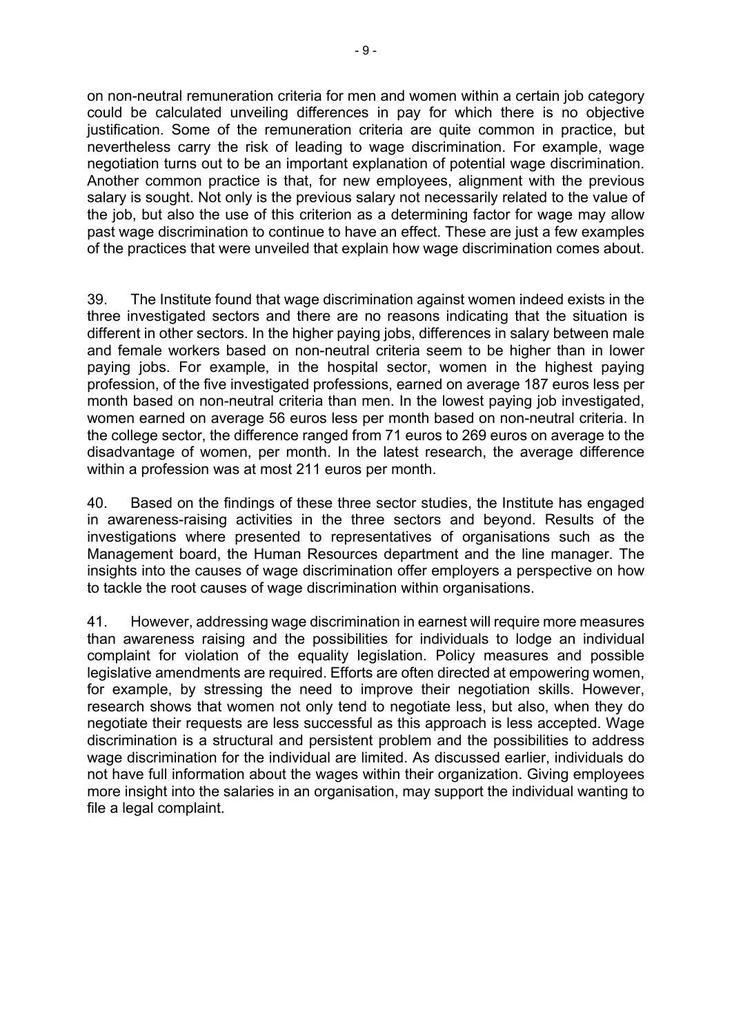on non-neutral remuneration criteria for men and women within a certain job category could be calculated unveiling differences in pay for which there is no objective justification. Some of the remuneration criteria are quite common in practice, but nevertheless carry the risk of leading to wage discrimination. For example, wage negotiation turns out to be an important explanation of potential wage discrimination. Another common practice is that, for new employees, alignment with the previous salary is sought. Not only is the previous salary not necessarily related to the value of the job, but also the use of this criterion as a determining factor for wage may allow past wage discrimination to continue to have an effect. These are just a few examples of the practices that were unveiled that explain how wage discrimination comes about.

39. The Institute found that wage discrimination against women indeed exists in the three investigated sectors and there are no reasons indicating that the situation is different in other sectors. In the higher paying jobs, differences in salary between male and female workers based on non-neutral criteria seem to be higher than in lower paying jobs. For example, in the hospital sector, women in the highest paying profession, of the five investigated professions, earned on average 187 euros less per month based on non-neutral criteria than men. In the lowest paying job investigated, women earned on average 56 euros less per month based on non-neutral criteria. In the college sector, the difference ranged from 71 euros to 269 euros on average to the disadvantage of women, per month. In the latest research, the average difference within a profession was at most 211 euros per month.

40. Based on the findings of these three sector studies, the Institute has engaged in awareness-raising activities in the three sectors and beyond. Results of the investigations where presented to representatives of organisations such as the Management board, the Human Resources department and the line manager. The insights into the causes of wage discrimination offer employers a perspective on how to tackle the root causes of wage discrimination within organisations.

41. However, addressing wage discrimination in earnest will require more measures than awareness raising and the possibilities for individuals to lodge an individual complaint for violation of the equality legislation. Policy measures and possible legislative amendments are required. Efforts are often directed at empowering women, for example, by stressing the need to improve their negotiation skills. However, research shows that women not only tend to negotiate less, but also, when they do negotiate their requests are less successful as this approach is less accepted. Wage discrimination is a structural and persistent problem and the possibilities to address wage discrimination for the individual are limited. As discussed earlier, individuals do not have full information about the wages within their organization. Giving employees more insight into the salaries in an organisation, may support the individual wanting to file a legal complaint.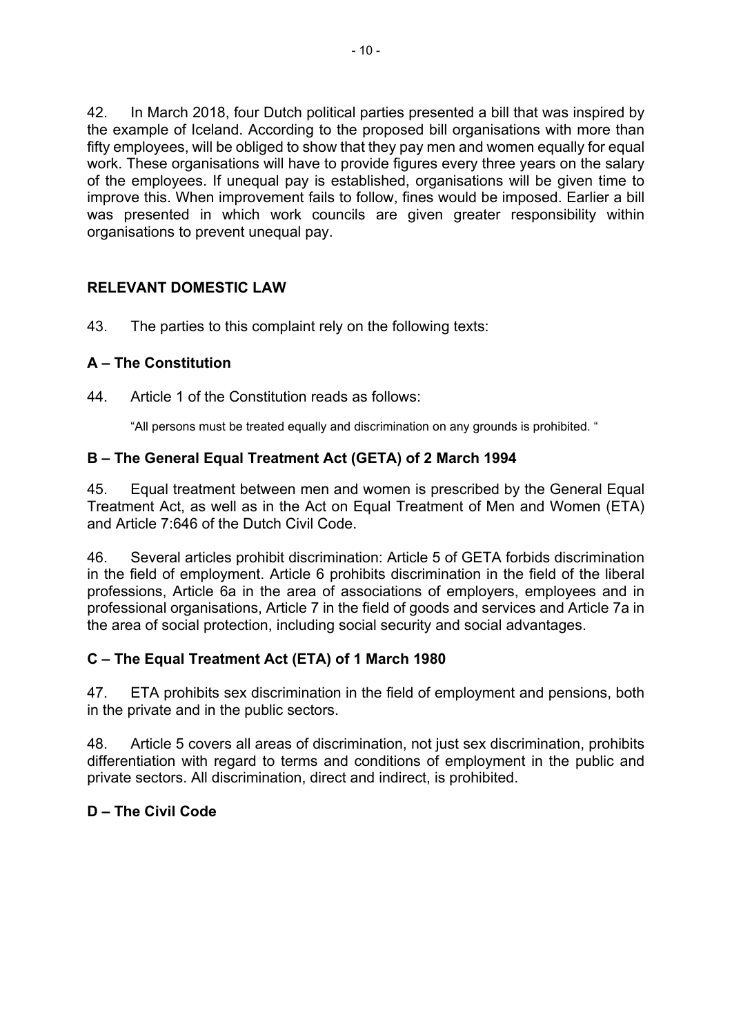42. In March 2018, four Dutch political parties presented a bill that was inspired by the example of Iceland. According to the proposed bill organisations with more than fifty employees, will be obliged to show that they pay men and women equally for equal work. These organisations will have to provide figures every three years on the salary of the employees. If unequal pay is established, organisations will be given time to improve this. When improvement fails to follow, fines would be imposed. Earlier a bill was presented in which work councils are given greater responsibility within organisations to prevent unequal pay.

## **RELEVANT DOMESTIC LAW**

43. The parties to this complaint rely on the following texts:

## **A – The Constitution**

44. Article 1 of the Constitution reads as follows:

"All persons must be treated equally and discrimination on any grounds is prohibited. "

### **B – The General Equal Treatment Act (GETA) of 2 March 1994**

45. Equal treatment between men and women is prescribed by the General Equal Treatment Act, as well as in the Act on Equal Treatment of Men and Women (ETA) and Article 7:646 of the Dutch Civil Code.

46. Several articles prohibit discrimination: Article 5 of GETA forbids discrimination in the field of employment. Article 6 prohibits discrimination in the field of the liberal professions, Article 6a in the area of associations of employers, employees and in professional organisations, Article 7 in the field of goods and services and Article 7a in the area of social protection, including social security and social advantages.

## **C – The Equal Treatment Act (ETA) of 1 March 1980**

47. ETA prohibits sex discrimination in the field of employment and pensions, both in the private and in the public sectors.

48. Article 5 covers all areas of discrimination, not just sex discrimination, prohibits differentiation with regard to terms and conditions of employment in the public and private sectors. All discrimination, direct and indirect, is prohibited.

## **D – The Civil Code**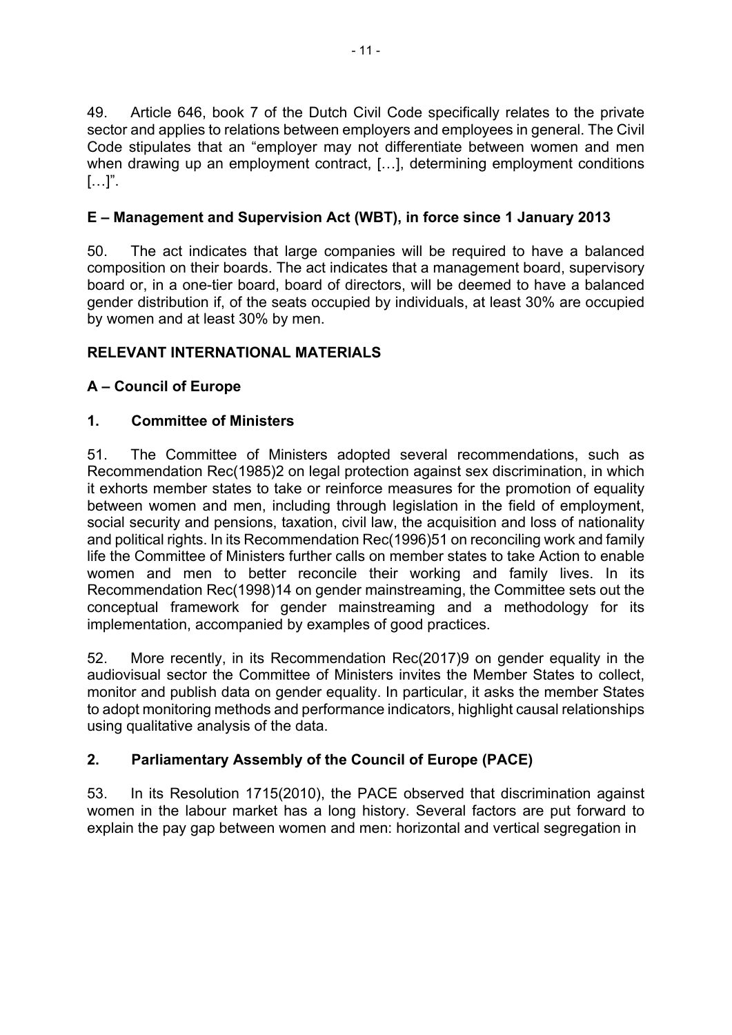49. Article 646, book 7 of the Dutch Civil Code specifically relates to the private sector and applies to relations between employers and employees in general. The Civil Code stipulates that an "employer may not differentiate between women and men when drawing up an employment contract, […], determining employment conditions  $[\ldots]$ ".

## **E – Management and Supervision Act (WBT), in force since 1 January 2013**

50. The act indicates that large companies will be required to have a balanced composition on their boards. The act indicates that a management board, supervisory board or, in a one-tier board, board of directors, will be deemed to have a balanced gender distribution if, of the seats occupied by individuals, at least 30% are occupied by women and at least 30% by men.

## **RELEVANT INTERNATIONAL MATERIALS**

## **A – Council of Europe**

## **1. Committee of Ministers**

51. The Committee of Ministers adopted several recommendations, such as Recommendation Rec(1985)2 on legal protection against sex discrimination, in which it exhorts member states to take or reinforce measures for the promotion of equality between women and men, including through legislation in the field of employment, social security and pensions, taxation, civil law, the acquisition and loss of nationality and political rights. In its Recommendation Rec(1996)51 on reconciling work and family life the Committee of Ministers further calls on member states to take Action to enable women and men to better reconcile their working and family lives. In its Recommendation Rec(1998)14 on gender mainstreaming, the Committee sets out the conceptual framework for gender mainstreaming and a methodology for its implementation, accompanied by examples of good practices.

52. More recently, in its Recommendation Rec(2017)9 on gender equality in the audiovisual sector the Committee of Ministers invites the Member States to collect, monitor and publish data on gender equality. In particular, it asks the member States to adopt monitoring methods and performance indicators, highlight causal relationships using qualitative analysis of the data.

# **2. Parliamentary Assembly of the Council of Europe (PACE)**

53. In its Resolution 1715(2010), the PACE observed that discrimination against women in the labour market has a long history. Several factors are put forward to explain the pay gap between women and men: horizontal and vertical segregation in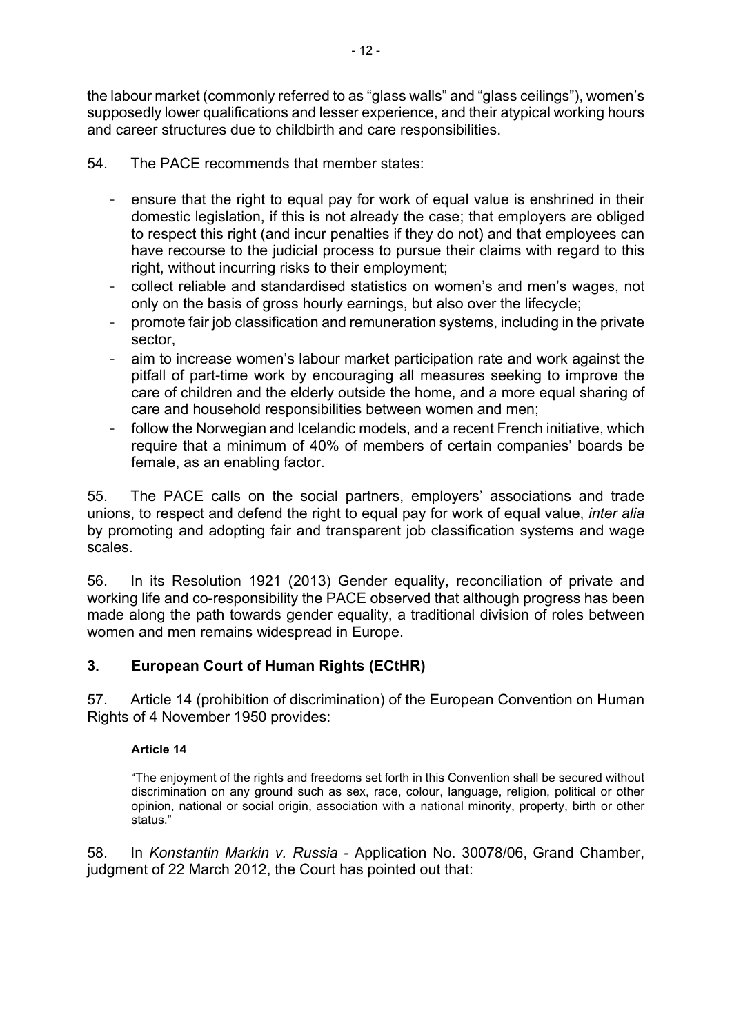the labour market (commonly referred to as "glass walls" and "glass ceilings"), women's supposedly lower qualifications and lesser experience, and their atypical working hours and career structures due to childbirth and care responsibilities.

- 54. The PACE recommends that member states:
	- ensure that the right to equal pay for work of equal value is enshrined in their domestic legislation, if this is not already the case; that employers are obliged to respect this right (and incur penalties if they do not) and that employees can have recourse to the judicial process to pursue their claims with regard to this right, without incurring risks to their employment;
	- collect reliable and standardised statistics on women's and men's wages, not only on the basis of gross hourly earnings, but also over the lifecycle;
	- promote fair job classification and remuneration systems, including in the private sector,
	- aim to increase women's labour market participation rate and work against the pitfall of part-time work by encouraging all measures seeking to improve the care of children and the elderly outside the home, and a more equal sharing of care and household responsibilities between women and men;
	- follow the Norwegian and Icelandic models, and a recent French initiative, which require that a minimum of 40% of members of certain companies' boards be female, as an enabling factor.

55. The PACE calls on the social partners, employers' associations and trade unions, to respect and defend the right to equal pay for work of equal value, *inter alia* by promoting and adopting fair and transparent job classification systems and wage scales.

56. In its Resolution 1921 (2013) Gender equality, reconciliation of private and working life and co-responsibility the PACE observed that although progress has been made along the path towards gender equality, a traditional division of roles between women and men remains widespread in Europe.

## **3. European Court of Human Rights (ECtHR)**

57. Article 14 (prohibition of discrimination) of the European Convention on Human Rights of 4 November 1950 provides:

### **Article 14**

"The enjoyment of the rights and freedoms set forth in this Convention shall be secured without discrimination on any ground such as sex, race, colour, language, religion, political or other opinion, national or social origin, association with a national minority, property, birth or other status."

58. In *Konstantin Markin v. Russia -* Application No. 30078/06, Grand Chamber, judgment of 22 March 2012, the Court has pointed out that: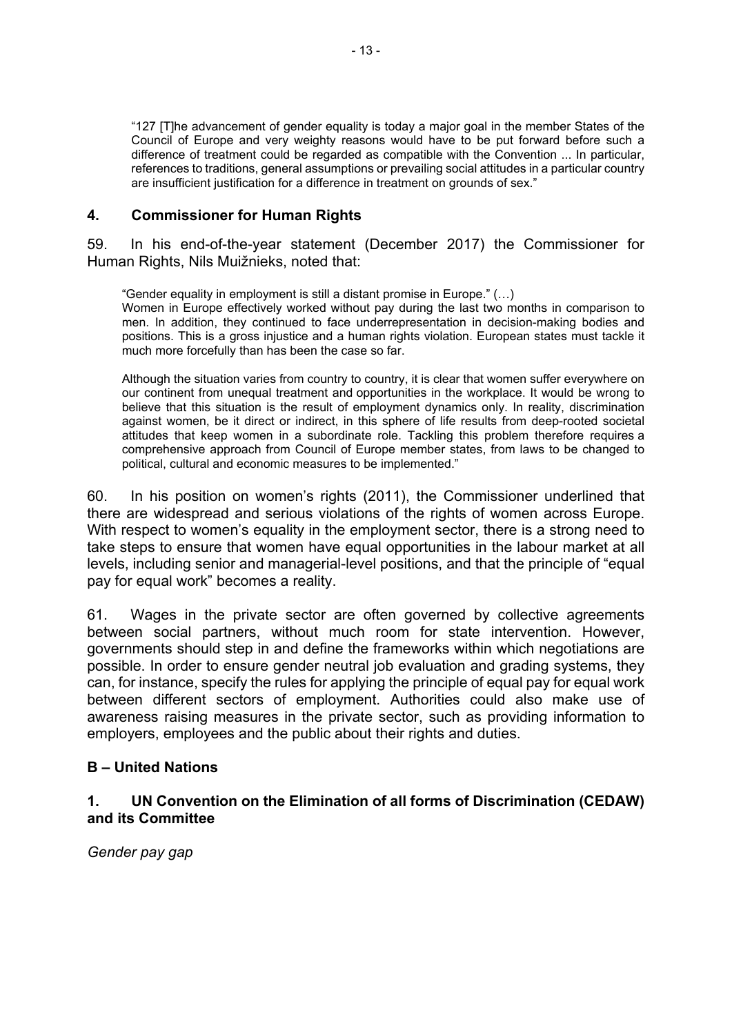"127 [T]he advancement of gender equality is today a major goal in the member States of the Council of Europe and very weighty reasons would have to be put forward before such a difference of treatment could be regarded as compatible with the Convention ... In particular, references to traditions, general assumptions or prevailing social attitudes in a particular country are insufficient justification for a difference in treatment on grounds of sex."

#### **4. Commissioner for Human Rights**

59. In his end-of-the-year statement (December 2017) the Commissioner for Human Rights, Nils Muižnieks, noted that:

"Gender equality in employment is still a distant promise in Europe." (…) Women in Europe effectively worked without pay during the last two months in comparison to men. In addition, they continued to face underrepresentation in decision-making bodies and positions. This is a gross injustice and a human rights violation. European states must tackle it much more forcefully than has been the case so far.

Although the situation varies from country to country, it is clear that women suffer everywhere on our continent from unequal treatment and opportunities in the workplace. It would be wrong to believe that this situation is the result of employment dynamics only. In reality, discrimination against women, be it direct or indirect, in this sphere of life results from deep-rooted societal attitudes that keep women in a subordinate role. Tackling this problem therefore requires a comprehensive approach from Council of Europe member states, from laws to be changed to political, cultural and economic measures to be implemented."

60. In his position on women's rights (2011), the Commissioner underlined that there are widespread and serious violations of the rights of women across Europe. With respect to women's equality in the employment sector, there is a strong need to take steps to ensure that women have equal opportunities in the labour market at all levels, including senior and managerial-level positions, and that the principle of "equal pay for equal work" becomes a reality.

61. Wages in the private sector are often governed by collective agreements between social partners, without much room for state intervention. However, governments should step in and define the frameworks within which negotiations are possible. In order to ensure gender neutral job evaluation and grading systems, they can, for instance, specify the rules for applying the principle of equal pay for equal work between different sectors of employment. Authorities could also make use of awareness raising measures in the private sector, such as providing information to employers, employees and the public about their rights and duties.

### **B – United Nations**

### **1. UN Convention on the Elimination of all forms of Discrimination (CEDAW) and its Committee**

*Gender pay gap*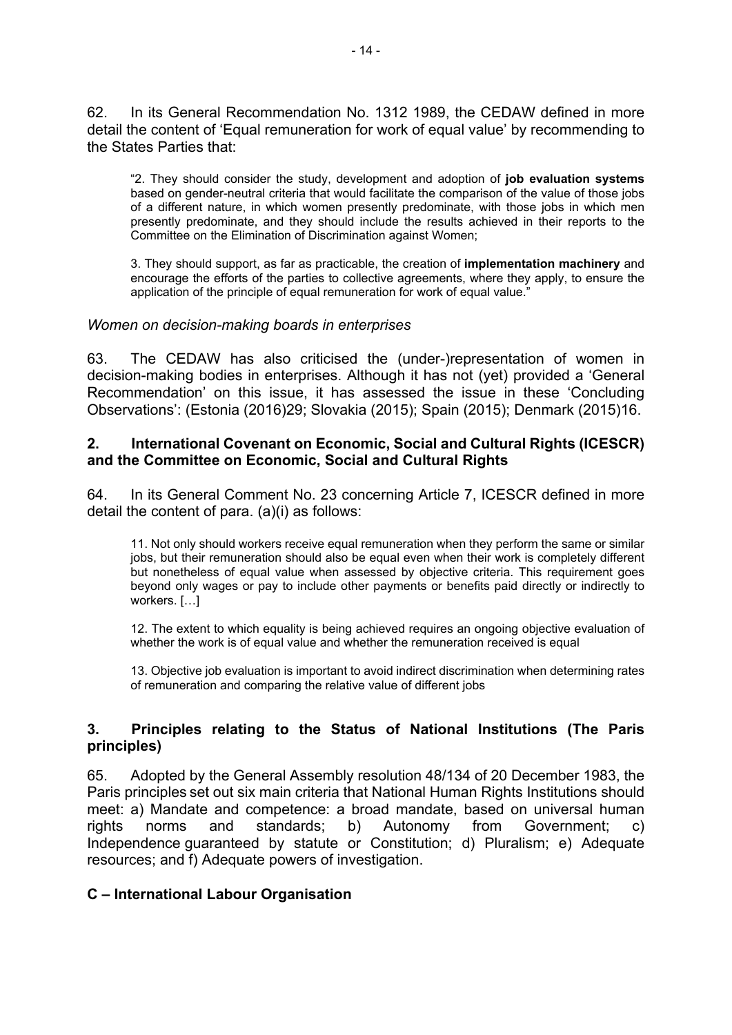62. In its General Recommendation No. 1312 1989, the CEDAW defined in more detail the content of 'Equal remuneration for work of equal value' by recommending to the States Parties that:

"2. They should consider the study, development and adoption of **job evaluation systems** based on gender-neutral criteria that would facilitate the comparison of the value of those jobs of a different nature, in which women presently predominate, with those jobs in which men presently predominate, and they should include the results achieved in their reports to the Committee on the Elimination of Discrimination against Women;

3. They should support, as far as practicable, the creation of **implementation machinery** and encourage the efforts of the parties to collective agreements, where they apply, to ensure the application of the principle of equal remuneration for work of equal value."

#### *Women on decision-making boards in enterprises*

63. The CEDAW has also criticised the (under-)representation of women in decision-making bodies in enterprises. Although it has not (yet) provided a 'General Recommendation' on this issue, it has assessed the issue in these 'Concluding Observations': (Estonia (2016)29; Slovakia (2015); Spain (2015); Denmark (2015)16.

#### **2. International Covenant on Economic, Social and Cultural Rights (ICESCR) and the Committee on Economic, Social and Cultural Rights**

64. In its General Comment No. 23 concerning Article 7, ICESCR defined in more detail the content of para. (a)(i) as follows:

11. Not only should workers receive equal remuneration when they perform the same or similar jobs, but their remuneration should also be equal even when their work is completely different but nonetheless of equal value when assessed by objective criteria. This requirement goes beyond only wages or pay to include other payments or benefits paid directly or indirectly to workers. […]

12. The extent to which equality is being achieved requires an ongoing objective evaluation of whether the work is of equal value and whether the remuneration received is equal

13. Objective job evaluation is important to avoid indirect discrimination when determining rates of remuneration and comparing the relative value of different jobs

### **3. Principles relating to the Status of National Institutions (The Paris principles)**

65. Adopted by the General Assembly resolution 48/134 of 20 December 1983, the Paris principles set out six main criteria that National Human Rights Institutions should meet: a) Mandate and competence: a broad mandate, based on universal human rights norms and standards; b) Autonomy from Government; c) Independence guaranteed by statute or Constitution; d) Pluralism; e) Adequate resources; and f) Adequate powers of investigation.

#### **C – International Labour Organisation**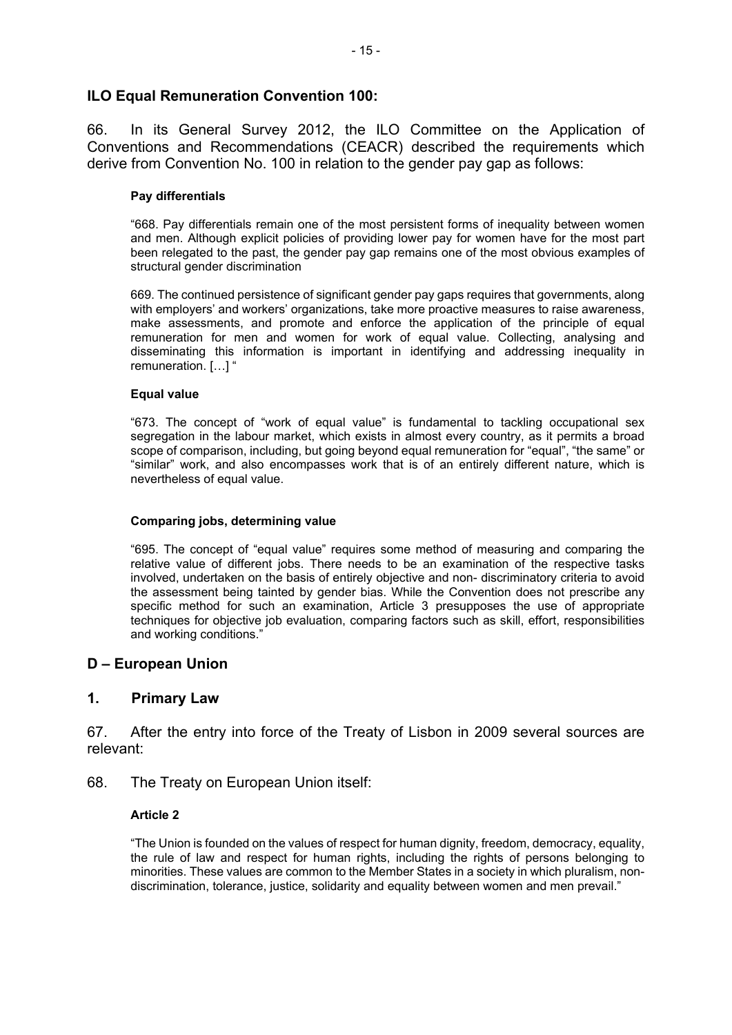### **ILO Equal Remuneration Convention 100:**

66. In its General Survey 2012, the ILO Committee on the Application of Conventions and Recommendations (CEACR) described the requirements which derive from Convention No. 100 in relation to the gender pay gap as follows:

#### **Pay differentials**

"668. Pay differentials remain one of the most persistent forms of inequality between women and men. Although explicit policies of providing lower pay for women have for the most part been relegated to the past, the gender pay gap remains one of the most obvious examples of structural gender discrimination

669. The continued persistence of significant gender pay gaps requires that governments, along with employers' and workers' organizations, take more proactive measures to raise awareness, make assessments, and promote and enforce the application of the principle of equal remuneration for men and women for work of equal value. Collecting, analysing and disseminating this information is important in identifying and addressing inequality in remuneration. […] "

#### **Equal value**

"673. The concept of "work of equal value" is fundamental to tackling occupational sex segregation in the labour market, which exists in almost every country, as it permits a broad scope of comparison, including, but going beyond equal remuneration for "equal", "the same" or "similar" work, and also encompasses work that is of an entirely different nature, which is nevertheless of equal value.

#### **Comparing jobs, determining value**

"695. The concept of "equal value" requires some method of measuring and comparing the relative value of different jobs. There needs to be an examination of the respective tasks involved, undertaken on the basis of entirely objective and non- discriminatory criteria to avoid the assessment being tainted by gender bias. While the Convention does not prescribe any specific method for such an examination, Article 3 presupposes the use of appropriate techniques for objective job evaluation, comparing factors such as skill, effort, responsibilities and working conditions."

#### **D – European Union**

#### **1. Primary Law**

67. After the entry into force of the Treaty of Lisbon in 2009 several sources are relevant:

#### 68. The Treaty on European Union itself:

#### **Article 2**

"The Union is founded on the values of respect for human dignity, freedom, democracy, equality, the rule of law and respect for human rights, including the rights of persons belonging to minorities. These values are common to the Member States in a society in which pluralism, nondiscrimination, tolerance, justice, solidarity and equality between women and men prevail."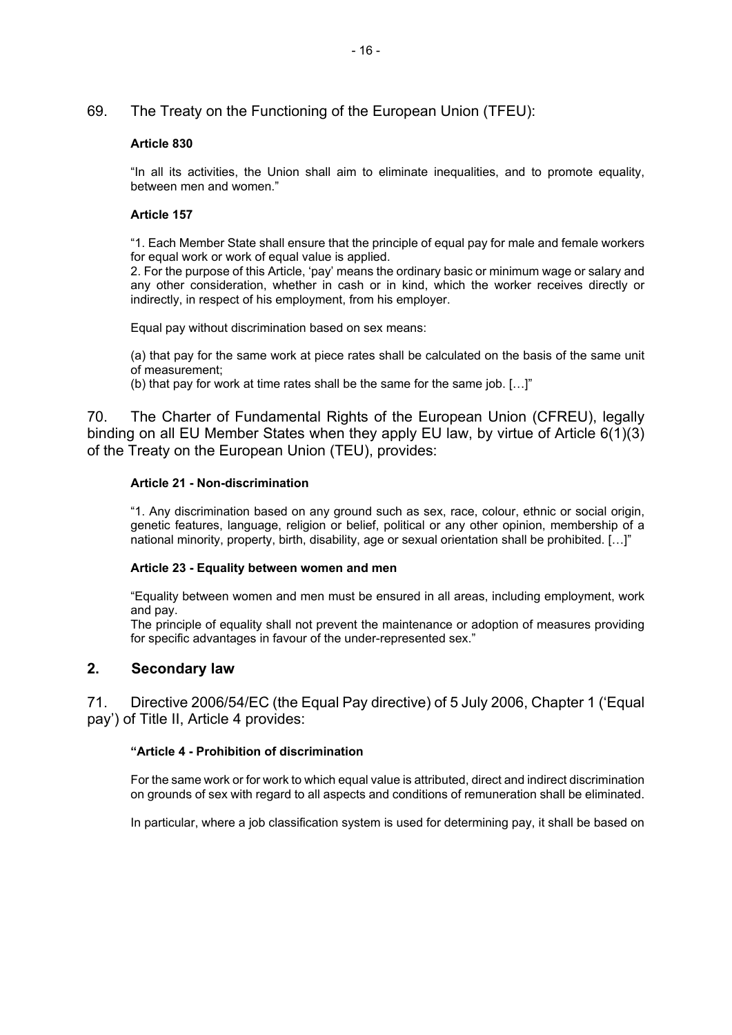#### 69. The Treaty on the Functioning of the European Union (TFEU):

#### **Article 830**

"In all its activities, the Union shall aim to eliminate inequalities, and to promote equality, between men and women."

#### **Article 157**

"1. Each Member State shall ensure that the principle of equal pay for male and female workers for equal work or work of equal value is applied.

2. For the purpose of this Article, 'pay' means the ordinary basic or minimum wage or salary and any other consideration, whether in cash or in kind, which the worker receives directly or indirectly, in respect of his employment, from his employer.

Equal pay without discrimination based on sex means:

(a) that pay for the same work at piece rates shall be calculated on the basis of the same unit of measurement;

(b) that pay for work at time rates shall be the same for the same job. […]"

70. The Charter of Fundamental Rights of the European Union (CFREU), legally binding on all EU Member States when they apply EU law, by virtue of Article 6(1)(3) of the Treaty on the European Union (TEU), provides:

#### **Article 21 - Non-discrimination**

"1. Any discrimination based on any ground such as sex, race, colour, ethnic or social origin, genetic features, language, religion or belief, political or any other opinion, membership of a national minority, property, birth, disability, age or sexual orientation shall be prohibited. […]"

#### **Article 23 - Equality between women and men**

"Equality between women and men must be ensured in all areas, including employment, work and pay.

The principle of equality shall not prevent the maintenance or adoption of measures providing for specific advantages in favour of the under-represented sex."

#### **2. Secondary law**

71. Directive 2006/54/EC (the Equal Pay directive) of 5 July 2006, Chapter 1 ('Equal pay') of Title II, Article 4 provides:

#### **"Article 4 - Prohibition of discrimination**

For the same work or for work to which equal value is attributed, direct and indirect discrimination on grounds of sex with regard to all aspects and conditions of remuneration shall be eliminated.

In particular, where a job classification system is used for determining pay, it shall be based on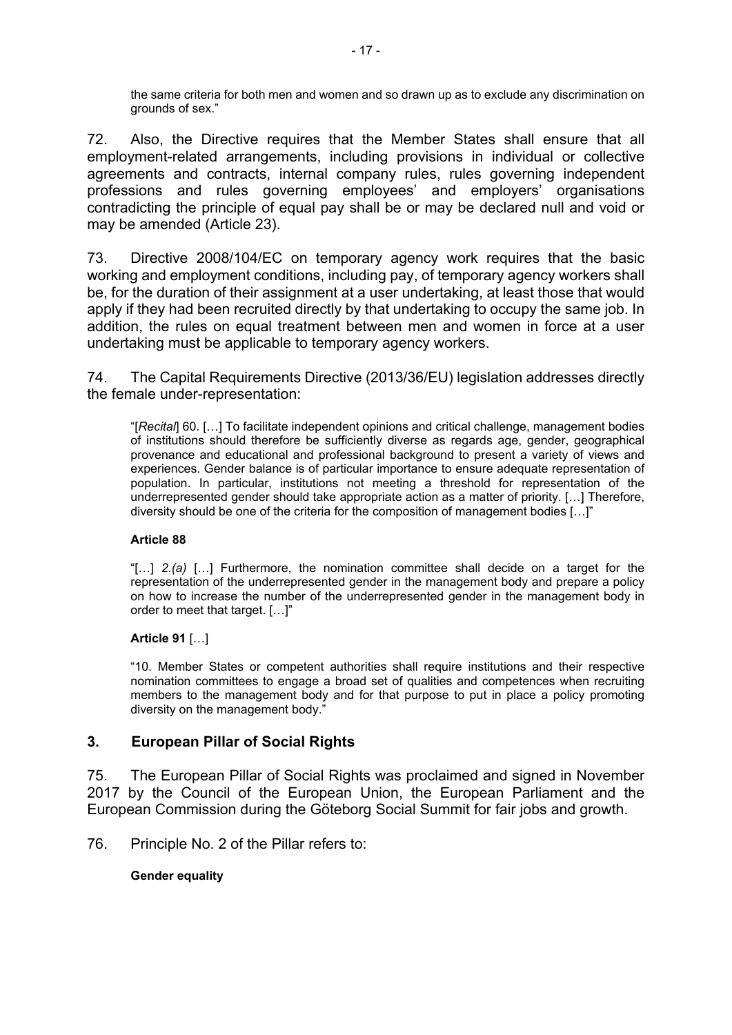the same criteria for both men and women and so drawn up as to exclude any discrimination on grounds of sex."

72. Also, the Directive requires that the Member States shall ensure that all employment-related arrangements, including provisions in individual or collective agreements and contracts, internal company rules, rules governing independent professions and rules governing employees' and employers' organisations contradicting the principle of equal pay shall be or may be declared null and void or may be amended (Article 23).

73. Directive 2008/104/EC on temporary agency work requires that the basic working and employment conditions, including pay, of temporary agency workers shall be, for the duration of their assignment at a user undertaking, at least those that would apply if they had been recruited directly by that undertaking to occupy the same job. In addition, the rules on equal treatment between men and women in force at a user undertaking must be applicable to temporary agency workers.

74. The Capital Requirements Directive (2013/36/EU) legislation addresses directly the female under-representation:

"[*Recital*] 60. […] To facilitate independent opinions and critical challenge, management bodies of institutions should therefore be sufficiently diverse as regards age, gender, geographical provenance and educational and professional background to present a variety of views and experiences. Gender balance is of particular importance to ensure adequate representation of population. In particular, institutions not meeting a threshold for representation of the underrepresented gender should take appropriate action as a matter of priority. […] Therefore, diversity should be one of the criteria for the composition of management bodies […]"

#### **Article 88**

"[…] *2.(a)* […] Furthermore, the nomination committee shall decide on a target for the representation of the underrepresented gender in the management body and prepare a policy on how to increase the number of the underrepresented gender in the management body in order to meet that target. […]"

#### **Article 91** […]

"10. Member States or competent authorities shall require institutions and their respective nomination committees to engage a broad set of qualities and competences when recruiting members to the management body and for that purpose to put in place a policy promoting diversity on the management body.<sup>3</sup>

### **3. European Pillar of Social Rights**

75. The European Pillar of Social Rights was proclaimed and signed in November 2017 by the Council of the European Union, the European Parliament and the European Commission during the Göteborg Social Summit for fair jobs and growth.

76. Principle No. 2 of the Pillar refers to:

#### **Gender equality**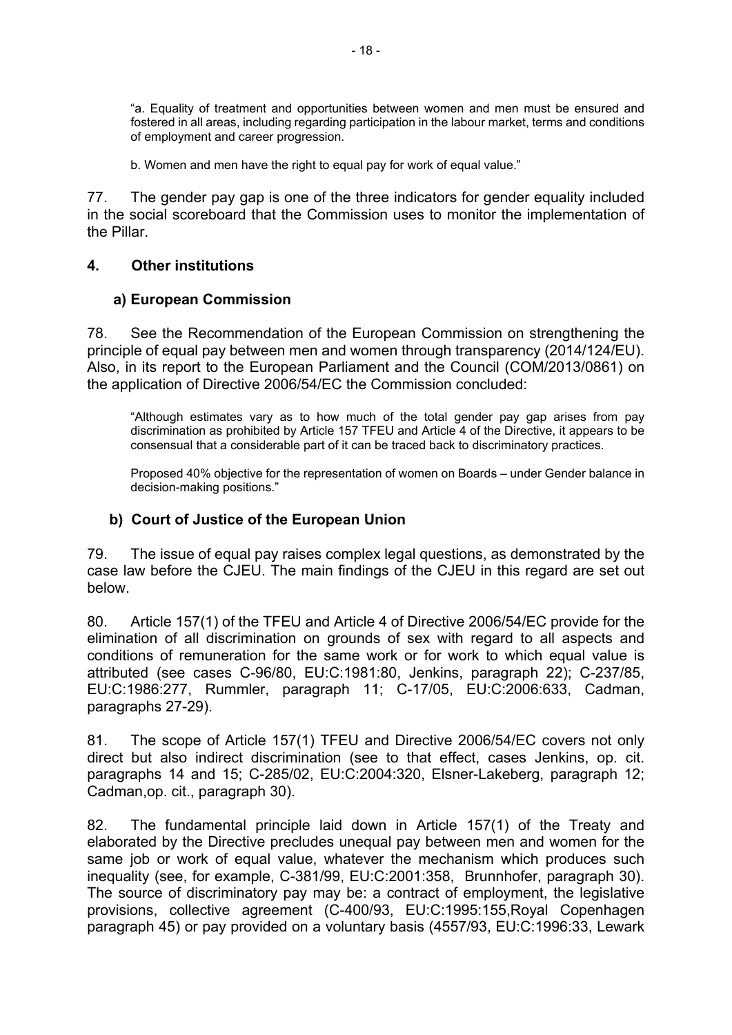"a. Equality of treatment and opportunities between women and men must be ensured and fostered in all areas, including regarding participation in the labour market, terms and conditions of employment and career progression.

b. Women and men have the right to equal pay for work of equal value."

77. The gender pay gap is one of the three indicators for gender equality included in the social scoreboard that the Commission uses to monitor the implementation of the Pillar.

#### **4. Other institutions**

#### **a) European Commission**

78. See the Recommendation of the European Commission on strengthening the principle of equal pay between men and women through transparency (2014/124/EU). Also, in its report to the European Parliament and the Council (COM/2013/0861) on the application of Directive 2006/54/EC the Commission concluded:

"Although estimates vary as to how much of the total gender pay gap arises from pay discrimination as prohibited by Article 157 TFEU and Article 4 of the Directive, it appears to be consensual that a considerable part of it can be traced back to discriminatory practices.

Proposed 40% objective for the representation of women on Boards – under Gender balance in decision-making positions."

#### **b) Court of Justice of the European Union**

79. The issue of equal pay raises complex legal questions, as demonstrated by the case law before the CJEU. The main findings of the CJEU in this regard are set out below.

80. Article 157(1) of the TFEU and Article 4 of Directive 2006/54/EC provide for the elimination of all discrimination on grounds of sex with regard to all aspects and conditions of remuneration for the same work or for work to which equal value is attributed (see cases C-96/80, EU:C:1981:80, Jenkins, paragraph 22); C-237/85, EU:C:1986:277, Rummler, paragraph 11; C-17/05, EU:C:2006:633, Cadman, paragraphs 27-29).

81. The scope of Article 157(1) TFEU and Directive 2006/54/EC covers not only direct but also indirect discrimination (see to that effect, cases Jenkins, op. cit. paragraphs 14 and 15; C-285/02, EU:C:2004:320, Elsner-Lakeberg, paragraph 12; Cadman,op. cit., paragraph 30).

82. The fundamental principle laid down in Article 157(1) of the Treaty and elaborated by the Directive precludes unequal pay between men and women for the same job or work of equal value, whatever the mechanism which produces such inequality (see, for example, C-381/99, EU:C:2001:358, Brunnhofer, paragraph 30). The source of discriminatory pay may be: a contract of employment, the legislative provisions, collective agreement (C-400/93, EU:C:1995:155,Royal Copenhagen paragraph 45) or pay provided on a voluntary basis (4557/93, EU:C:1996:33, Lewark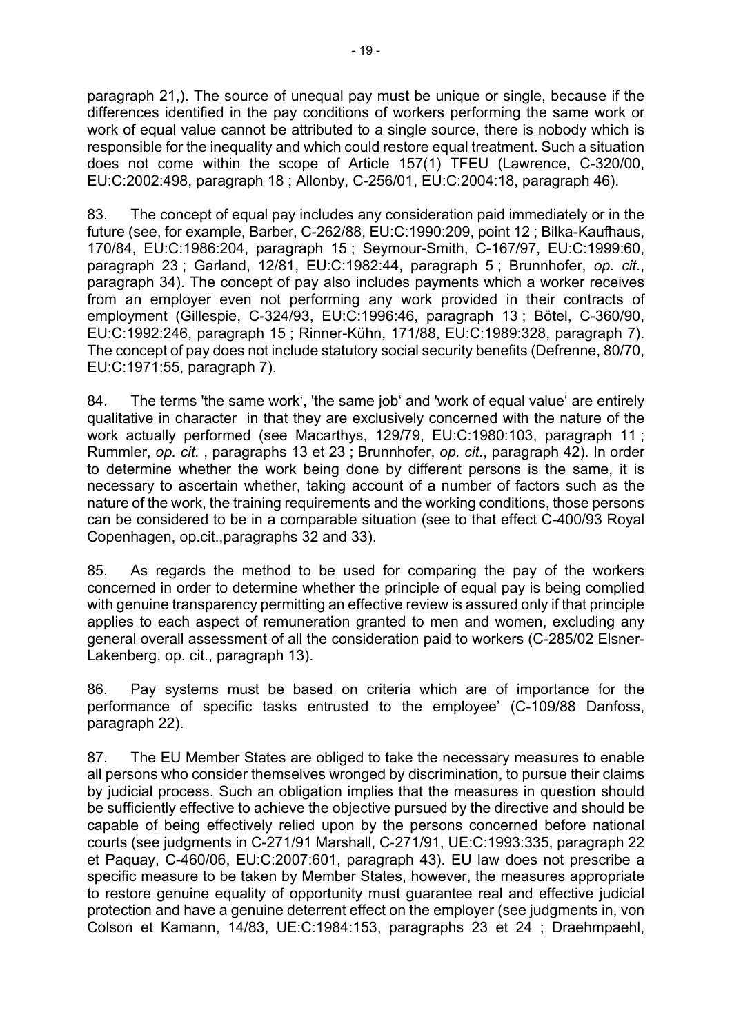paragraph 21,). The source of unequal pay must be unique or single, because if the differences identified in the pay conditions of workers performing the same work or work of equal value cannot be attributed to a single source, there is nobody which is responsible for the inequality and which could restore equal treatment. Such a situation does not come within the scope of Article 157(1) TFEU (Lawrence, C-320/00, EU:C:2002:498, paragraph 18 ; Allonby, C-256/01, EU:C:2004:18, paragraph 46).

83. The concept of equal pay includes any consideration paid immediately or in the future (see, for example, Barber, C-262/88, EU:C:1990:209, point 12 ; Bilka-Kaufhaus, 170/84, EU:C:1986:204, paragraph 15 ; Seymour-Smith, C-167/97, EU:C:1999:60, paragraph 23 ; Garland, 12/81, EU:C:1982:44, paragraph 5 ; Brunnhofer, *op. cit.*, paragraph 34). The concept of pay also includes payments which a worker receives from an employer even not performing any work provided in their contracts of employment (Gillespie, C-324/93, EU:C:1996:46, paragraph 13 ; Bötel, C-360/90, EU:C:1992:246, paragraph 15 ; Rinner-Kühn, 171/88, EU:C:1989:328, paragraph 7). The concept of pay does not include statutory social security benefits (Defrenne, 80/70, EU:C:1971:55, paragraph 7).

84. The terms 'the same work', 'the same job' and 'work of equal value' are entirely qualitative in character in that they are exclusively concerned with the nature of the work actually performed (see Macarthys, 129/79, EU:C:1980:103, paragraph 11 ; Rummler, *op. cit.* , paragraphs 13 et 23 ; Brunnhofer, *op. cit.*, paragraph 42). In order to determine whether the work being done by different persons is the same, it is necessary to ascertain whether, taking account of a number of factors such as the nature of the work, the training requirements and the working conditions, those persons can be considered to be in a comparable situation (see to that effect C-400/93 Royal Copenhagen, op.cit.,paragraphs 32 and 33).

85. As regards the method to be used for comparing the pay of the workers concerned in order to determine whether the principle of equal pay is being complied with genuine transparency permitting an effective review is assured only if that principle applies to each aspect of remuneration granted to men and women, excluding any general overall assessment of all the consideration paid to workers (C-285/02 Elsner-Lakenberg, op. cit., paragraph 13).

86. Pay systems must be based on criteria which are of importance for the performance of specific tasks entrusted to the employee' (C-109/88 Danfoss, paragraph 22).

87. The EU Member States are obliged to take the necessary measures to enable all persons who consider themselves wronged by discrimination, to pursue their claims by judicial process. Such an obligation implies that the measures in question should be sufficiently effective to achieve the objective pursued by the directive and should be capable of being effectively relied upon by the persons concerned before national courts (see judgments in C-271/91 Marshall, C‑271/91, UE:C:1993:335, paragraph 22 et Paquay, C-460/06, EU:C:2007:601, paragraph 43). EU law does not prescribe a specific measure to be taken by Member States, however, the measures appropriate to restore genuine equality of opportunity must guarantee real and effective judicial protection and have a genuine deterrent effect on the employer (see judgments in, von Colson et Kamann, 14/83, UE:C:1984:153, paragraphs 23 et 24 ; Draehmpaehl,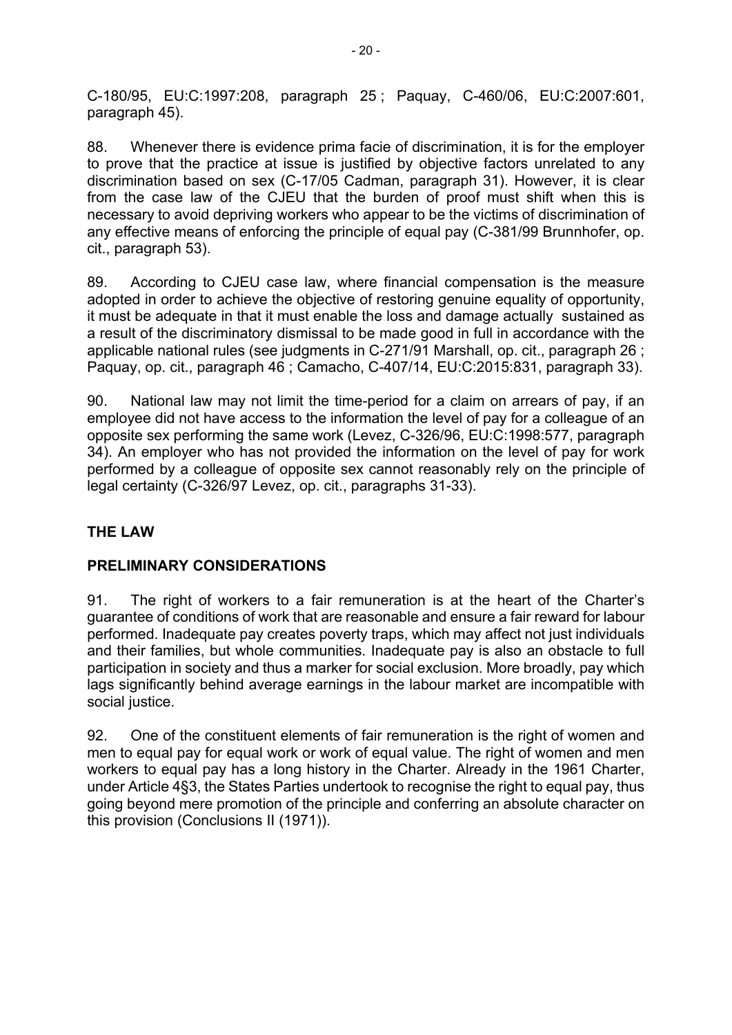C-180/95, EU:C:1997:208, paragraph 25 ; Paquay, C-460/06, EU:C:2007:601, paragraph 45).

88. Whenever there is evidence prima facie of discrimination, it is for the employer to prove that the practice at issue is justified by objective factors unrelated to any discrimination based on sex (C-17/05 Cadman, paragraph 31). However, it is clear from the case law of the CJEU that the burden of proof must shift when this is necessary to avoid depriving workers who appear to be the victims of discrimination of any effective means of enforcing the principle of equal pay (C-381/99 Brunnhofer, op. cit., paragraph 53).

89. According to CJEU case law, where financial compensation is the measure adopted in order to achieve the objective of restoring genuine equality of opportunity, it must be adequate in that it must enable the loss and damage actually sustained as a result of the discriminatory dismissal to be made good in full in accordance with the applicable national rules (see judgments in C-271/91 Marshall, op. cit., paragraph 26 ; Paquay, op. cit., paragraph 46 ; Camacho, C-407/14, EU:C:2015:831, paragraph 33).

90. National law may not limit the time-period for a claim on arrears of pay, if an employee did not have access to the information the level of pay for a colleague of an opposite sex performing the same work (Levez, C-326/96, EU:C:1998:577, paragraph 34). An employer who has not provided the information on the level of pay for work performed by a colleague of opposite sex cannot reasonably rely on the principle of legal certainty (C-326/97 Levez, op. cit., paragraphs 31-33).

# **THE LAW**

## **PRELIMINARY CONSIDERATIONS**

91. The right of workers to a fair remuneration is at the heart of the Charter's guarantee of conditions of work that are reasonable and ensure a fair reward for labour performed. Inadequate pay creates poverty traps, which may affect not just individuals and their families, but whole communities. Inadequate pay is also an obstacle to full participation in society and thus a marker for social exclusion. More broadly, pay which lags significantly behind average earnings in the labour market are incompatible with social justice.

92. One of the constituent elements of fair remuneration is the right of women and men to equal pay for equal work or work of equal value. The right of women and men workers to equal pay has a long history in the Charter. Already in the 1961 Charter, under Article 4§3, the States Parties undertook to recognise the right to equal pay, thus going beyond mere promotion of the principle and conferring an absolute character on this provision (Conclusions II (1971)).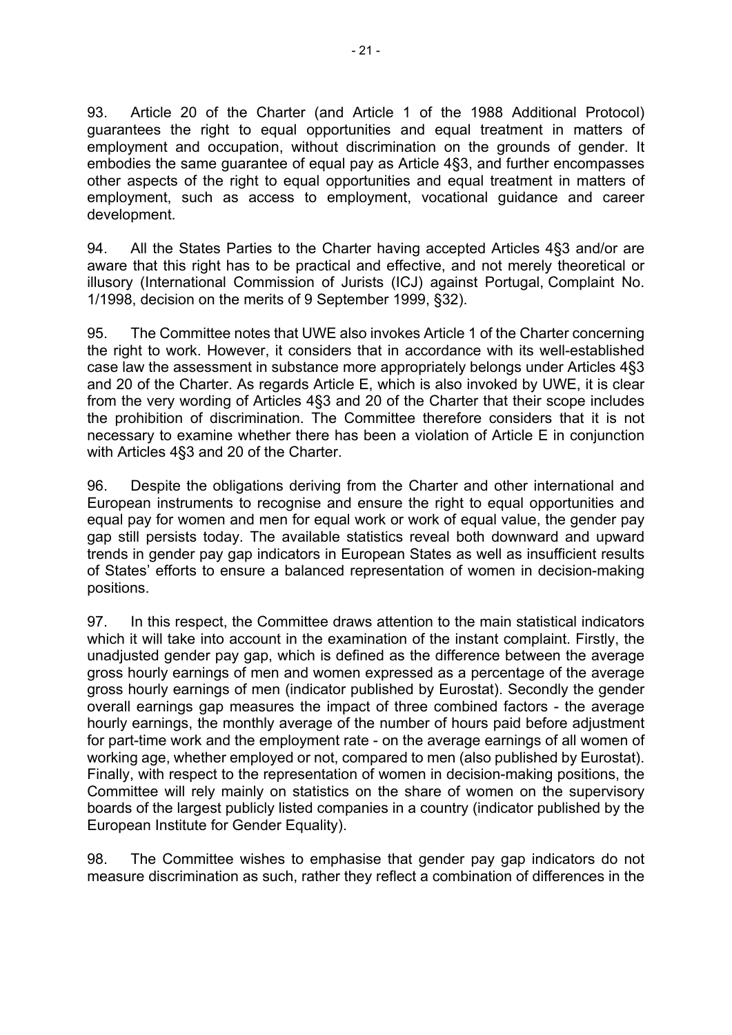93. Article 20 of the Charter (and Article 1 of the 1988 Additional Protocol) guarantees the right to equal opportunities and equal treatment in matters of employment and occupation, without discrimination on the grounds of gender. It embodies the same guarantee of equal pay as Article 4§3, and further encompasses other aspects of the right to equal opportunities and equal treatment in matters of employment, such as access to employment, vocational guidance and career development.

94. All the States Parties to the Charter having accepted Articles 4§3 and/or are aware that this right has to be practical and effective, and not merely theoretical or illusory (International Commission of Jurists (ICJ) against Portugal, Complaint No. 1/1998, decision on the merits of 9 September 1999, §32).

95. The Committee notes that UWE also invokes Article 1 of the Charter concerning the right to work. However, it considers that in accordance with its well-established case law the assessment in substance more appropriately belongs under Articles 4§3 and 20 of the Charter. As regards Article E, which is also invoked by UWE, it is clear from the very wording of Articles 4§3 and 20 of the Charter that their scope includes the prohibition of discrimination. The Committee therefore considers that it is not necessary to examine whether there has been a violation of Article E in conjunction with Articles 4§3 and 20 of the Charter.

96. Despite the obligations deriving from the Charter and other international and European instruments to recognise and ensure the right to equal opportunities and equal pay for women and men for equal work or work of equal value, the gender pay gap still persists today. The available statistics reveal both downward and upward trends in gender pay gap indicators in European States as well as insufficient results of States' efforts to ensure a balanced representation of women in decision-making positions.

97. In this respect, the Committee draws attention to the main statistical indicators which it will take into account in the examination of the instant complaint. Firstly, the unadjusted gender pay gap, which is defined as the difference between the average gross hourly earnings of men and women expressed as a percentage of the average gross hourly earnings of men (indicator published by Eurostat). Secondly the gender overall earnings gap measures the impact of three combined factors - the average hourly earnings, the monthly average of the number of hours paid before adjustment for part-time work and the employment rate - on the average earnings of all women of working age, whether employed or not, compared to men (also published by Eurostat). Finally, with respect to the representation of women in decision-making positions, the Committee will rely mainly on statistics on the share of women on the supervisory boards of the largest publicly listed companies in a country (indicator published by the European Institute for Gender Equality).

98. The Committee wishes to emphasise that gender pay gap indicators do not measure discrimination as such, rather they reflect a combination of differences in the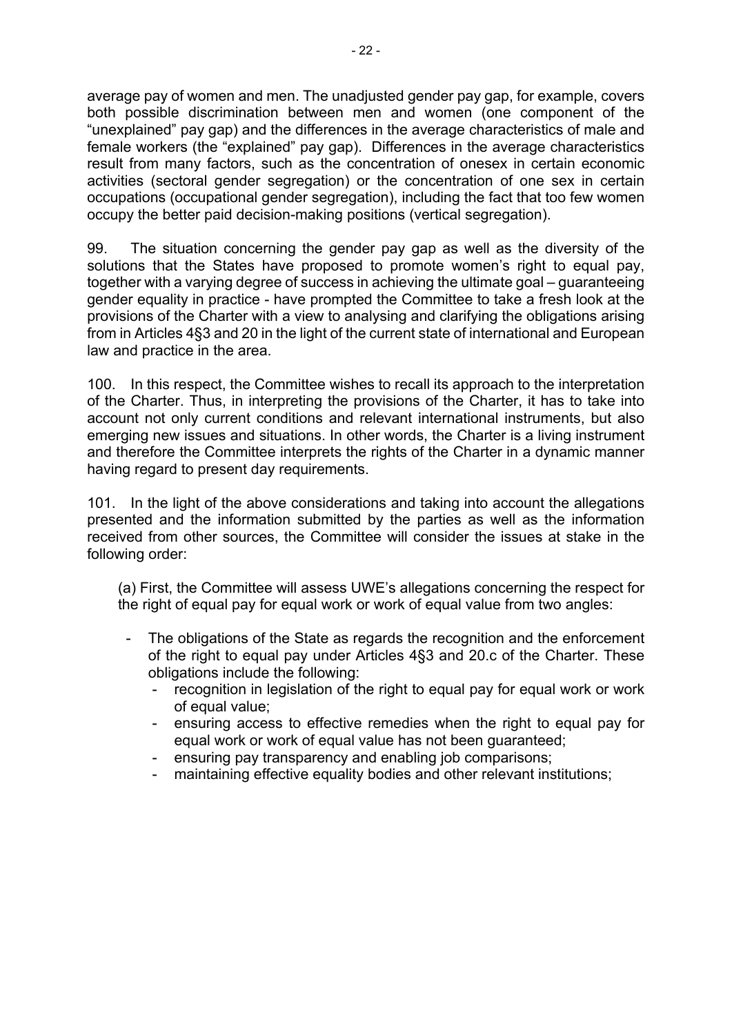average pay of women and men. The unadjusted gender pay gap, for example, covers both possible discrimination between men and women (one component of the "unexplained" pay gap) and the differences in the average characteristics of male and female workers (the "explained" pay gap). Differences in the average characteristics result from many factors, such as the concentration of onesex in certain economic activities (sectoral gender segregation) or the concentration of one sex in certain occupations (occupational gender segregation), including the fact that too few women occupy the better paid decision-making positions (vertical segregation).

99. The situation concerning the gender pay gap as well as the diversity of the solutions that the States have proposed to promote women's right to equal pay, together with a varying degree of success in achieving the ultimate goal – guaranteeing gender equality in practice - have prompted the Committee to take a fresh look at the provisions of the Charter with a view to analysing and clarifying the obligations arising from in Articles 4§3 and 20 in the light of the current state of international and European law and practice in the area.

100. In this respect, the Committee wishes to recall its approach to the interpretation of the Charter. Thus, in interpreting the provisions of the Charter, it has to take into account not only current conditions and relevant international instruments, but also emerging new issues and situations. In other words, the Charter is a living instrument and therefore the Committee interprets the rights of the Charter in a dynamic manner having regard to present day requirements.

101. In the light of the above considerations and taking into account the allegations presented and the information submitted by the parties as well as the information received from other sources, the Committee will consider the issues at stake in the following order:

(a) First, the Committee will assess UWE's allegations concerning the respect for the right of equal pay for equal work or work of equal value from two angles:

- The obligations of the State as regards the recognition and the enforcement of the right to equal pay under Articles 4§3 and 20.c of the Charter. These obligations include the following:
	- recognition in legislation of the right to equal pay for equal work or work of equal value;
	- ensuring access to effective remedies when the right to equal pay for equal work or work of equal value has not been guaranteed;
	- ensuring pay transparency and enabling job comparisons;
	- maintaining effective equality bodies and other relevant institutions;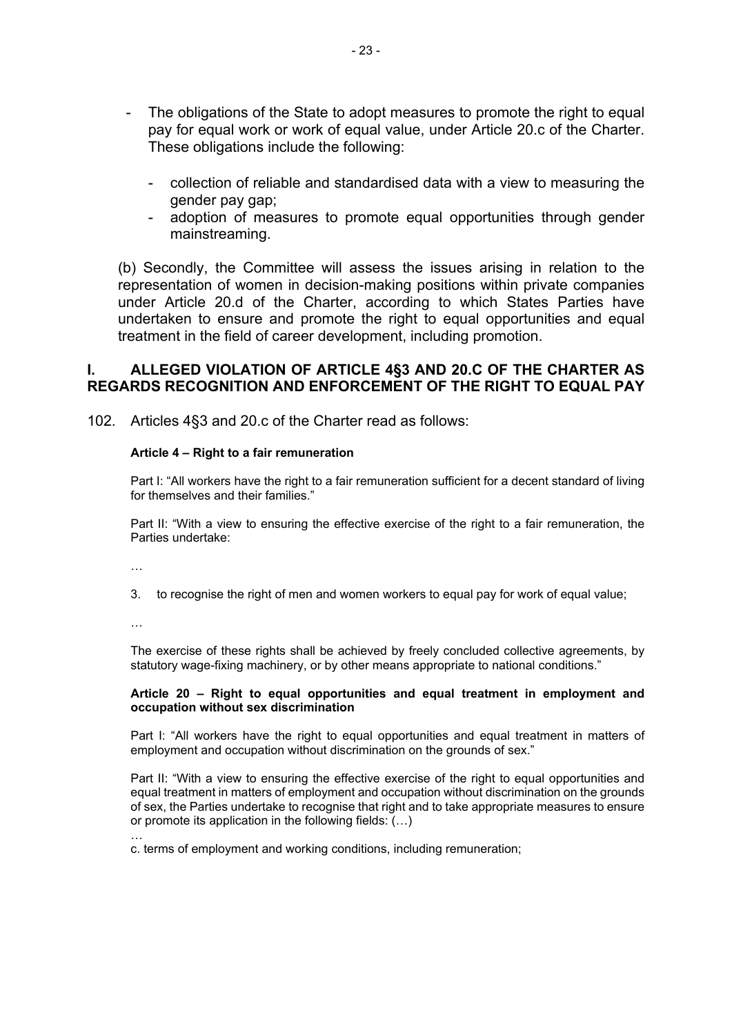- The obligations of the State to adopt measures to promote the right to equal pay for equal work or work of equal value, under Article 20.c of the Charter. These obligations include the following:
	- collection of reliable and standardised data with a view to measuring the gender pay gap;
	- adoption of measures to promote equal opportunities through gender mainstreaming.

(b) Secondly, the Committee will assess the issues arising in relation to the representation of women in decision-making positions within private companies under Article 20.d of the Charter, according to which States Parties have undertaken to ensure and promote the right to equal opportunities and equal treatment in the field of career development, including promotion.

#### **I. ALLEGED VIOLATION OF ARTICLE 4§3 AND 20.C OF THE CHARTER AS REGARDS RECOGNITION AND ENFORCEMENT OF THE RIGHT TO EQUAL PAY**

102. Articles 4§3 and 20.c of the Charter read as follows:

#### **Article 4 – Right to a fair remuneration**

Part I: "All workers have the right to a fair remuneration sufficient for a decent standard of living for themselves and their families."

Part II: "With a view to ensuring the effective exercise of the right to a fair remuneration, the Parties undertake:

…

3. to recognise the right of men and women workers to equal pay for work of equal value;

…

The exercise of these rights shall be achieved by freely concluded collective agreements, by statutory wage-fixing machinery, or by other means appropriate to national conditions."

#### **Article 20 – Right to equal opportunities and equal treatment in employment and occupation without sex discrimination**

Part I: "All workers have the right to equal opportunities and equal treatment in matters of employment and occupation without discrimination on the grounds of sex."

Part II: "With a view to ensuring the effective exercise of the right to equal opportunities and equal treatment in matters of employment and occupation without discrimination on the grounds of sex, the Parties undertake to recognise that right and to take appropriate measures to ensure or promote its application in the following fields: (…)

… c. terms of employment and working conditions, including remuneration;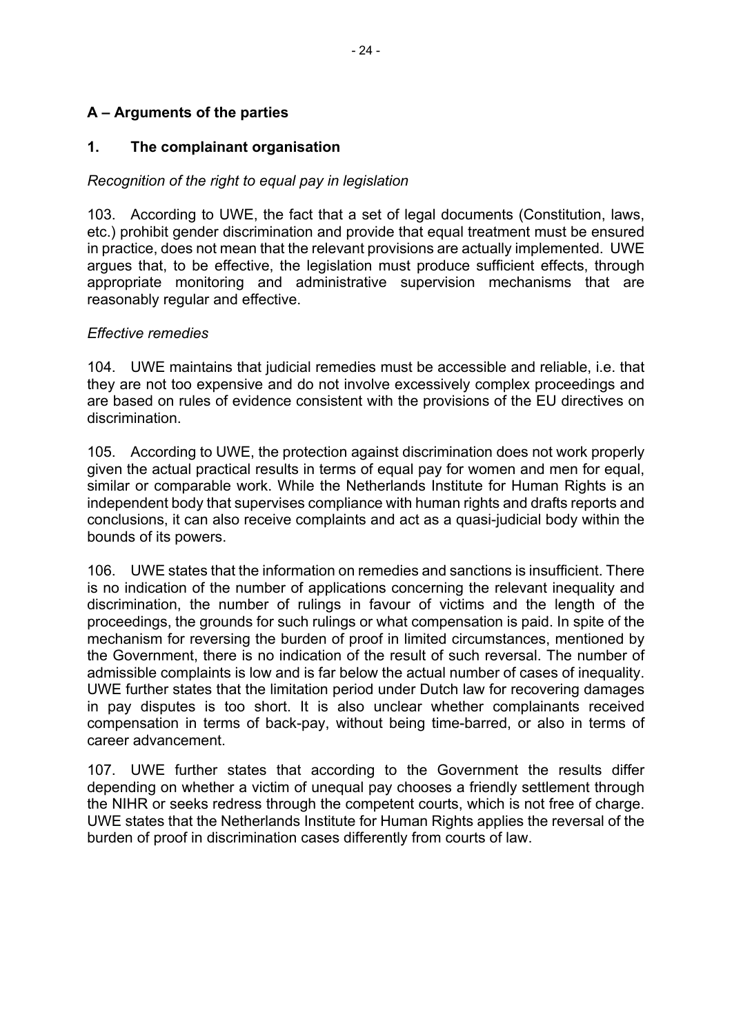### **A – Arguments of the parties**

### **1. The complainant organisation**

### *Recognition of the right to equal pay in legislation*

103. According to UWE, the fact that a set of legal documents (Constitution, laws, etc.) prohibit gender discrimination and provide that equal treatment must be ensured in practice, does not mean that the relevant provisions are actually implemented. UWE argues that, to be effective, the legislation must produce sufficient effects, through appropriate monitoring and administrative supervision mechanisms that are reasonably regular and effective.

### *Effective remedies*

104. UWE maintains that judicial remedies must be accessible and reliable, i.e. that they are not too expensive and do not involve excessively complex proceedings and are based on rules of evidence consistent with the provisions of the EU directives on discrimination.

105. According to UWE, the protection against discrimination does not work properly given the actual practical results in terms of equal pay for women and men for equal, similar or comparable work. While the Netherlands Institute for Human Rights is an independent body that supervises compliance with human rights and drafts reports and conclusions, it can also receive complaints and act as a quasi-judicial body within the bounds of its powers.

106. UWE states that the information on remedies and sanctions is insufficient. There is no indication of the number of applications concerning the relevant inequality and discrimination, the number of rulings in favour of victims and the length of the proceedings, the grounds for such rulings or what compensation is paid. In spite of the mechanism for reversing the burden of proof in limited circumstances, mentioned by the Government, there is no indication of the result of such reversal. The number of admissible complaints is low and is far below the actual number of cases of inequality. UWE further states that the limitation period under Dutch law for recovering damages in pay disputes is too short. It is also unclear whether complainants received compensation in terms of back-pay, without being time-barred, or also in terms of career advancement.

107. UWE further states that according to the Government the results differ depending on whether a victim of unequal pay chooses a friendly settlement through the NIHR or seeks redress through the competent courts, which is not free of charge. UWE states that the Netherlands Institute for Human Rights applies the reversal of the burden of proof in discrimination cases differently from courts of law.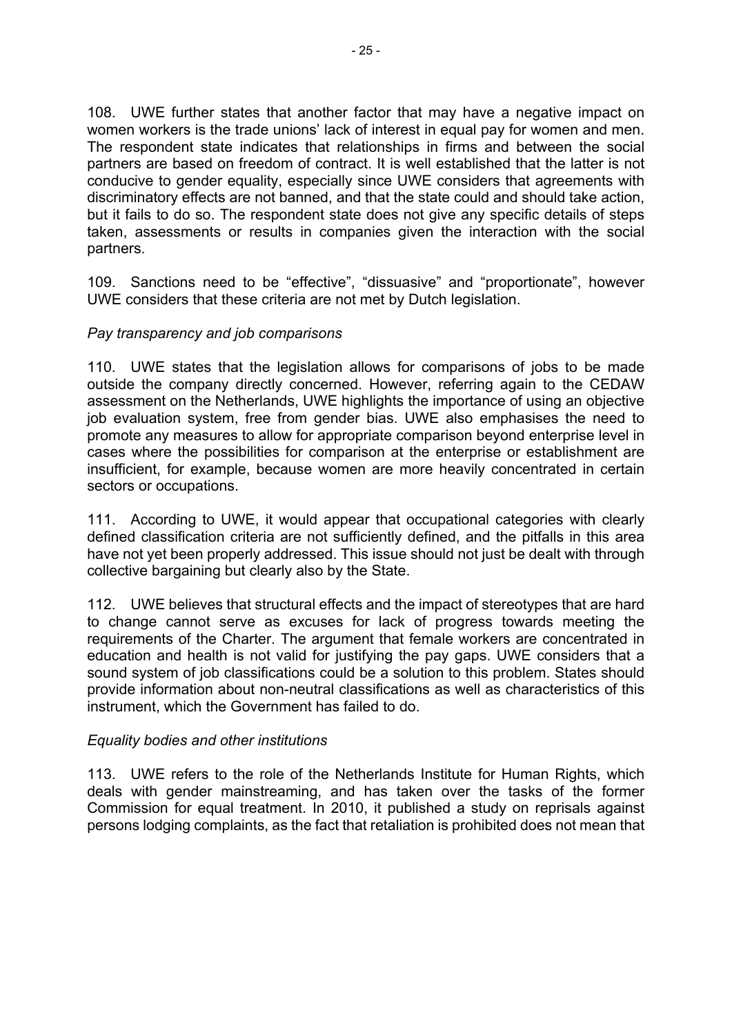108. UWE further states that another factor that may have a negative impact on women workers is the trade unions' lack of interest in equal pay for women and men. The respondent state indicates that relationships in firms and between the social partners are based on freedom of contract. It is well established that the latter is not conducive to gender equality, especially since UWE considers that agreements with discriminatory effects are not banned, and that the state could and should take action, but it fails to do so. The respondent state does not give any specific details of steps taken, assessments or results in companies given the interaction with the social partners.

109. Sanctions need to be "effective", "dissuasive" and "proportionate", however UWE considers that these criteria are not met by Dutch legislation.

### *Pay transparency and job comparisons*

110. UWE states that the legislation allows for comparisons of jobs to be made outside the company directly concerned. However, referring again to the CEDAW assessment on the Netherlands, UWE highlights the importance of using an objective job evaluation system, free from gender bias. UWE also emphasises the need to promote any measures to allow for appropriate comparison beyond enterprise level in cases where the possibilities for comparison at the enterprise or establishment are insufficient, for example, because women are more heavily concentrated in certain sectors or occupations.

111. According to UWE, it would appear that occupational categories with clearly defined classification criteria are not sufficiently defined, and the pitfalls in this area have not yet been properly addressed. This issue should not just be dealt with through collective bargaining but clearly also by the State.

112. UWE believes that structural effects and the impact of stereotypes that are hard to change cannot serve as excuses for lack of progress towards meeting the requirements of the Charter. The argument that female workers are concentrated in education and health is not valid for justifying the pay gaps. UWE considers that a sound system of job classifications could be a solution to this problem. States should provide information about non-neutral classifications as well as characteristics of this instrument, which the Government has failed to do.

### *Equality bodies and other institutions*

113. UWE refers to the role of the Netherlands Institute for Human Rights, which deals with gender mainstreaming, and has taken over the tasks of the former Commission for equal treatment. In 2010, it published a study on reprisals against persons lodging complaints, as the fact that retaliation is prohibited does not mean that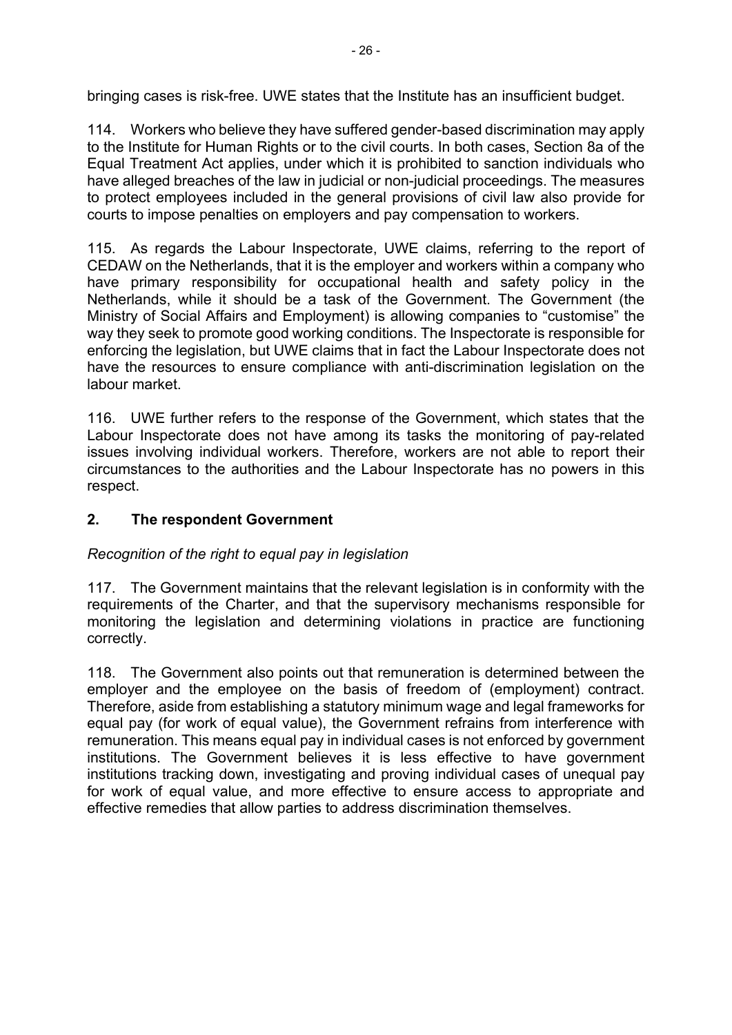bringing cases is risk-free. UWE states that the Institute has an insufficient budget.

114. Workers who believe they have suffered gender-based discrimination may apply to the Institute for Human Rights or to the civil courts. In both cases, Section 8a of the Equal Treatment Act applies, under which it is prohibited to sanction individuals who have alleged breaches of the law in judicial or non-judicial proceedings. The measures to protect employees included in the general provisions of civil law also provide for courts to impose penalties on employers and pay compensation to workers.

115. As regards the Labour Inspectorate, UWE claims, referring to the report of CEDAW on the Netherlands, that it is the employer and workers within a company who have primary responsibility for occupational health and safety policy in the Netherlands, while it should be a task of the Government. The Government (the Ministry of Social Affairs and Employment) is allowing companies to "customise" the way they seek to promote good working conditions. The Inspectorate is responsible for enforcing the legislation, but UWE claims that in fact the Labour Inspectorate does not have the resources to ensure compliance with anti-discrimination legislation on the labour market.

116. UWE further refers to the response of the Government, which states that the Labour Inspectorate does not have among its tasks the monitoring of pay-related issues involving individual workers. Therefore, workers are not able to report their circumstances to the authorities and the Labour Inspectorate has no powers in this respect.

### **2. The respondent Government**

## *Recognition of the right to equal pay in legislation*

117. The Government maintains that the relevant legislation is in conformity with the requirements of the Charter, and that the supervisory mechanisms responsible for monitoring the legislation and determining violations in practice are functioning correctly.

118. The Government also points out that remuneration is determined between the employer and the employee on the basis of freedom of (employment) contract. Therefore, aside from establishing a statutory minimum wage and legal frameworks for equal pay (for work of equal value), the Government refrains from interference with remuneration. This means equal pay in individual cases is not enforced by government institutions. The Government believes it is less effective to have government institutions tracking down, investigating and proving individual cases of unequal pay for work of equal value, and more effective to ensure access to appropriate and effective remedies that allow parties to address discrimination themselves.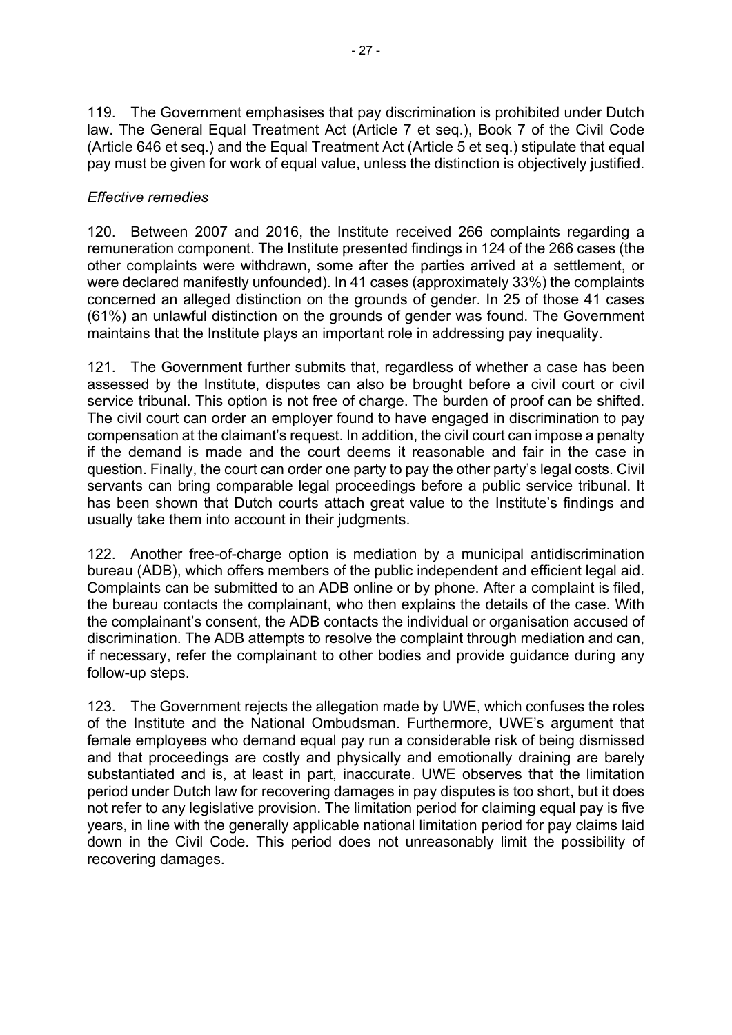119. The Government emphasises that pay discrimination is prohibited under Dutch law. The General Equal Treatment Act (Article 7 et seq.), Book 7 of the Civil Code (Article 646 et seq.) and the Equal Treatment Act (Article 5 et seq.) stipulate that equal pay must be given for work of equal value, unless the distinction is objectively justified.

### *Effective remedies*

120. Between 2007 and 2016, the Institute received 266 complaints regarding a remuneration component. The Institute presented findings in 124 of the 266 cases (the other complaints were withdrawn, some after the parties arrived at a settlement, or were declared manifestly unfounded). In 41 cases (approximately 33%) the complaints concerned an alleged distinction on the grounds of gender. In 25 of those 41 cases (61%) an unlawful distinction on the grounds of gender was found. The Government maintains that the Institute plays an important role in addressing pay inequality.

121. The Government further submits that, regardless of whether a case has been assessed by the Institute, disputes can also be brought before a civil court or civil service tribunal. This option is not free of charge. The burden of proof can be shifted. The civil court can order an employer found to have engaged in discrimination to pay compensation at the claimant's request. In addition, the civil court can impose a penalty if the demand is made and the court deems it reasonable and fair in the case in question. Finally, the court can order one party to pay the other party's legal costs. Civil servants can bring comparable legal proceedings before a public service tribunal. It has been shown that Dutch courts attach great value to the Institute's findings and usually take them into account in their judgments.

122. Another free-of-charge option is mediation by a municipal antidiscrimination bureau (ADB), which offers members of the public independent and efficient legal aid. Complaints can be submitted to an ADB online or by phone. After a complaint is filed, the bureau contacts the complainant, who then explains the details of the case. With the complainant's consent, the ADB contacts the individual or organisation accused of discrimination. The ADB attempts to resolve the complaint through mediation and can, if necessary, refer the complainant to other bodies and provide guidance during any follow-up steps.

123. The Government rejects the allegation made by UWE, which confuses the roles of the Institute and the National Ombudsman. Furthermore, UWE's argument that female employees who demand equal pay run a considerable risk of being dismissed and that proceedings are costly and physically and emotionally draining are barely substantiated and is, at least in part, inaccurate. UWE observes that the limitation period under Dutch law for recovering damages in pay disputes is too short, but it does not refer to any legislative provision. The limitation period for claiming equal pay is five years, in line with the generally applicable national limitation period for pay claims laid down in the Civil Code. This period does not unreasonably limit the possibility of recovering damages.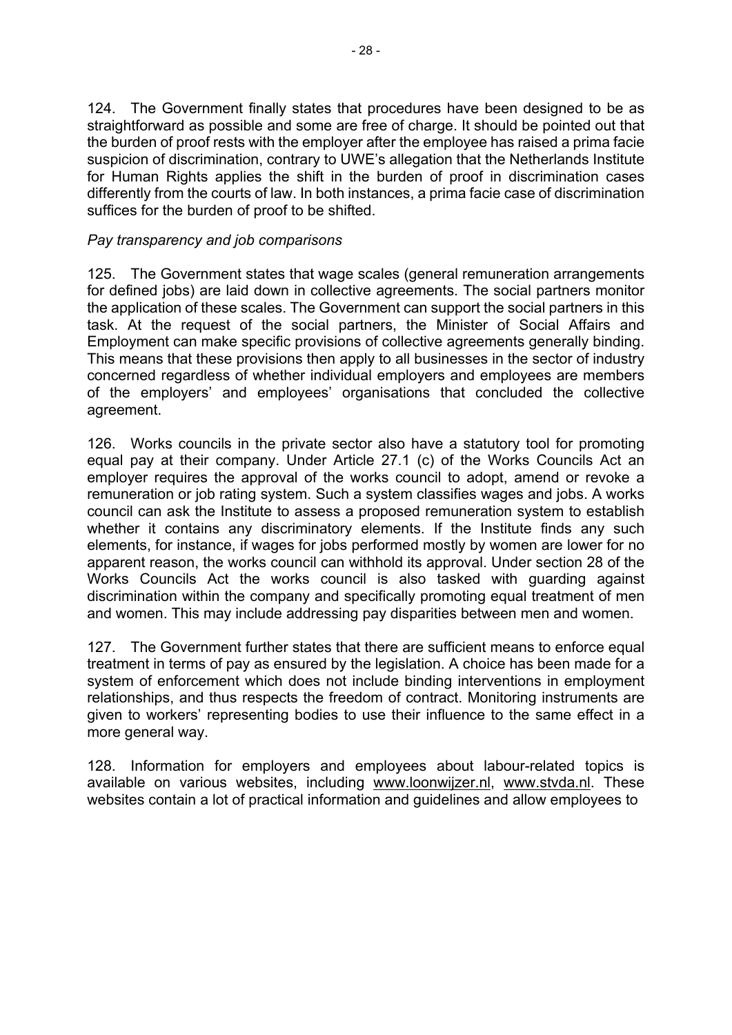124. The Government finally states that procedures have been designed to be as straightforward as possible and some are free of charge. It should be pointed out that the burden of proof rests with the employer after the employee has raised a prima facie suspicion of discrimination, contrary to UWE's allegation that the Netherlands Institute for Human Rights applies the shift in the burden of proof in discrimination cases differently from the courts of law. In both instances, a prima facie case of discrimination suffices for the burden of proof to be shifted.

### *Pay transparency and job comparisons*

125. The Government states that wage scales (general remuneration arrangements for defined jobs) are laid down in collective agreements. The social partners monitor the application of these scales. The Government can support the social partners in this task. At the request of the social partners, the Minister of Social Affairs and Employment can make specific provisions of collective agreements generally binding. This means that these provisions then apply to all businesses in the sector of industry concerned regardless of whether individual employers and employees are members of the employers' and employees' organisations that concluded the collective agreement.

126. Works councils in the private sector also have a statutory tool for promoting equal pay at their company. Under Article 27.1 (c) of the Works Councils Act an employer requires the approval of the works council to adopt, amend or revoke a remuneration or job rating system. Such a system classifies wages and jobs. A works council can ask the Institute to assess a proposed remuneration system to establish whether it contains any discriminatory elements. If the Institute finds any such elements, for instance, if wages for jobs performed mostly by women are lower for no apparent reason, the works council can withhold its approval. Under section 28 of the Works Councils Act the works council is also tasked with guarding against discrimination within the company and specifically promoting equal treatment of men and women. This may include addressing pay disparities between men and women.

127. The Government further states that there are sufficient means to enforce equal treatment in terms of pay as ensured by the legislation. A choice has been made for a system of enforcement which does not include binding interventions in employment relationships, and thus respects the freedom of contract. Monitoring instruments are given to workers' representing bodies to use their influence to the same effect in a more general way.

128. Information for employers and employees about labour-related topics is available on various websites, including [www.loonwijzer.nl](http://www.loonwijzer.nl/), [www.stvda.nl.](http://www.stvda.nl/) These websites contain a lot of practical information and guidelines and allow employees to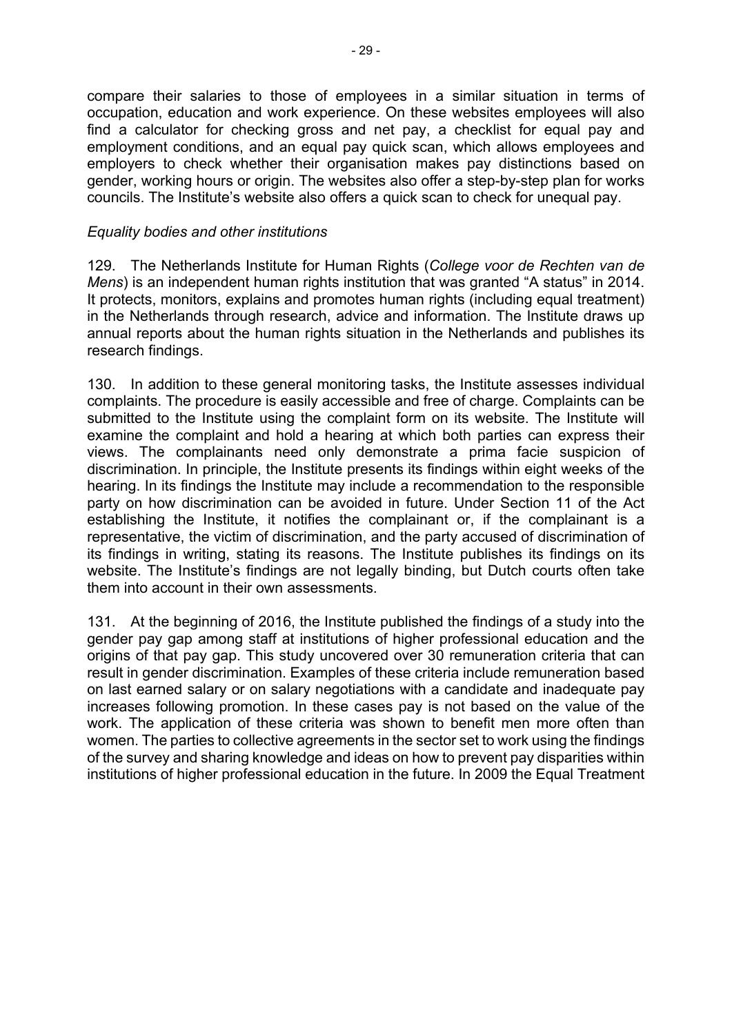compare their salaries to those of employees in a similar situation in terms of occupation, education and work experience. On these websites employees will also find a calculator for checking gross and net pay, a checklist for equal pay and employment conditions, and an equal pay quick scan, which allows employees and employers to check whether their organisation makes pay distinctions based on gender, working hours or origin. The websites also offer a step-by-step plan for works councils. The Institute's website also offers a quick scan to check for unequal pay.

### *Equality bodies and other institutions*

129. The Netherlands Institute for Human Rights (*College voor de Rechten van de Mens*) is an independent human rights institution that was granted "A status" in 2014. It protects, monitors, explains and promotes human rights (including equal treatment) in the Netherlands through research, advice and information. The Institute draws up annual reports about the human rights situation in the Netherlands and publishes its research findings.

130. In addition to these general monitoring tasks, the Institute assesses individual complaints. The procedure is easily accessible and free of charge. Complaints can be submitted to the Institute using the complaint form on its website. The Institute will examine the complaint and hold a hearing at which both parties can express their views. The complainants need only demonstrate a prima facie suspicion of discrimination. In principle, the Institute presents its findings within eight weeks of the hearing. In its findings the Institute may include a recommendation to the responsible party on how discrimination can be avoided in future. Under Section 11 of the Act establishing the Institute, it notifies the complainant or, if the complainant is a representative, the victim of discrimination, and the party accused of discrimination of its findings in writing, stating its reasons. The Institute publishes its findings on its website. The Institute's findings are not legally binding, but Dutch courts often take them into account in their own assessments.

131. At the beginning of 2016, the Institute published the findings of a study into the gender pay gap among staff at institutions of higher professional education and the origins of that pay gap. This study uncovered over 30 remuneration criteria that can result in gender discrimination. Examples of these criteria include remuneration based on last earned salary or on salary negotiations with a candidate and inadequate pay increases following promotion. In these cases pay is not based on the value of the work. The application of these criteria was shown to benefit men more often than women. The parties to collective agreements in the sector set to work using the findings of the survey and sharing knowledge and ideas on how to prevent pay disparities within institutions of higher professional education in the future. In 2009 the Equal Treatment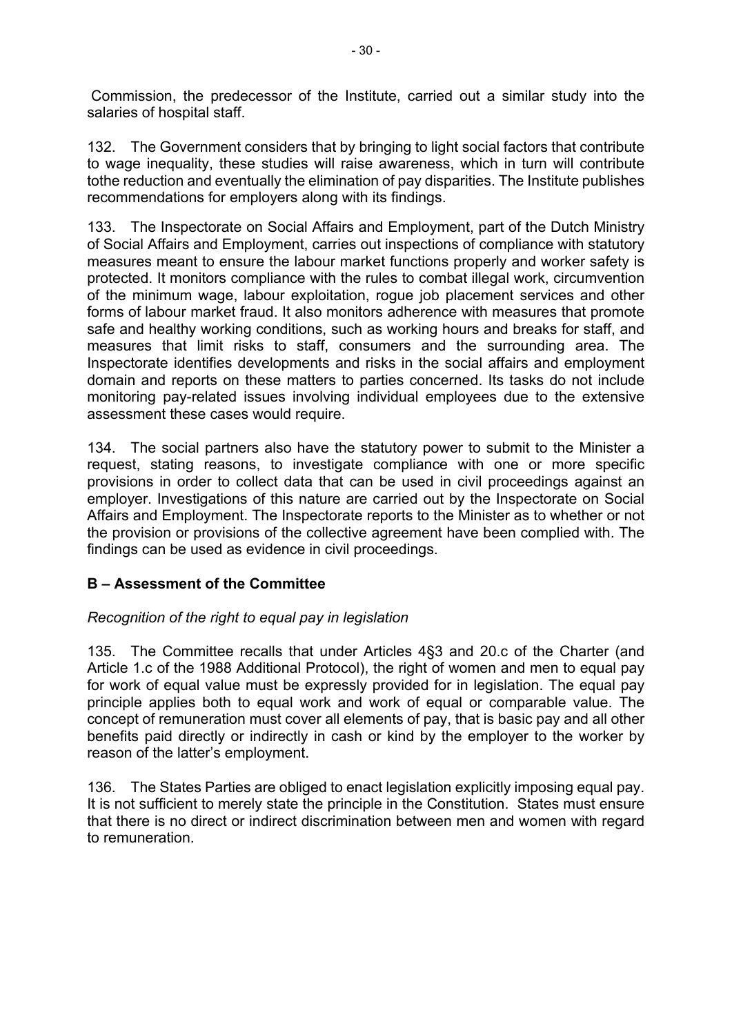Commission, the predecessor of the Institute, carried out a similar study into the salaries of hospital staff.

132. The Government considers that by bringing to light social factors that contribute to wage inequality, these studies will raise awareness, which in turn will contribute tothe reduction and eventually the elimination of pay disparities. The Institute publishes recommendations for employers along with its findings.

133. The Inspectorate on Social Affairs and Employment, part of the Dutch Ministry of Social Affairs and Employment, carries out inspections of compliance with statutory measures meant to ensure the labour market functions properly and worker safety is protected. It monitors compliance with the rules to combat illegal work, circumvention of the minimum wage, labour exploitation, rogue job placement services and other forms of labour market fraud. It also monitors adherence with measures that promote safe and healthy working conditions, such as working hours and breaks for staff, and measures that limit risks to staff, consumers and the surrounding area. The Inspectorate identifies developments and risks in the social affairs and employment domain and reports on these matters to parties concerned. Its tasks do not include monitoring pay-related issues involving individual employees due to the extensive assessment these cases would require.

134. The social partners also have the statutory power to submit to the Minister a request, stating reasons, to investigate compliance with one or more specific provisions in order to collect data that can be used in civil proceedings against an employer. Investigations of this nature are carried out by the Inspectorate on Social Affairs and Employment. The Inspectorate reports to the Minister as to whether or not the provision or provisions of the collective agreement have been complied with. The findings can be used as evidence in civil proceedings.

## **B – Assessment of the Committee**

## *Recognition of the right to equal pay in legislation*

135. The Committee recalls that under Articles 4§3 and 20.c of the Charter (and Article 1.c of the 1988 Additional Protocol), the right of women and men to equal pay for work of equal value must be expressly provided for in legislation. The equal pay principle applies both to equal work and work of equal or comparable value. The concept of remuneration must cover all elements of pay, that is basic pay and all other benefits paid directly or indirectly in cash or kind by the employer to the worker by reason of the latter's employment.

136. The States Parties are obliged to enact legislation explicitly imposing equal pay. It is not sufficient to merely state the principle in the Constitution. States must ensure that there is no direct or indirect discrimination between men and women with regard to remuneration.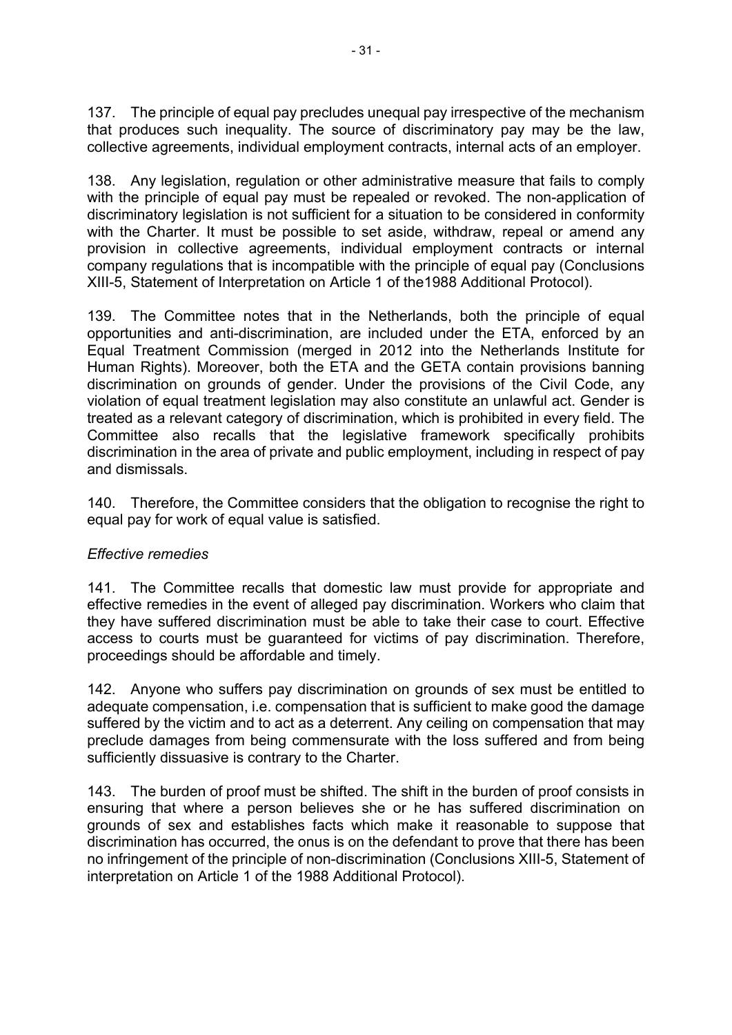137. The principle of equal pay precludes unequal pay irrespective of the mechanism that produces such inequality. The source of discriminatory pay may be the law, collective agreements, individual employment contracts, internal acts of an employer.

138. Any legislation, regulation or other administrative measure that fails to comply with the principle of equal pay must be repealed or revoked. The non-application of discriminatory legislation is not sufficient for a situation to be considered in conformity with the Charter. It must be possible to set aside, withdraw, repeal or amend any provision in collective agreements, individual employment contracts or internal company regulations that is incompatible with the principle of equal pay (Conclusions XIII-5, Statement of Interpretation on Article 1 of the1988 Additional Protocol).

139. The Committee notes that in the Netherlands, both the principle of equal opportunities and anti-discrimination, are included under the ETA, enforced by an Equal Treatment Commission (merged in 2012 into the Netherlands Institute for Human Rights). Moreover, both the ETA and the GETA contain provisions banning discrimination on grounds of gender. Under the provisions of the Civil Code, any violation of equal treatment legislation may also constitute an unlawful act. Gender is treated as a relevant category of discrimination, which is prohibited in every field. The Committee also recalls that the legislative framework specifically prohibits discrimination in the area of private and public employment, including in respect of pay and dismissals.

140. Therefore, the Committee considers that the obligation to recognise the right to equal pay for work of equal value is satisfied.

### *Effective remedies*

141. The Committee recalls that domestic law must provide for appropriate and effective remedies in the event of alleged pay discrimination. Workers who claim that they have suffered discrimination must be able to take their case to court. Effective access to courts must be guaranteed for victims of pay discrimination. Therefore, proceedings should be affordable and timely.

142. Anyone who suffers pay discrimination on grounds of sex must be entitled to adequate compensation, i.e. compensation that is sufficient to make good the damage suffered by the victim and to act as a deterrent. Any ceiling on compensation that may preclude damages from being commensurate with the loss suffered and from being sufficiently dissuasive is contrary to the Charter.

143. The burden of proof must be shifted. The shift in the burden of proof consists in ensuring that where a person believes she or he has suffered discrimination on grounds of sex and establishes facts which make it reasonable to suppose that discrimination has occurred, the onus is on the defendant to prove that there has been no infringement of the principle of non-discrimination (Conclusions XIII-5, Statement of interpretation on Article 1 of the 1988 Additional Protocol).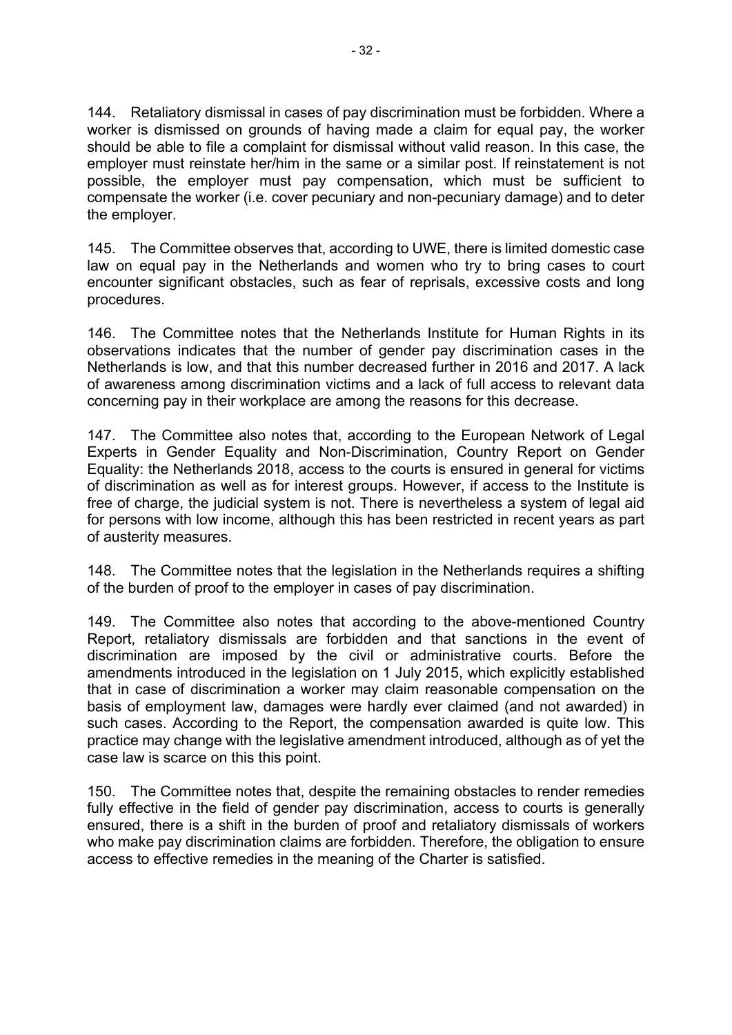144. Retaliatory dismissal in cases of pay discrimination must be forbidden. Where a worker is dismissed on grounds of having made a claim for equal pay, the worker should be able to file a complaint for dismissal without valid reason. In this case, the employer must reinstate her/him in the same or a similar post. If reinstatement is not possible, the employer must pay compensation, which must be sufficient to compensate the worker (i.e. cover pecuniary and non-pecuniary damage) and to deter the employer.

145. The Committee observes that, according to UWE, there is limited domestic case law on equal pay in the Netherlands and women who try to bring cases to court encounter significant obstacles, such as fear of reprisals, excessive costs and long procedures.

146. The Committee notes that the Netherlands Institute for Human Rights in its observations indicates that the number of gender pay discrimination cases in the Netherlands is low, and that this number decreased further in 2016 and 2017. A lack of awareness among discrimination victims and a lack of full access to relevant data concerning pay in their workplace are among the reasons for this decrease.

147. The Committee also notes that, according to the European Network of Legal Experts in Gender Equality and Non-Discrimination, Country Report on Gender Equality: the Netherlands 2018, access to the courts is ensured in general for victims of discrimination as well as for interest groups. However, if access to the Institute is free of charge, the judicial system is not. There is nevertheless a system of legal aid for persons with low income, although this has been restricted in recent years as part of austerity measures.

148. The Committee notes that the legislation in the Netherlands requires a shifting of the burden of proof to the employer in cases of pay discrimination.

149. The Committee also notes that according to the above-mentioned Country Report, retaliatory dismissals are forbidden and that sanctions in the event of discrimination are imposed by the civil or administrative courts. Before the amendments introduced in the legislation on 1 July 2015, which explicitly established that in case of discrimination a worker may claim reasonable compensation on the basis of employment law, damages were hardly ever claimed (and not awarded) in such cases. According to the Report, the compensation awarded is quite low. This practice may change with the legislative amendment introduced, although as of yet the case law is scarce on this this point.

150. The Committee notes that, despite the remaining obstacles to render remedies fully effective in the field of gender pay discrimination, access to courts is generally ensured, there is a shift in the burden of proof and retaliatory dismissals of workers who make pay discrimination claims are forbidden. Therefore, the obligation to ensure access to effective remedies in the meaning of the Charter is satisfied.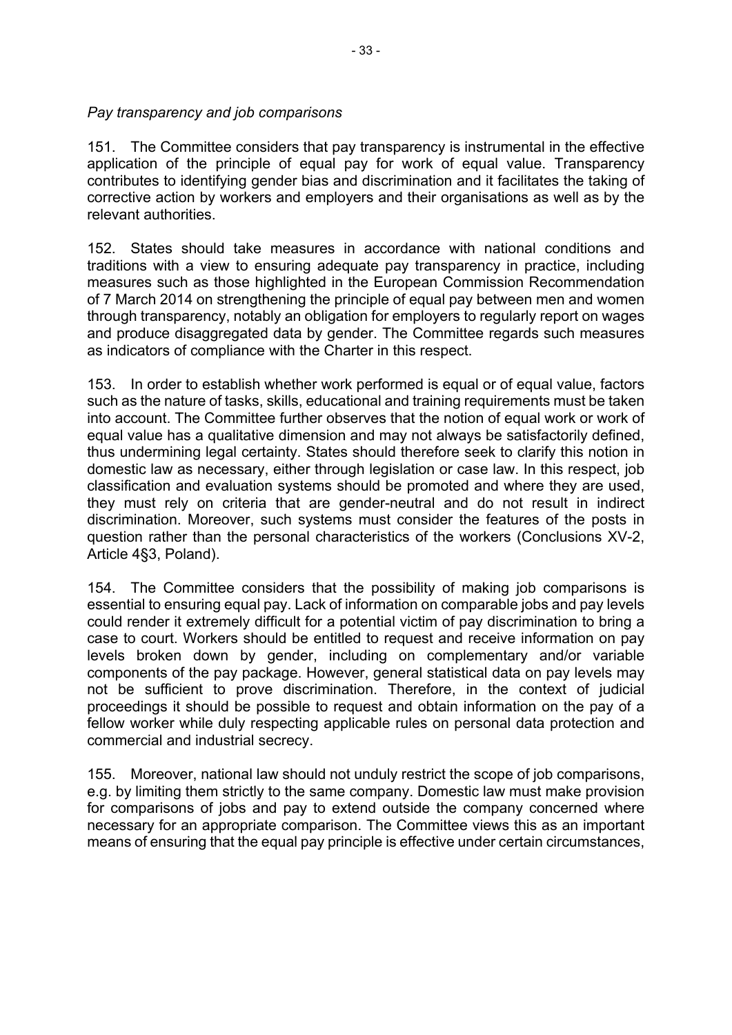### *Pay transparency and job comparisons*

151. The Committee considers that pay transparency is instrumental in the effective application of the principle of equal pay for work of equal value. Transparency contributes to identifying gender bias and discrimination and it facilitates the taking of corrective action by workers and employers and their organisations as well as by the relevant authorities.

152. States should take measures in accordance with national conditions and traditions with a view to ensuring adequate pay transparency in practice, including measures such as those highlighted in the European Commission Recommendation of 7 March 2014 on strengthening the principle of equal pay between men and women through transparency, notably an obligation for employers to regularly report on wages and produce disaggregated data by gender. The Committee regards such measures as indicators of compliance with the Charter in this respect.

153. In order to establish whether work performed is equal or of equal value, factors such as the nature of tasks, skills, educational and training requirements must be taken into account. The Committee further observes that the notion of equal work or work of equal value has a qualitative dimension and may not always be satisfactorily defined, thus undermining legal certainty. States should therefore seek to clarify this notion in domestic law as necessary, either through legislation or case law. In this respect, job classification and evaluation systems should be promoted and where they are used, they must rely on criteria that are gender-neutral and do not result in indirect discrimination. Moreover, such systems must consider the features of the posts in question rather than the personal characteristics of the workers (Conclusions XV-2, Article 4§3, Poland).

154. The Committee considers that the possibility of making job comparisons is essential to ensuring equal pay. Lack of information on comparable jobs and pay levels could render it extremely difficult for a potential victim of pay discrimination to bring a case to court. Workers should be entitled to request and receive information on pay levels broken down by gender, including on complementary and/or variable components of the pay package. However, general statistical data on pay levels may not be sufficient to prove discrimination. Therefore, in the context of judicial proceedings it should be possible to request and obtain information on the pay of a fellow worker while duly respecting applicable rules on personal data protection and commercial and industrial secrecy.

155. Moreover, national law should not unduly restrict the scope of job comparisons, e.g. by limiting them strictly to the same company. Domestic law must make provision for comparisons of jobs and pay to extend outside the company concerned where necessary for an appropriate comparison. The Committee views this as an important means of ensuring that the equal pay principle is effective under certain circumstances,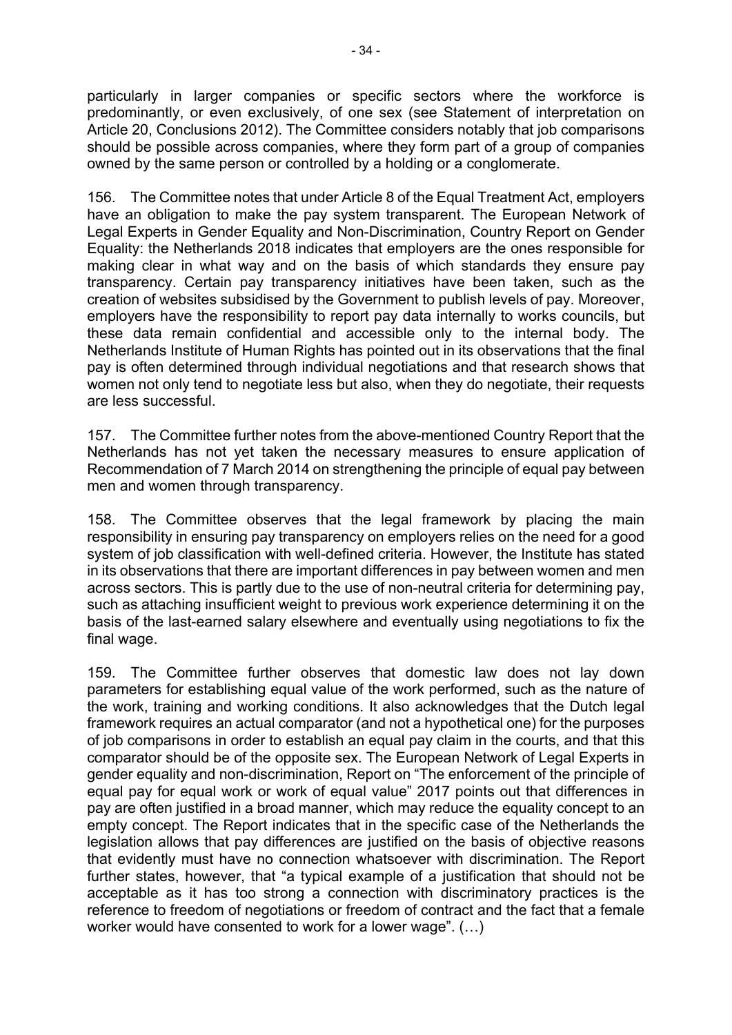particularly in larger companies or specific sectors where the workforce is predominantly, or even exclusively, of one sex (see Statement of interpretation on Article 20, Conclusions 2012). The Committee considers notably that job comparisons should be possible across companies, where they form part of a group of companies owned by the same person or controlled by a holding or a conglomerate.

156. The Committee notes that under Article 8 of the Equal Treatment Act, employers have an obligation to make the pay system transparent. The European Network of Legal Experts in Gender Equality and Non-Discrimination, Country Report on Gender Equality: the Netherlands 2018 indicates that employers are the ones responsible for making clear in what way and on the basis of which standards they ensure pay transparency. Certain pay transparency initiatives have been taken, such as the creation of websites subsidised by the Government to publish levels of pay. Moreover, employers have the responsibility to report pay data internally to works councils, but these data remain confidential and accessible only to the internal body. The Netherlands Institute of Human Rights has pointed out in its observations that the final pay is often determined through individual negotiations and that research shows that women not only tend to negotiate less but also, when they do negotiate, their requests are less successful.

157. The Committee further notes from the above-mentioned Country Report that the Netherlands has not yet taken the necessary measures to ensure application of Recommendation of 7 March 2014 on strengthening the principle of equal pay between men and women through transparency.

158. The Committee observes that the legal framework by placing the main responsibility in ensuring pay transparency on employers relies on the need for a good system of job classification with well-defined criteria. However, the Institute has stated in its observations that there are important differences in pay between women and men across sectors. This is partly due to the use of non-neutral criteria for determining pay, such as attaching insufficient weight to previous work experience determining it on the basis of the last-earned salary elsewhere and eventually using negotiations to fix the final wage.

159. The Committee further observes that domestic law does not lay down parameters for establishing equal value of the work performed, such as the nature of the work, training and working conditions. It also acknowledges that the Dutch legal framework requires an actual comparator (and not a hypothetical one) for the purposes of job comparisons in order to establish an equal pay claim in the courts, and that this comparator should be of the opposite sex. The European Network of Legal Experts in gender equality and non-discrimination, Report on "The enforcement of the principle of equal pay for equal work or work of equal value" 2017 points out that differences in pay are often justified in a broad manner, which may reduce the equality concept to an empty concept. The Report indicates that in the specific case of the Netherlands the legislation allows that pay differences are justified on the basis of objective reasons that evidently must have no connection whatsoever with discrimination. The Report further states, however, that "a typical example of a justification that should not be acceptable as it has too strong a connection with discriminatory practices is the reference to freedom of negotiations or freedom of contract and the fact that a female worker would have consented to work for a lower wage". (…)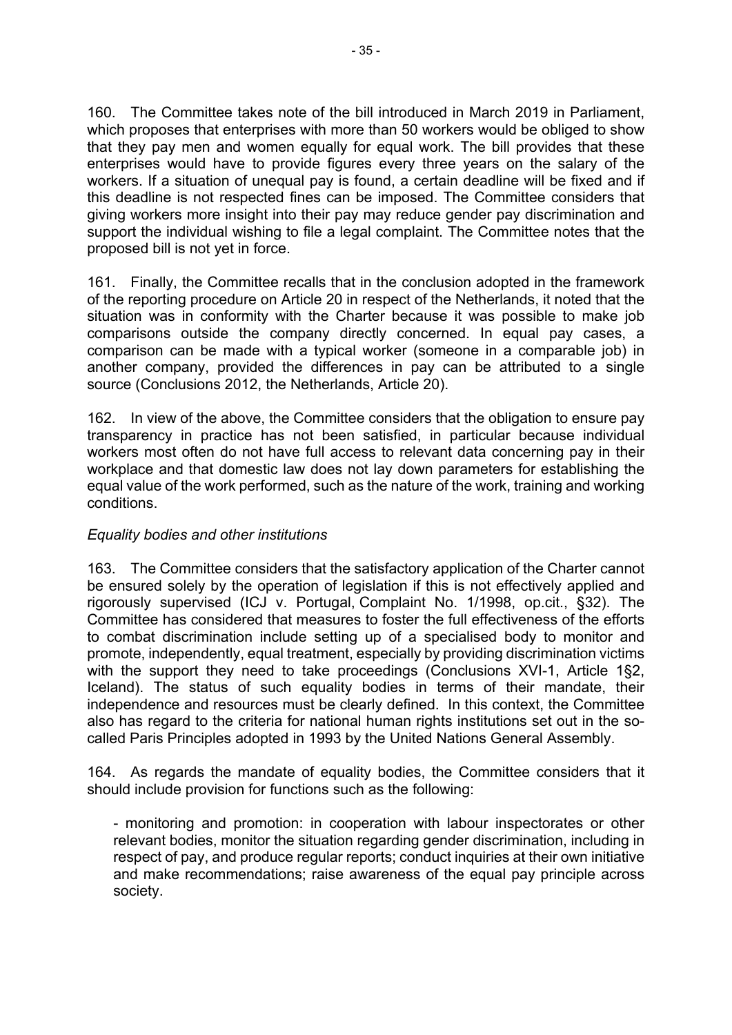160. The Committee takes note of the bill introduced in March 2019 in Parliament, which proposes that enterprises with more than 50 workers would be obliged to show that they pay men and women equally for equal work. The bill provides that these enterprises would have to provide figures every three years on the salary of the workers. If a situation of unequal pay is found, a certain deadline will be fixed and if this deadline is not respected fines can be imposed. The Committee considers that giving workers more insight into their pay may reduce gender pay discrimination and support the individual wishing to file a legal complaint. The Committee notes that the proposed bill is not yet in force.

161. Finally, the Committee recalls that in the conclusion adopted in the framework of the reporting procedure on Article 20 in respect of the Netherlands, it noted that the situation was in conformity with the Charter because it was possible to make job comparisons outside the company directly concerned. In equal pay cases, a comparison can be made with a typical worker (someone in a comparable job) in another company, provided the differences in pay can be attributed to a single source (Conclusions 2012, the Netherlands, Article 20).

162. In view of the above, the Committee considers that the obligation to ensure pay transparency in practice has not been satisfied, in particular because individual workers most often do not have full access to relevant data concerning pay in their workplace and that domestic law does not lay down parameters for establishing the equal value of the work performed, such as the nature of the work, training and working conditions.

## *Equality bodies and other institutions*

163. The Committee considers that the satisfactory application of the Charter cannot be ensured solely by the operation of legislation if this is not effectively applied and rigorously supervised (ICJ v. Portugal, Complaint No. 1/1998, op.cit., §32). The Committee has considered that measures to foster the full effectiveness of the efforts to combat discrimination include setting up of a specialised body to monitor and promote, independently, equal treatment, especially by providing discrimination victims with the support they need to take proceedings (Conclusions XVI-1, Article 1§2, Iceland). The status of such equality bodies in terms of their mandate, their independence and resources must be clearly defined. In this context, the Committee also has regard to the criteria for national human rights institutions set out in the socalled Paris Principles adopted in 1993 by the United Nations General Assembly.

164. As regards the mandate of equality bodies, the Committee considers that it should include provision for functions such as the following:

- monitoring and promotion: in cooperation with labour inspectorates or other relevant bodies, monitor the situation regarding gender discrimination, including in respect of pay, and produce regular reports; conduct inquiries at their own initiative and make recommendations; raise awareness of the equal pay principle across society.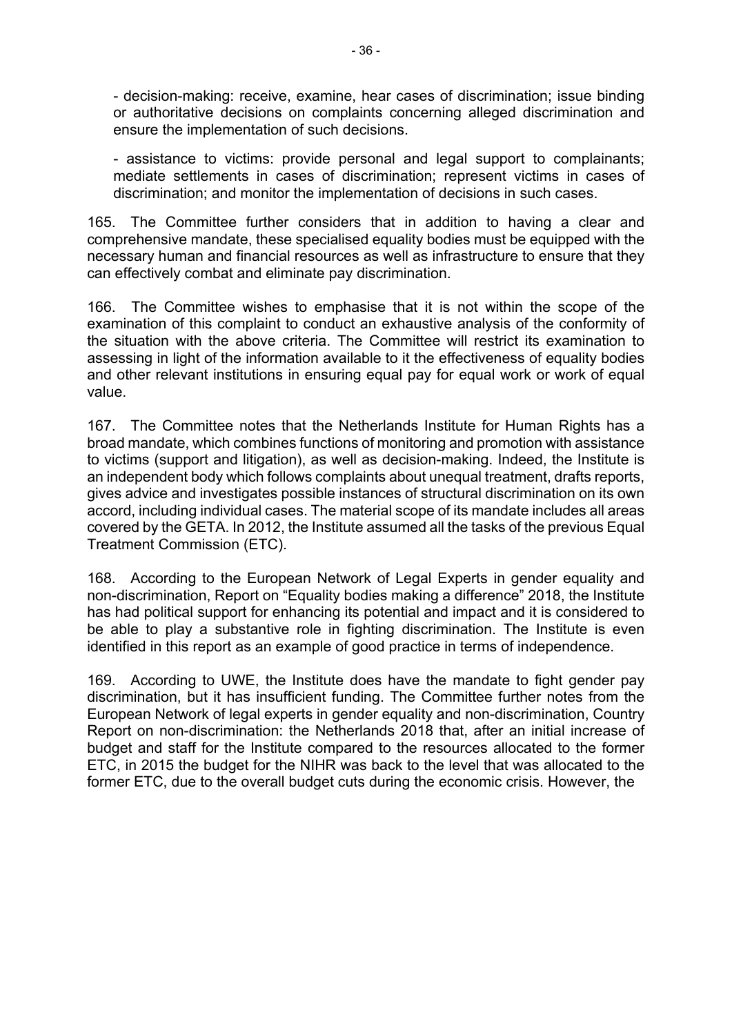- decision-making: receive, examine, hear cases of discrimination; issue binding or authoritative decisions on complaints concerning alleged discrimination and ensure the implementation of such decisions.

- assistance to victims: provide personal and legal support to complainants; mediate settlements in cases of discrimination; represent victims in cases of discrimination; and monitor the implementation of decisions in such cases.

165. The Committee further considers that in addition to having a clear and comprehensive mandate, these specialised equality bodies must be equipped with the necessary human and financial resources as well as infrastructure to ensure that they can effectively combat and eliminate pay discrimination.

166. The Committee wishes to emphasise that it is not within the scope of the examination of this complaint to conduct an exhaustive analysis of the conformity of the situation with the above criteria. The Committee will restrict its examination to assessing in light of the information available to it the effectiveness of equality bodies and other relevant institutions in ensuring equal pay for equal work or work of equal value.

167. The Committee notes that the Netherlands Institute for Human Rights has a broad mandate, which combines functions of monitoring and promotion with assistance to victims (support and litigation), as well as decision-making. Indeed, the Institute is an independent body which follows complaints about unequal treatment, drafts reports, gives advice and investigates possible instances of structural discrimination on its own accord, including individual cases. The material scope of its mandate includes all areas covered by the GETA. In 2012, the Institute assumed all the tasks of the previous Equal Treatment Commission (ETC).

168. According to the European Network of Legal Experts in gender equality and non-discrimination, Report on "Equality bodies making a difference" 2018, the Institute has had political support for enhancing its potential and impact and it is considered to be able to play a substantive role in fighting discrimination. The Institute is even identified in this report as an example of good practice in terms of independence.

169. According to UWE, the Institute does have the mandate to fight gender pay discrimination, but it has insufficient funding. The Committee further notes from the European Network of legal experts in gender equality and non-discrimination, Country Report on non-discrimination: the Netherlands 2018 that, after an initial increase of budget and staff for the Institute compared to the resources allocated to the former ETC, in 2015 the budget for the NIHR was back to the level that was allocated to the former ETC, due to the overall budget cuts during the economic crisis. However, the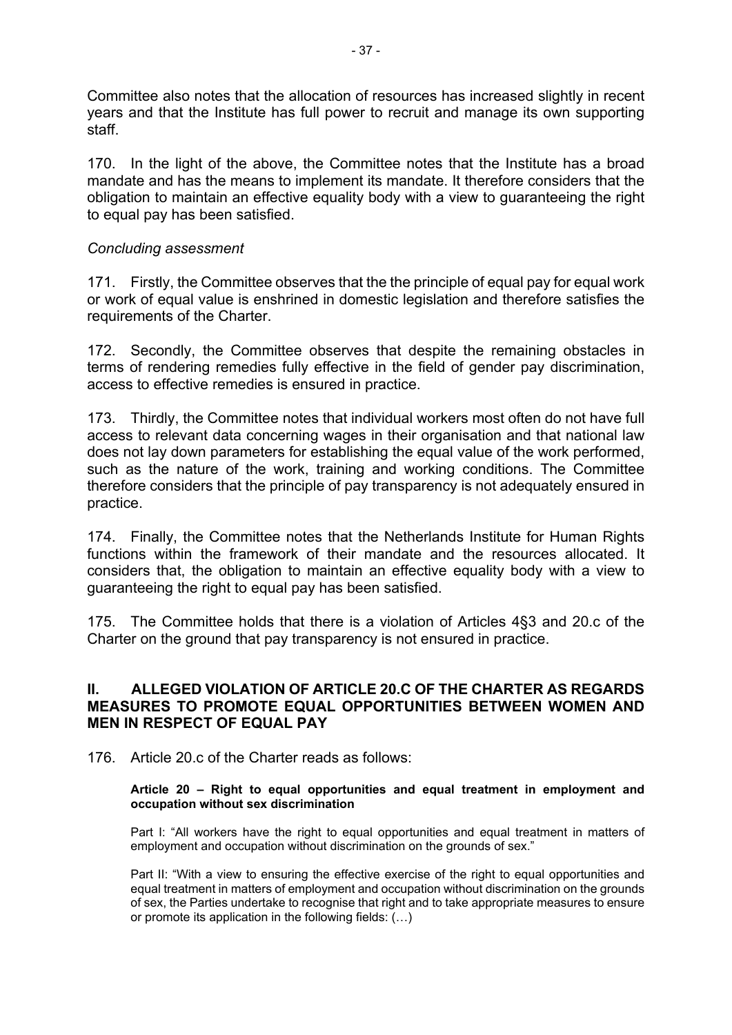Committee also notes that the allocation of resources has increased slightly in recent years and that the Institute has full power to recruit and manage its own supporting staff.

170. In the light of the above, the Committee notes that the Institute has a broad mandate and has the means to implement its mandate. It therefore considers that the obligation to maintain an effective equality body with a view to guaranteeing the right to equal pay has been satisfied.

#### *Concluding assessment*

171. Firstly, the Committee observes that the the principle of equal pay for equal work or work of equal value is enshrined in domestic legislation and therefore satisfies the requirements of the Charter.

172. Secondly, the Committee observes that despite the remaining obstacles in terms of rendering remedies fully effective in the field of gender pay discrimination, access to effective remedies is ensured in practice.

173. Thirdly, the Committee notes that individual workers most often do not have full access to relevant data concerning wages in their organisation and that national law does not lay down parameters for establishing the equal value of the work performed, such as the nature of the work, training and working conditions. The Committee therefore considers that the principle of pay transparency is not adequately ensured in practice.

174. Finally, the Committee notes that the Netherlands Institute for Human Rights functions within the framework of their mandate and the resources allocated. It considers that, the obligation to maintain an effective equality body with a view to guaranteeing the right to equal pay has been satisfied.

175. The Committee holds that there is a violation of Articles 4§3 and 20.c of the Charter on the ground that pay transparency is not ensured in practice.

### **II. ALLEGED VIOLATION OF ARTICLE 20.C OF THE CHARTER AS REGARDS MEASURES TO PROMOTE EQUAL OPPORTUNITIES BETWEEN WOMEN AND MEN IN RESPECT OF EQUAL PAY**

176. Article 20.c of the Charter reads as follows:

#### **Article 20 – Right to equal opportunities and equal treatment in employment and occupation without sex discrimination**

Part I: "All workers have the right to equal opportunities and equal treatment in matters of employment and occupation without discrimination on the grounds of sex."

Part II: "With a view to ensuring the effective exercise of the right to equal opportunities and equal treatment in matters of employment and occupation without discrimination on the grounds of sex, the Parties undertake to recognise that right and to take appropriate measures to ensure or promote its application in the following fields: (…)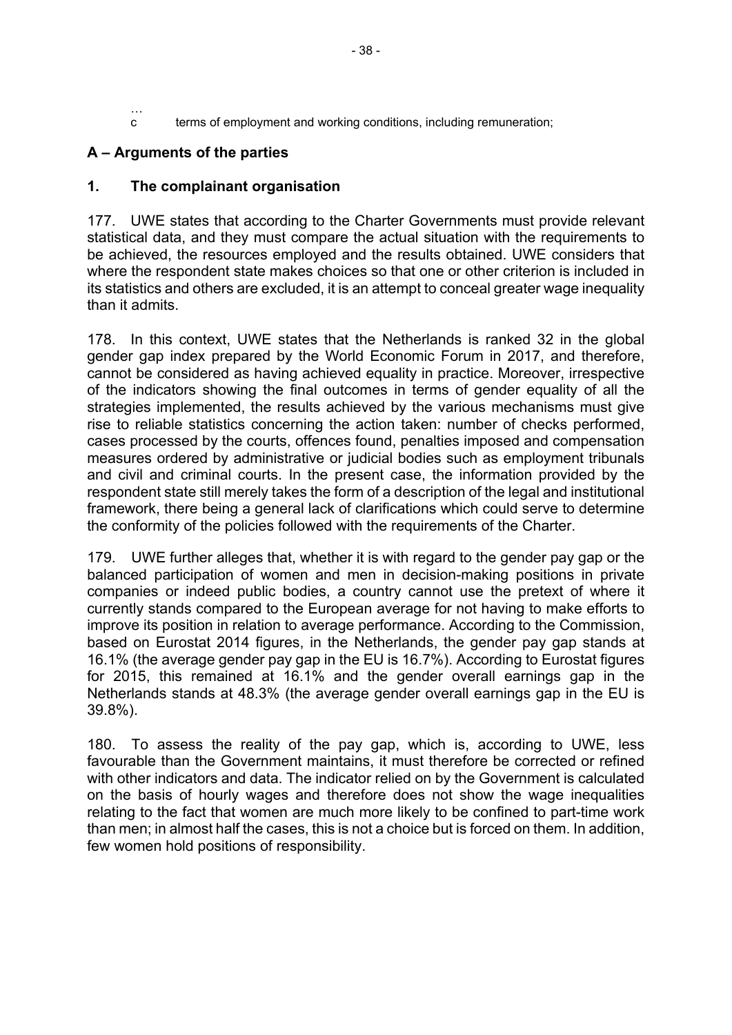… c terms of employment and working conditions, including remuneration;

## **A – Arguments of the parties**

### **1. The complainant organisation**

177. UWE states that according to the Charter Governments must provide relevant statistical data, and they must compare the actual situation with the requirements to be achieved, the resources employed and the results obtained. UWE considers that where the respondent state makes choices so that one or other criterion is included in its statistics and others are excluded, it is an attempt to conceal greater wage inequality than it admits.

178. In this context, UWE states that the Netherlands is ranked 32 in the global gender gap index prepared by the World Economic Forum in 2017, and therefore, cannot be considered as having achieved equality in practice. Moreover, irrespective of the indicators showing the final outcomes in terms of gender equality of all the strategies implemented, the results achieved by the various mechanisms must give rise to reliable statistics concerning the action taken: number of checks performed, cases processed by the courts, offences found, penalties imposed and compensation measures ordered by administrative or judicial bodies such as employment tribunals and civil and criminal courts. In the present case, the information provided by the respondent state still merely takes the form of a description of the legal and institutional framework, there being a general lack of clarifications which could serve to determine the conformity of the policies followed with the requirements of the Charter.

179. UWE further alleges that, whether it is with regard to the gender pay gap or the balanced participation of women and men in decision-making positions in private companies or indeed public bodies, a country cannot use the pretext of where it currently stands compared to the European average for not having to make efforts to improve its position in relation to average performance. According to the Commission, based on Eurostat 2014 figures, in the Netherlands, the gender pay gap stands at 16.1% (the average gender pay gap in the EU is 16.7%). According to Eurostat figures for 2015, this remained at 16.1% and the gender overall earnings gap in the Netherlands stands at 48.3% (the average gender overall earnings gap in the EU is 39.8%).

180. To assess the reality of the pay gap, which is, according to UWE, less favourable than the Government maintains, it must therefore be corrected or refined with other indicators and data. The indicator relied on by the Government is calculated on the basis of hourly wages and therefore does not show the wage inequalities relating to the fact that women are much more likely to be confined to part-time work than men; in almost half the cases, this is not a choice but is forced on them. In addition, few women hold positions of responsibility.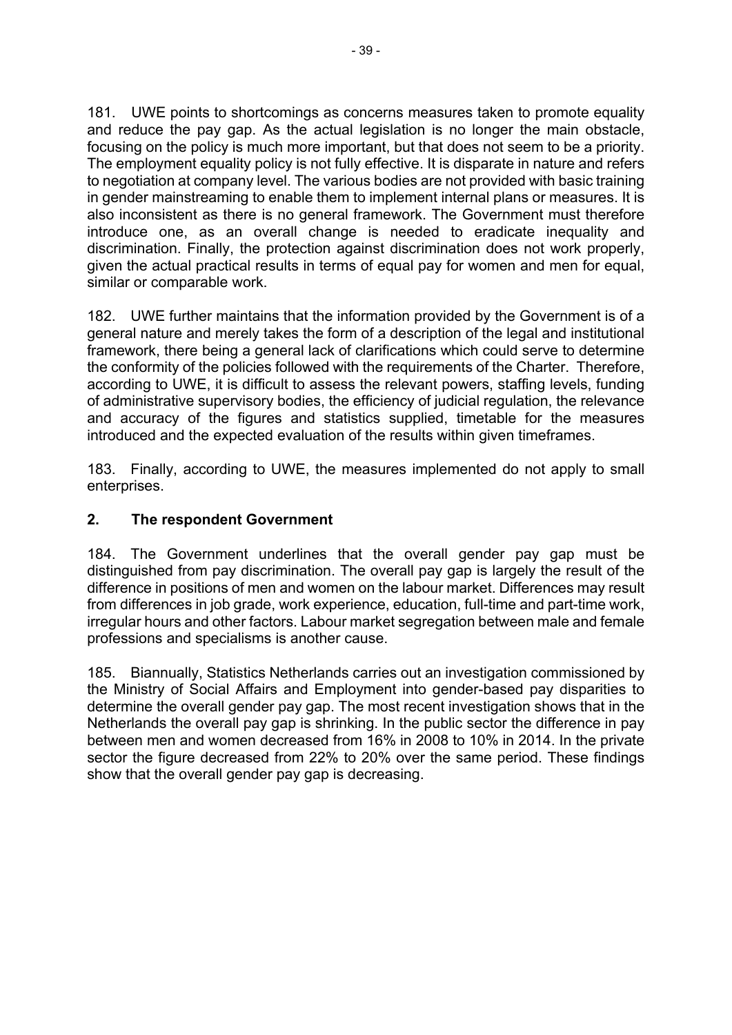181. UWE points to shortcomings as concerns measures taken to promote equality and reduce the pay gap. As the actual legislation is no longer the main obstacle, focusing on the policy is much more important, but that does not seem to be a priority. The employment equality policy is not fully effective. It is disparate in nature and refers to negotiation at company level. The various bodies are not provided with basic training in gender mainstreaming to enable them to implement internal plans or measures. It is also inconsistent as there is no general framework. The Government must therefore introduce one, as an overall change is needed to eradicate inequality and discrimination. Finally, the protection against discrimination does not work properly, given the actual practical results in terms of equal pay for women and men for equal, similar or comparable work.

182. UWE further maintains that the information provided by the Government is of a general nature and merely takes the form of a description of the legal and institutional framework, there being a general lack of clarifications which could serve to determine the conformity of the policies followed with the requirements of the Charter. Therefore, according to UWE, it is difficult to assess the relevant powers, staffing levels, funding of administrative supervisory bodies, the efficiency of judicial regulation, the relevance and accuracy of the figures and statistics supplied, timetable for the measures introduced and the expected evaluation of the results within given timeframes.

183. Finally, according to UWE, the measures implemented do not apply to small enterprises.

## **2. The respondent Government**

184. The Government underlines that the overall gender pay gap must be distinguished from pay discrimination. The overall pay gap is largely the result of the difference in positions of men and women on the labour market. Differences may result from differences in job grade, work experience, education, full-time and part-time work, irregular hours and other factors. Labour market segregation between male and female professions and specialisms is another cause.

185. Biannually, Statistics Netherlands carries out an investigation commissioned by the Ministry of Social Affairs and Employment into gender-based pay disparities to determine the overall gender pay gap. The most recent investigation shows that in the Netherlands the overall pay gap is shrinking. In the public sector the difference in pay between men and women decreased from 16% in 2008 to 10% in 2014. In the private sector the figure decreased from 22% to 20% over the same period. These findings show that the overall gender pay gap is decreasing.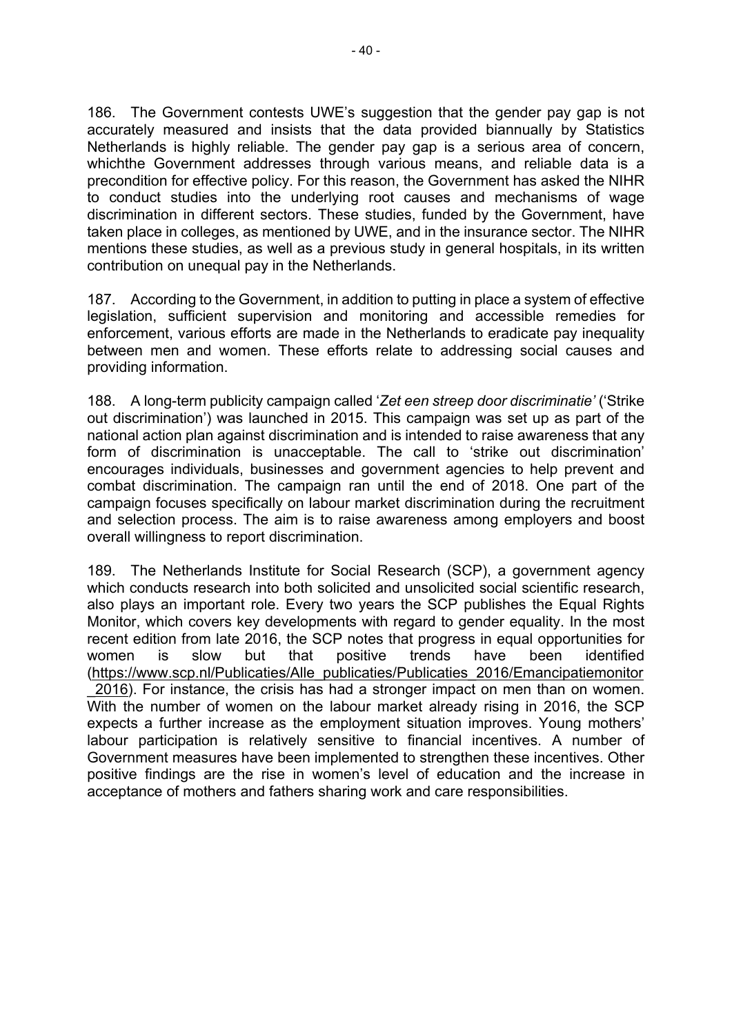186. The Government contests UWE's suggestion that the gender pay gap is not accurately measured and insists that the data provided biannually by Statistics Netherlands is highly reliable. The gender pay gap is a serious area of concern, whichthe Government addresses through various means, and reliable data is a precondition for effective policy. For this reason, the Government has asked the NIHR to conduct studies into the underlying root causes and mechanisms of wage discrimination in different sectors. These studies, funded by the Government, have taken place in colleges, as mentioned by UWE, and in the insurance sector. The NIHR mentions these studies, as well as a previous study in general hospitals, in its written contribution on unequal pay in the Netherlands.

187. According to the Government, in addition to putting in place a system of effective legislation, sufficient supervision and monitoring and accessible remedies for enforcement, various efforts are made in the Netherlands to eradicate pay inequality between men and women. These efforts relate to addressing social causes and providing information.

188. A long-term publicity campaign called '*Zet een streep door discriminatie'* ('Strike out discrimination') was launched in 2015. This campaign was set up as part of the national action plan against discrimination and is intended to raise awareness that any form of discrimination is unacceptable. The call to 'strike out discrimination' encourages individuals, businesses and government agencies to help prevent and combat discrimination. The campaign ran until the end of 2018. One part of the campaign focuses specifically on labour market discrimination during the recruitment and selection process. The aim is to raise awareness among employers and boost overall willingness to report discrimination.

189. The Netherlands Institute for Social Research (SCP), a government agency which conducts research into both solicited and unsolicited social scientific research, also plays an important role. Every two years the SCP publishes the Equal Rights Monitor, which covers key developments with regard to gender equality. In the most recent edition from late 2016, the SCP notes that progress in equal opportunities for women is slow but that positive trends have been identified ([https://www.scp.nl/Publicaties/Alle\\_publicaties/Publicaties\\_2016/Emancipatiemonitor](https://www.scp.nl/Publicaties/Alle_publicaties/Publicaties_2016/Emancipatiemonitor_2016) [\\_2016](https://www.scp.nl/Publicaties/Alle_publicaties/Publicaties_2016/Emancipatiemonitor_2016)). For instance, the crisis has had a stronger impact on men than on women. With the number of women on the labour market already rising in 2016, the SCP expects a further increase as the employment situation improves. Young mothers' labour participation is relatively sensitive to financial incentives. A number of Government measures have been implemented to strengthen these incentives. Other positive findings are the rise in women's level of education and the increase in acceptance of mothers and fathers sharing work and care responsibilities.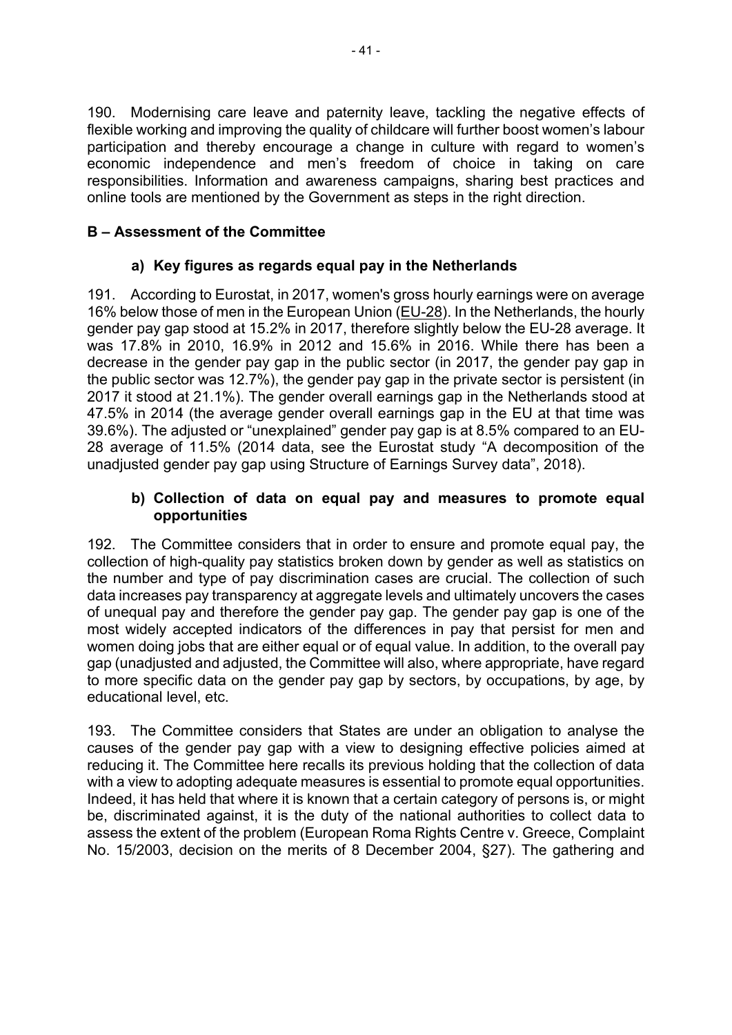190. Modernising care leave and paternity leave, tackling the negative effects of flexible working and improving the quality of childcare will further boost women's labour participation and thereby encourage a change in culture with regard to women's economic independence and men's freedom of choice in taking on care responsibilities. Information and awareness campaigns, sharing best practices and online tools are mentioned by the Government as steps in the right direction.

# **B – Assessment of the Committee**

## **a) Key figures as regards equal pay in the Netherlands**

191. According to Eurostat, in 2017, women's gross hourly earnings were on average 16% below those of men in the European Union ([EU-28\)](http://ec.europa.eu/eurostat/statistics-explained/index.php?title=Glossary:EU-28). In the Netherlands, the hourly gender pay gap stood at 15.2% in 2017, therefore slightly below the EU-28 average. It was 17.8% in 2010, 16.9% in 2012 and 15.6% in 2016. While there has been a decrease in the gender pay gap in the public sector (in 2017, the gender pay gap in the public sector was 12.7%), the gender pay gap in the private sector is persistent (in 2017 it stood at 21.1%). The gender overall earnings gap in the Netherlands stood at 47.5% in 2014 (the average gender overall earnings gap in the EU at that time was 39.6%). The adjusted or "unexplained" gender pay gap is at 8.5% compared to an EU-28 average of 11.5% (2014 data, see the Eurostat study "A decomposition of the unadjusted gender pay gap using Structure of Earnings Survey data", 2018).

## **b) Collection of data on equal pay and measures to promote equal opportunities**

192. The Committee considers that in order to ensure and promote equal pay, the collection of high-quality pay statistics broken down by gender as well as statistics on the number and type of pay discrimination cases are crucial. The collection of such data increases pay transparency at aggregate levels and ultimately uncovers the cases of unequal pay and therefore the gender pay gap. The gender pay gap is one of the most widely accepted indicators of the differences in pay that persist for men and women doing jobs that are either equal or of equal value. In addition, to the overall pay gap (unadjusted and adjusted, the Committee will also, where appropriate, have regard to more specific data on the gender pay gap by sectors, by occupations, by age, by educational level, etc.

193. The Committee considers that States are under an obligation to analyse the causes of the gender pay gap with a view to designing effective policies aimed at reducing it. The Committee here recalls its previous holding that the collection of data with a view to adopting adequate measures is essential to promote equal opportunities. Indeed, it has held that where it is known that a certain category of persons is, or might be, discriminated against, it is the duty of the national authorities to collect data to assess the extent of the problem (European Roma Rights Centre v. Greece, Complaint No. 15/2003, decision on the merits of 8 December 2004, §27). The gathering and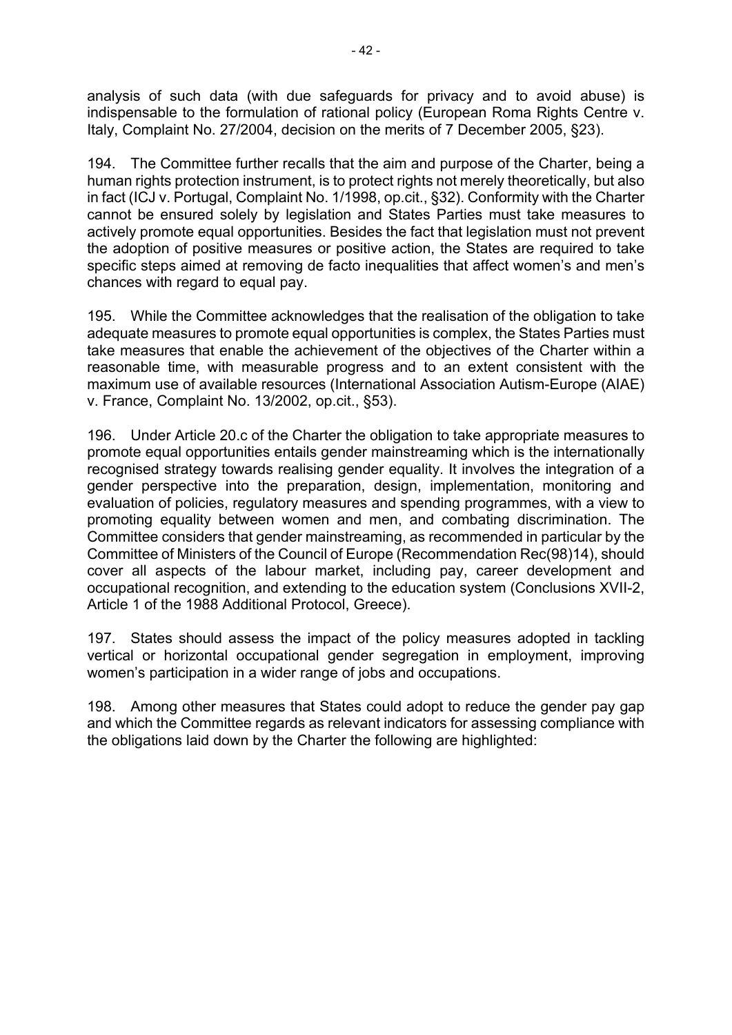analysis of such data (with due safeguards for privacy and to avoid abuse) is indispensable to the formulation of rational policy (European Roma Rights Centre v. Italy, Complaint No. 27/2004, decision on the merits of 7 December 2005, §23).

194. The Committee further recalls that the aim and purpose of the Charter, being a human rights protection instrument, is to protect rights not merely theoretically, but also in fact (ICJ v. Portugal, Complaint No. 1/1998, op.cit., §32). Conformity with the Charter cannot be ensured solely by legislation and States Parties must take measures to actively promote equal opportunities. Besides the fact that legislation must not prevent the adoption of positive measures or positive action, the States are required to take specific steps aimed at removing de facto inequalities that affect women's and men's chances with regard to equal pay.

195. While the Committee acknowledges that the realisation of the obligation to take adequate measures to promote equal opportunities is complex, the States Parties must take measures that enable the achievement of the objectives of the Charter within a reasonable time, with measurable progress and to an extent consistent with the maximum use of available resources (International Association Autism-Europe (AIAE) v. France, Complaint No. 13/2002, op.cit., §53).

196. Under Article 20.c of the Charter the obligation to take appropriate measures to promote equal opportunities entails gender mainstreaming which is the internationally recognised strategy towards realising gender equality. It involves the integration of a gender perspective into the preparation, design, implementation, monitoring and evaluation of policies, regulatory measures and spending programmes, with a view to promoting equality between women and men, and combating discrimination. The Committee considers that gender mainstreaming, as recommended in particular by the Committee of Ministers of the Council of Europe (Recommendation Rec(98)14), should cover all aspects of the labour market, including pay, career development and occupational recognition, and extending to the education system (Conclusions XVII-2, Article 1 of the 1988 Additional Protocol, Greece).

197. States should assess the impact of the policy measures adopted in tackling vertical or horizontal occupational gender segregation in employment, improving women's participation in a wider range of jobs and occupations.

198. Among other measures that States could adopt to reduce the gender pay gap and which the Committee regards as relevant indicators for assessing compliance with the obligations laid down by the Charter the following are highlighted: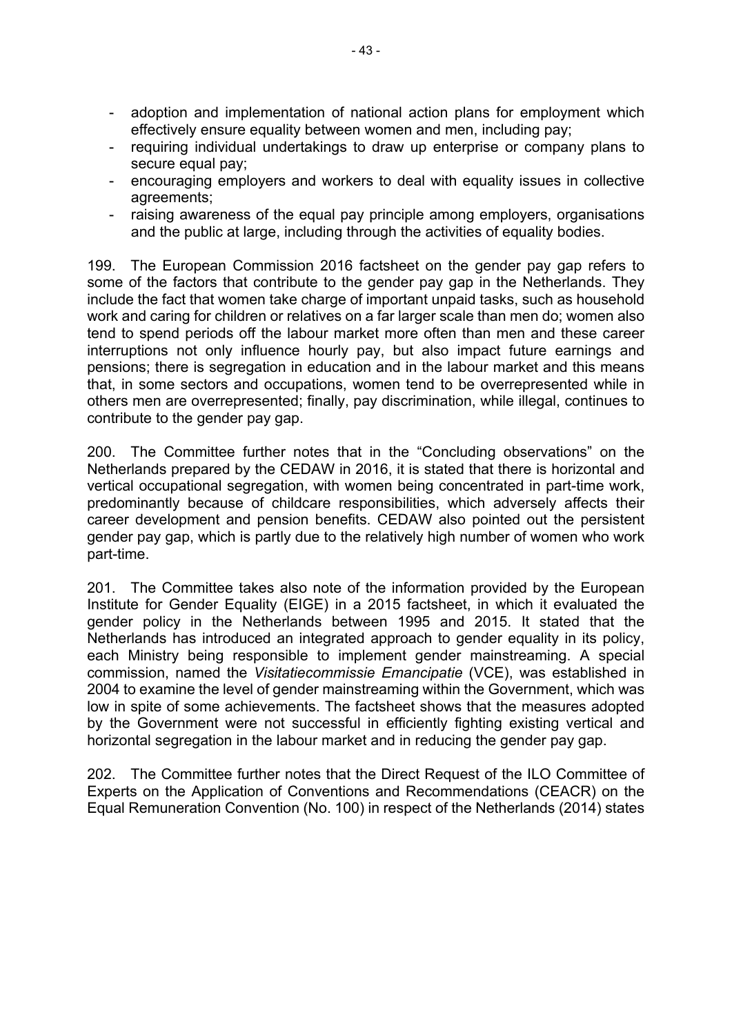- adoption and implementation of national action plans for employment which effectively ensure equality between women and men, including pay;
- requiring individual undertakings to draw up enterprise or company plans to secure equal pay;
- encouraging employers and workers to deal with equality issues in collective agreements;
- raising awareness of the equal pay principle among employers, organisations and the public at large, including through the activities of equality bodies.

199. The European Commission 2016 factsheet on the gender pay gap refers to some of the factors that contribute to the gender pay gap in the Netherlands. They include the fact that women take charge of important unpaid tasks, such as household work and caring for children or relatives on a far larger scale than men do; women also tend to spend periods off the labour market more often than men and these career interruptions not only influence hourly pay, but also impact future earnings and pensions; there is segregation in education and in the labour market and this means that, in some sectors and occupations, women tend to be overrepresented while in others men are overrepresented; finally, pay discrimination, while illegal, continues to contribute to the gender pay gap.

200. The Committee further notes that in the "Concluding observations" on the Netherlands prepared by the CEDAW in 2016, it is stated that there is horizontal and vertical occupational segregation, with women being concentrated in part-time work, predominantly because of childcare responsibilities, which adversely affects their career development and pension benefits. CEDAW also pointed out the persistent gender pay gap, which is partly due to the relatively high number of women who work part-time.

201. The Committee takes also note of the information provided by the European Institute for Gender Equality (EIGE) in a 2015 factsheet, in which it evaluated the gender policy in the Netherlands between 1995 and 2015. It stated that the Netherlands has introduced an integrated approach to gender equality in its policy, each Ministry being responsible to implement gender mainstreaming. A special commission, named the *Visitatiecommissie Emancipatie* (VCE), was established in 2004 to examine the level of gender mainstreaming within the Government, which was low in spite of some achievements. The factsheet shows that the measures adopted by the Government were not successful in efficiently fighting existing vertical and horizontal segregation in the labour market and in reducing the gender pay gap.

202. The Committee further notes that the Direct Request of the ILO Committee of Experts on the Application of Conventions and Recommendations (CEACR) on the Equal Remuneration Convention (No. 100) in respect of the Netherlands (2014) states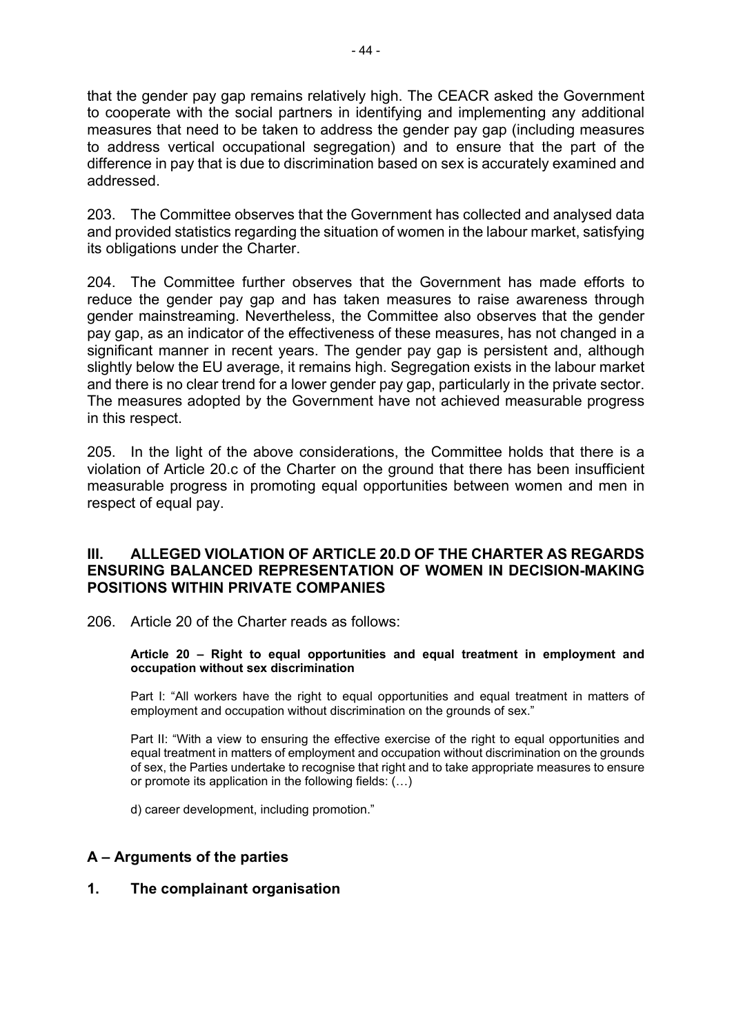that the gender pay gap remains relatively high. The CEACR asked the Government to cooperate with the social partners in identifying and implementing any additional measures that need to be taken to address the gender pay gap (including measures to address vertical occupational segregation) and to ensure that the part of the difference in pay that is due to discrimination based on sex is accurately examined and addressed.

203. The Committee observes that the Government has collected and analysed data and provided statistics regarding the situation of women in the labour market, satisfying its obligations under the Charter.

204. The Committee further observes that the Government has made efforts to reduce the gender pay gap and has taken measures to raise awareness through gender mainstreaming. Nevertheless, the Committee also observes that the gender pay gap, as an indicator of the effectiveness of these measures, has not changed in a significant manner in recent years. The gender pay gap is persistent and, although slightly below the EU average, it remains high. Segregation exists in the labour market and there is no clear trend for a lower gender pay gap, particularly in the private sector. The measures adopted by the Government have not achieved measurable progress in this respect.

205. In the light of the above considerations, the Committee holds that there is a violation of Article 20.c of the Charter on the ground that there has been insufficient measurable progress in promoting equal opportunities between women and men in respect of equal pay.

### **III. ALLEGED VIOLATION OF ARTICLE 20.D OF THE CHARTER AS REGARDS ENSURING BALANCED REPRESENTATION OF WOMEN IN DECISION-MAKING POSITIONS WITHIN PRIVATE COMPANIES**

206. Article 20 of the Charter reads as follows:

#### **Article 20 – Right to equal opportunities and equal treatment in employment and occupation without sex discrimination**

Part I: "All workers have the right to equal opportunities and equal treatment in matters of employment and occupation without discrimination on the grounds of sex."

Part II: "With a view to ensuring the effective exercise of the right to equal opportunities and equal treatment in matters of employment and occupation without discrimination on the grounds of sex, the Parties undertake to recognise that right and to take appropriate measures to ensure or promote its application in the following fields: (…)

d) career development, including promotion."

### **A – Arguments of the parties**

**1. The complainant organisation**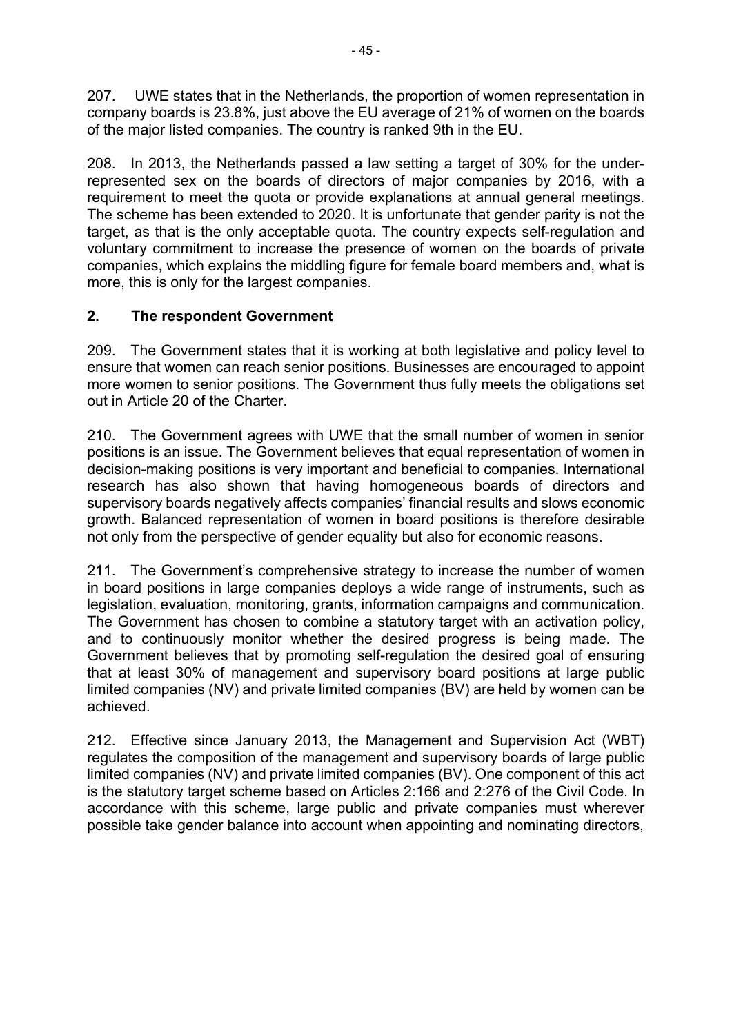207. UWE states that in the Netherlands, the proportion of women representation in company boards is 23.8%, just above the EU average of 21% of women on the boards of the major listed companies. The country is ranked 9th in the EU.

208. In 2013, the Netherlands passed a law setting a target of 30% for the underrepresented sex on the boards of directors of major companies by 2016, with a requirement to meet the quota or provide explanations at annual general meetings. The scheme has been extended to 2020. It is unfortunate that gender parity is not the target, as that is the only acceptable quota. The country expects self-regulation and voluntary commitment to increase the presence of women on the boards of private companies, which explains the middling figure for female board members and, what is more, this is only for the largest companies.

# **2. The respondent Government**

209. The Government states that it is working at both legislative and policy level to ensure that women can reach senior positions. Businesses are encouraged to appoint more women to senior positions. The Government thus fully meets the obligations set out in Article 20 of the Charter.

210. The Government agrees with UWE that the small number of women in senior positions is an issue. The Government believes that equal representation of women in decision-making positions is very important and beneficial to companies. International research has also shown that having homogeneous boards of directors and supervisory boards negatively affects companies' financial results and slows economic growth. Balanced representation of women in board positions is therefore desirable not only from the perspective of gender equality but also for economic reasons.

211. The Government's comprehensive strategy to increase the number of women in board positions in large companies deploys a wide range of instruments, such as legislation, evaluation, monitoring, grants, information campaigns and communication. The Government has chosen to combine a statutory target with an activation policy, and to continuously monitor whether the desired progress is being made. The Government believes that by promoting self-regulation the desired goal of ensuring that at least 30% of management and supervisory board positions at large public limited companies (NV) and private limited companies (BV) are held by women can be achieved.

212. Effective since January 2013, the Management and Supervision Act (WBT) regulates the composition of the management and supervisory boards of large public limited companies (NV) and private limited companies (BV). One component of this act is the statutory target scheme based on Articles 2:166 and 2:276 of the Civil Code. In accordance with this scheme, large public and private companies must wherever possible take gender balance into account when appointing and nominating directors,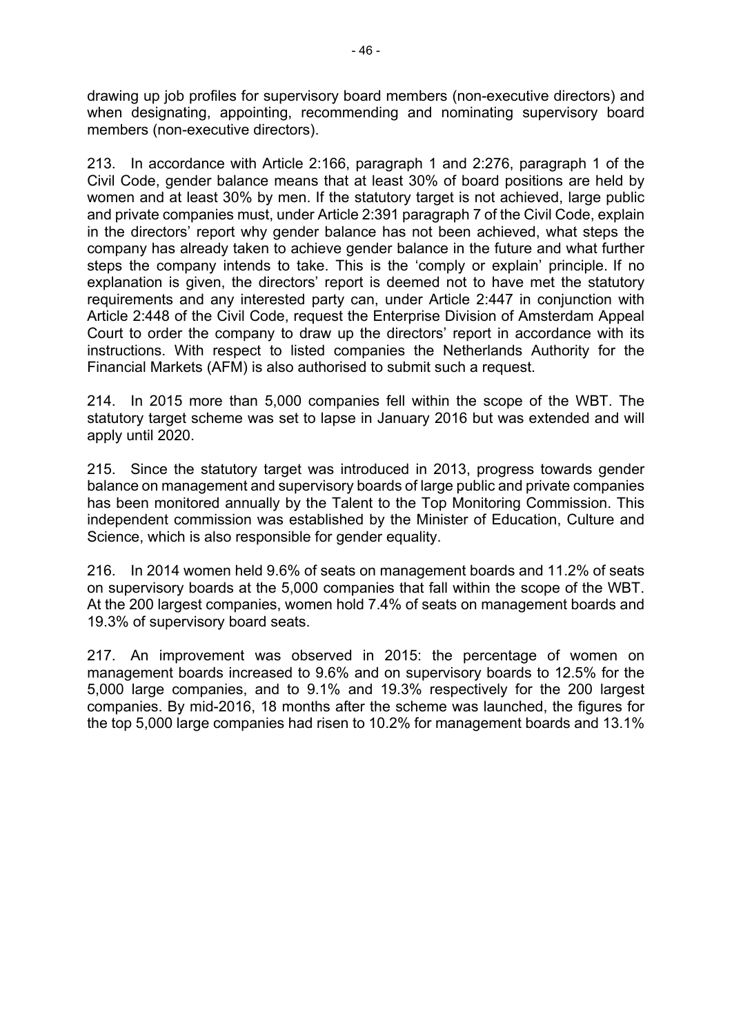drawing up job profiles for supervisory board members (non-executive directors) and when designating, appointing, recommending and nominating supervisory board members (non-executive directors).

213. In accordance with Article 2:166, paragraph 1 and 2:276, paragraph 1 of the Civil Code, gender balance means that at least 30% of board positions are held by women and at least 30% by men. If the statutory target is not achieved, large public and private companies must, under Article 2:391 paragraph 7 of the Civil Code, explain in the directors' report why gender balance has not been achieved, what steps the company has already taken to achieve gender balance in the future and what further steps the company intends to take. This is the 'comply or explain' principle. If no explanation is given, the directors' report is deemed not to have met the statutory requirements and any interested party can, under Article 2:447 in conjunction with Article 2:448 of the Civil Code, request the Enterprise Division of Amsterdam Appeal Court to order the company to draw up the directors' report in accordance with its instructions. With respect to listed companies the Netherlands Authority for the Financial Markets (AFM) is also authorised to submit such a request.

214. In 2015 more than 5,000 companies fell within the scope of the WBT. The statutory target scheme was set to lapse in January 2016 but was extended and will apply until 2020.

215. Since the statutory target was introduced in 2013, progress towards gender balance on management and supervisory boards of large public and private companies has been monitored annually by the Talent to the Top Monitoring Commission. This independent commission was established by the Minister of Education, Culture and Science, which is also responsible for gender equality.

216. In 2014 women held 9.6% of seats on management boards and 11.2% of seats on supervisory boards at the 5,000 companies that fall within the scope of the WBT. At the 200 largest companies, women hold 7.4% of seats on management boards and 19.3% of supervisory board seats.

217. An improvement was observed in 2015: the percentage of women on management boards increased to 9.6% and on supervisory boards to 12.5% for the 5,000 large companies, and to 9.1% and 19.3% respectively for the 200 largest companies. By mid-2016, 18 months after the scheme was launched, the figures for the top 5,000 large companies had risen to 10.2% for management boards and 13.1%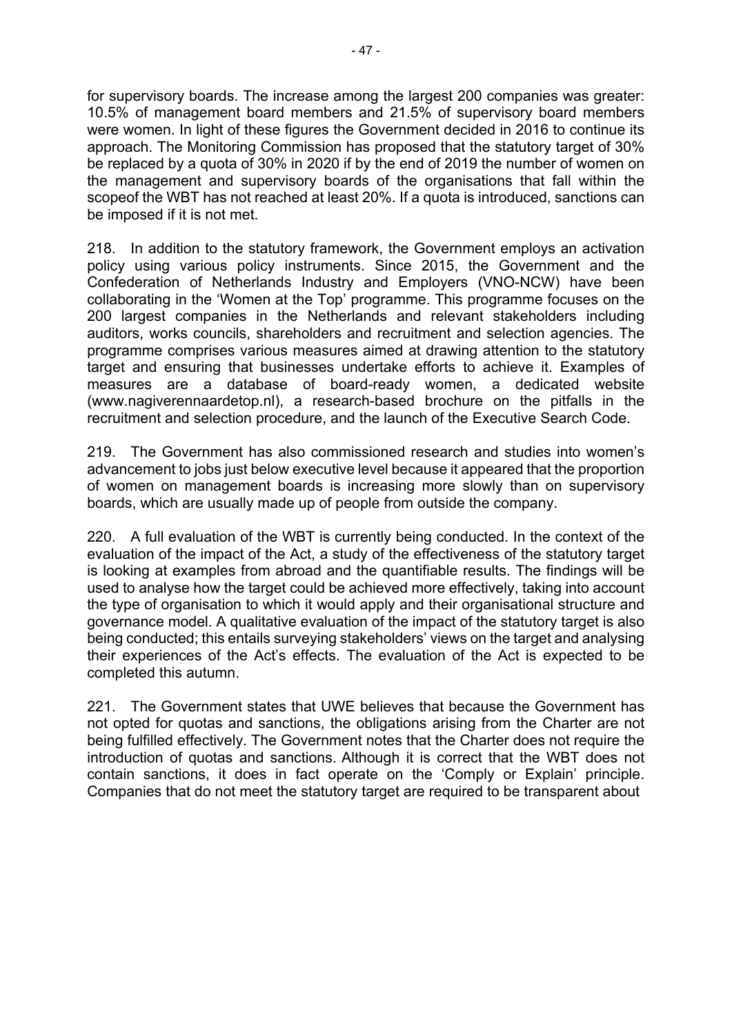for supervisory boards. The increase among the largest 200 companies was greater: 10.5% of management board members and 21.5% of supervisory board members were women. In light of these figures the Government decided in 2016 to continue its approach. The Monitoring Commission has proposed that the statutory target of 30% be replaced by a quota of 30% in 2020 if by the end of 2019 the number of women on the management and supervisory boards of the organisations that fall within the scopeof the WBT has not reached at least 20%. If a quota is introduced, sanctions can be imposed if it is not met.

218. In addition to the statutory framework, the Government employs an activation policy using various policy instruments. Since 2015, the Government and the Confederation of Netherlands Industry and Employers (VNO-NCW) have been collaborating in the 'Women at the Top' programme. This programme focuses on the 200 largest companies in the Netherlands and relevant stakeholders including auditors, works councils, shareholders and recruitment and selection agencies. The programme comprises various measures aimed at drawing attention to the statutory target and ensuring that businesses undertake efforts to achieve it. Examples of measures are a database of board-ready women, a dedicated website (www.nagiverennaardetop.nl), a research-based brochure on the pitfalls in the recruitment and selection procedure, and the launch of the Executive Search Code.

219. The Government has also commissioned research and studies into women's advancement to jobs just below executive level because it appeared that the proportion of women on management boards is increasing more slowly than on supervisory boards, which are usually made up of people from outside the company.

220. A full evaluation of the WBT is currently being conducted. In the context of the evaluation of the impact of the Act, a study of the effectiveness of the statutory target is looking at examples from abroad and the quantifiable results. The findings will be used to analyse how the target could be achieved more effectively, taking into account the type of organisation to which it would apply and their organisational structure and governance model. A qualitative evaluation of the impact of the statutory target is also being conducted; this entails surveying stakeholders' views on the target and analysing their experiences of the Act's effects. The evaluation of the Act is expected to be completed this autumn.

221. The Government states that UWE believes that because the Government has not opted for quotas and sanctions, the obligations arising from the Charter are not being fulfilled effectively. The Government notes that the Charter does not require the introduction of quotas and sanctions. Although it is correct that the WBT does not contain sanctions, it does in fact operate on the 'Comply or Explain' principle. Companies that do not meet the statutory target are required to be transparent about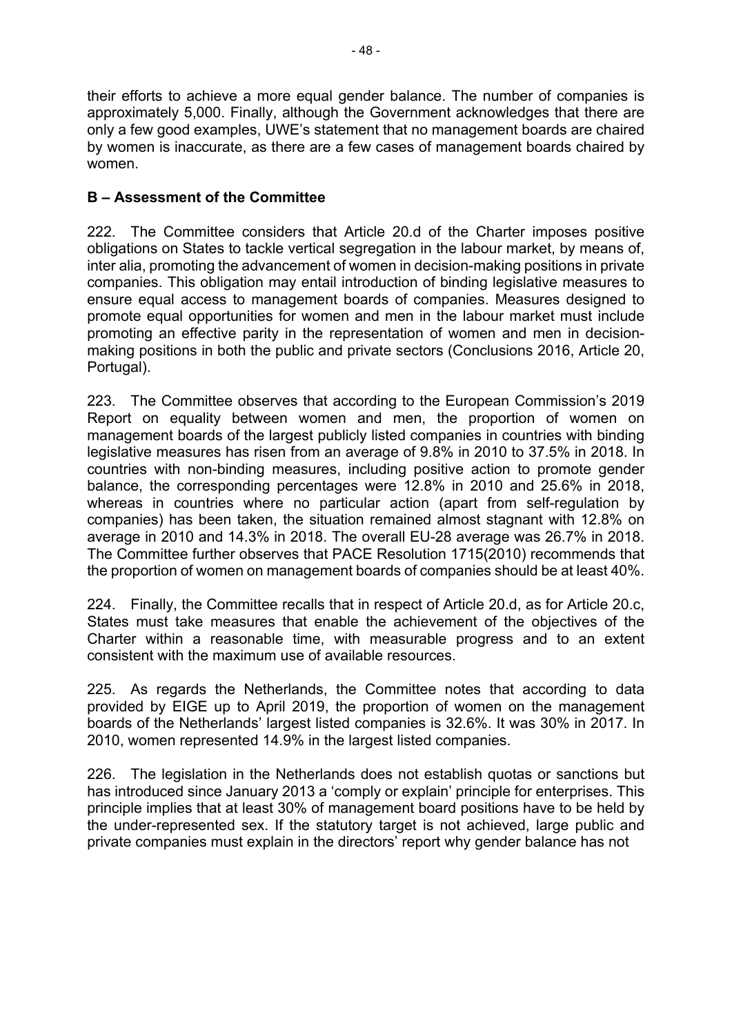their efforts to achieve a more equal gender balance. The number of companies is approximately 5,000. Finally, although the Government acknowledges that there are only a few good examples, UWE's statement that no management boards are chaired by women is inaccurate, as there are a few cases of management boards chaired by women.

## **B – Assessment of the Committee**

222. The Committee considers that Article 20.d of the Charter imposes positive obligations on States to tackle vertical segregation in the labour market, by means of, inter alia, promoting the advancement of women in decision-making positions in private companies. This obligation may entail introduction of binding legislative measures to ensure equal access to management boards of companies. Measures designed to promote equal opportunities for women and men in the labour market must include promoting an effective parity in the representation of women and men in decisionmaking positions in both the public and private sectors (Conclusions 2016, Article 20, Portugal).

223. The Committee observes that according to the European Commission's 2019 Report on equality between women and men, the proportion of women on management boards of the largest publicly listed companies in countries with binding legislative measures has risen from an average of 9.8% in 2010 to 37.5% in 2018. In countries with non-binding measures, including positive action to promote gender balance, the corresponding percentages were 12.8% in 2010 and 25.6% in 2018, whereas in countries where no particular action (apart from self-regulation by companies) has been taken, the situation remained almost stagnant with 12.8% on average in 2010 and 14.3% in 2018. The overall EU-28 average was 26.7% in 2018. The Committee further observes that PACE Resolution 1715(2010) recommends that the proportion of women on management boards of companies should be at least 40%.

224. Finally, the Committee recalls that in respect of Article 20.d, as for Article 20.c, States must take measures that enable the achievement of the objectives of the Charter within a reasonable time, with measurable progress and to an extent consistent with the maximum use of available resources.

225. As regards the Netherlands, the Committee notes that according to data provided by EIGE up to April 2019, the proportion of women on the management boards of the Netherlands' largest listed companies is 32.6%. It was 30% in 2017. In 2010, women represented 14.9% in the largest listed companies.

226. The legislation in the Netherlands does not establish quotas or sanctions but has introduced since January 2013 a 'comply or explain' principle for enterprises. This principle implies that at least 30% of management board positions have to be held by the under-represented sex. If the statutory target is not achieved, large public and private companies must explain in the directors' report why gender balance has not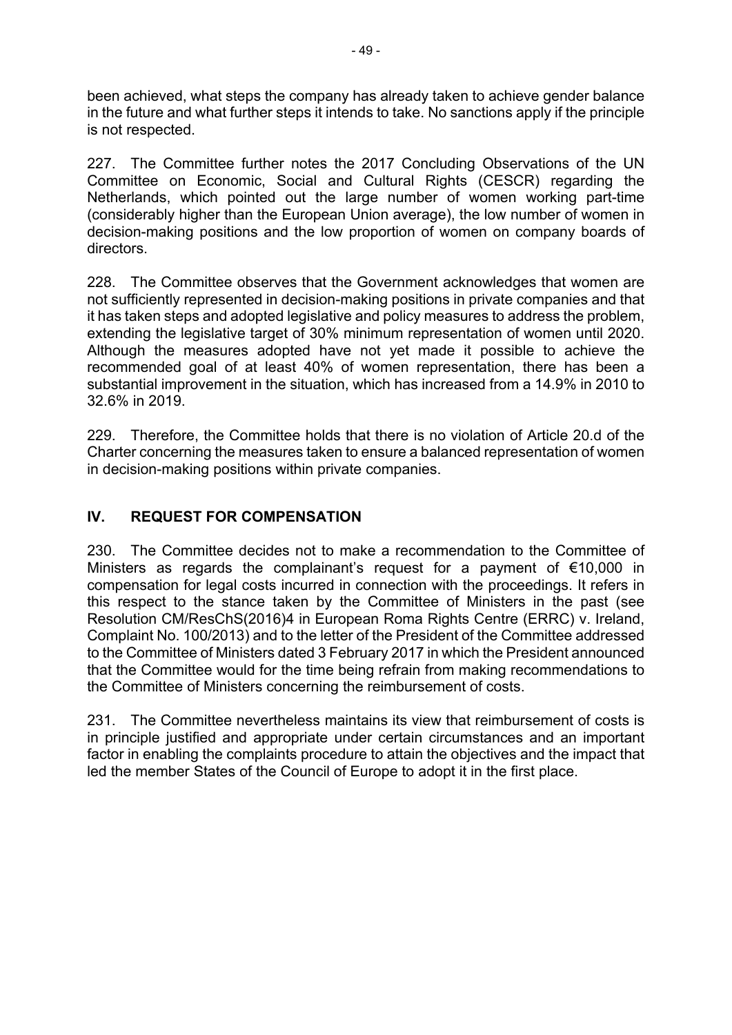been achieved, what steps the company has already taken to achieve gender balance in the future and what further steps it intends to take. No sanctions apply if the principle is not respected.

227. The Committee further notes the 2017 Concluding Observations of the UN Committee on Economic, Social and Cultural Rights (CESCR) regarding the Netherlands, which pointed out the large number of women working part-time (considerably higher than the European Union average), the low number of women in decision-making positions and the low proportion of women on company boards of directors.

228. The Committee observes that the Government acknowledges that women are not sufficiently represented in decision-making positions in private companies and that it has taken steps and adopted legislative and policy measures to address the problem, extending the legislative target of 30% minimum representation of women until 2020. Although the measures adopted have not yet made it possible to achieve the recommended goal of at least 40% of women representation, there has been a substantial improvement in the situation, which has increased from a 14.9% in 2010 to 32.6% in 2019.

229. Therefore, the Committee holds that there is no violation of Article 20.d of the Charter concerning the measures taken to ensure a balanced representation of women in decision-making positions within private companies.

## **IV. REQUEST FOR COMPENSATION**

230. The Committee decides not to make a recommendation to the Committee of Ministers as regards the complainant's request for a payment of €10,000 in compensation for legal costs incurred in connection with the proceedings. It refers in this respect to the stance taken by the Committee of Ministers in the past (see Resolution CM/ResChS(2016)4 in European Roma Rights Centre (ERRC) v. Ireland, Complaint No. 100/2013) and to the letter of the President of the Committee addressed to the Committee of Ministers dated 3 February 2017 in which the President announced that the Committee would for the time being refrain from making recommendations to the Committee of Ministers concerning the reimbursement of costs.

231. The Committee nevertheless maintains its view that reimbursement of costs is in principle justified and appropriate under certain circumstances and an important factor in enabling the complaints procedure to attain the objectives and the impact that led the member States of the Council of Europe to adopt it in the first place.